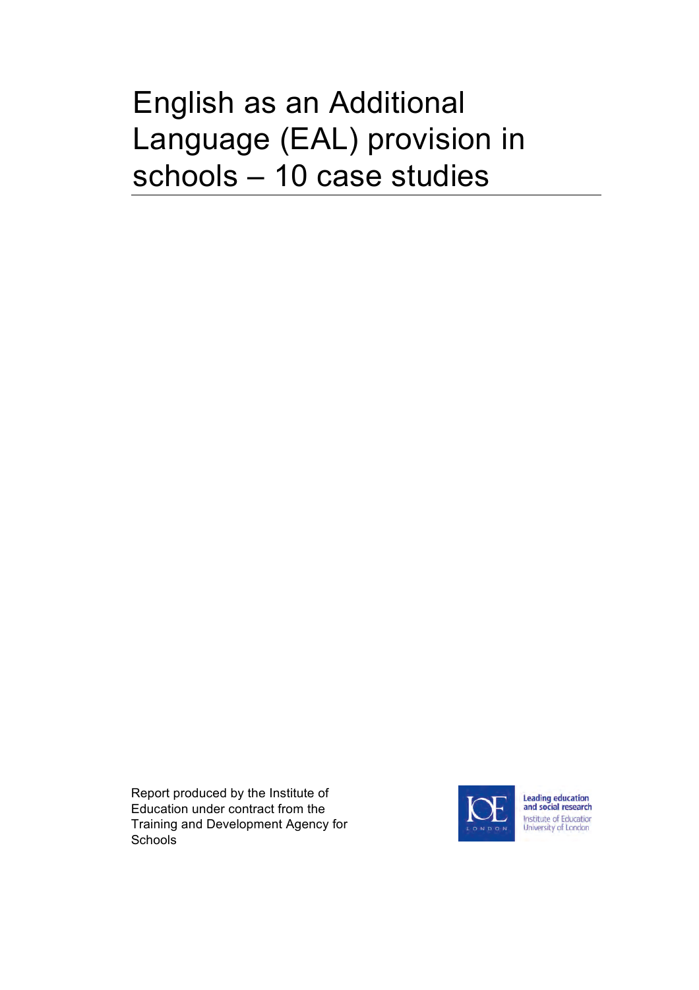# English as an Additional Language (EAL) provision in schools – 10 case studies

Report produced by the Institute of Education under contract from the Training and Development Agency for **Schools** 



Leading education<br>and social research Institute of Education University of London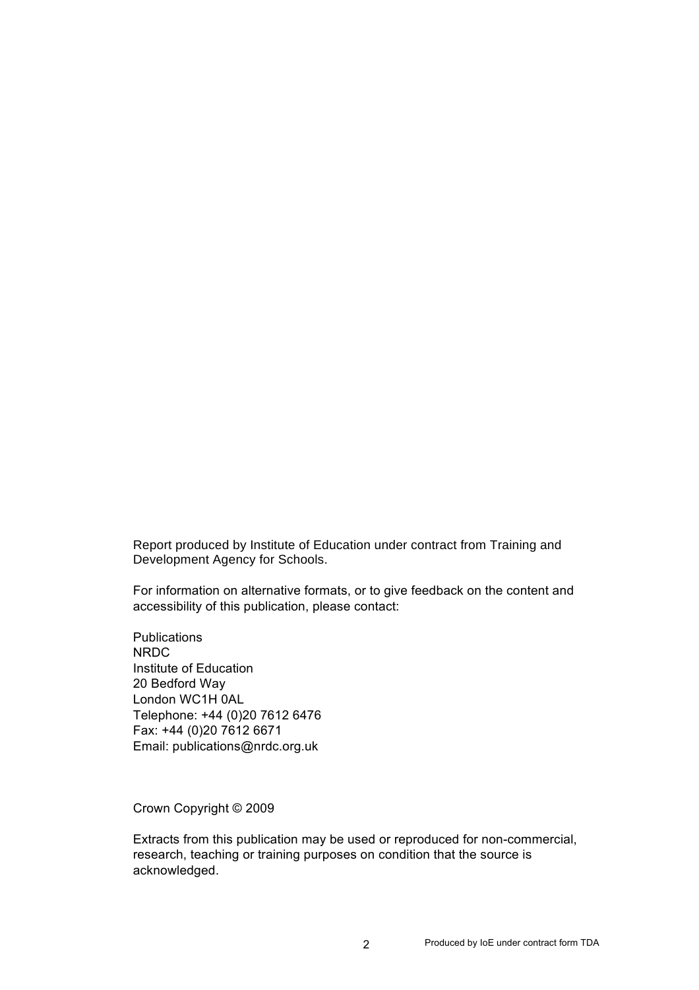Report produced by Institute of Education under contract from Training and Development Agency for Schools.

For information on alternative formats, or to give feedback on the content and accessibility of this publication, please contact:

**Publications** NRDC Institute of Education 20 Bedford Way London WC1H 0AL Telephone: +44 (0)20 7612 6476 Fax: +44 (0)20 7612 6671 Email: publications@nrdc.org.uk

Crown Copyright © 2009

Extracts from this publication may be used or reproduced for non-commercial, research, teaching or training purposes on condition that the source is acknowledged.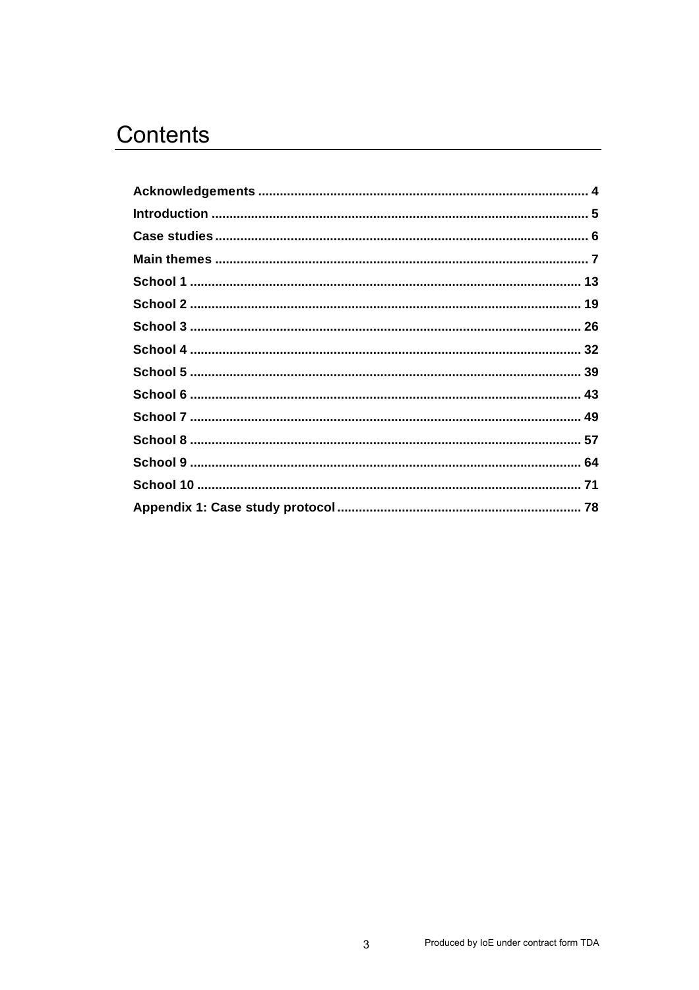## Contents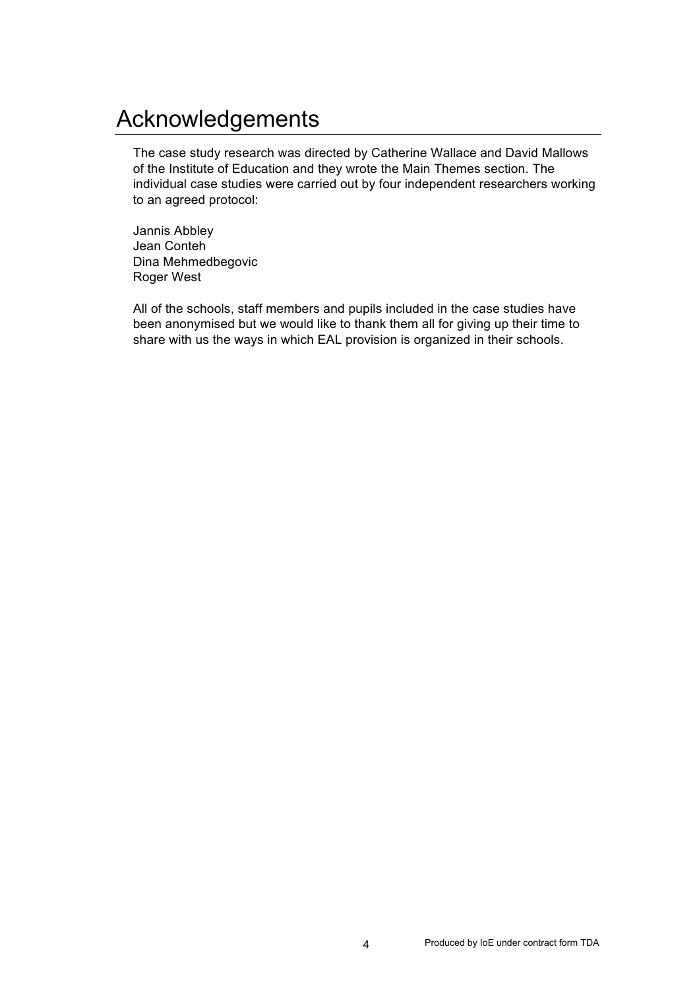## Acknowledgements

The case study research was directed by Catherine Wallace and David Mallows of the Institute of Education and they wrote the Main Themes section. The individual case studies were carried out by four independent researchers working to an agreed protocol:

Jannis Abbley Jean Conteh Dina Mehmedbegovic Roger West

All of the schools, staff members and pupils included in the case studies have been anonymised but we would like to thank them all for giving up their time to share with us the ways in which EAL provision is organized in their schools.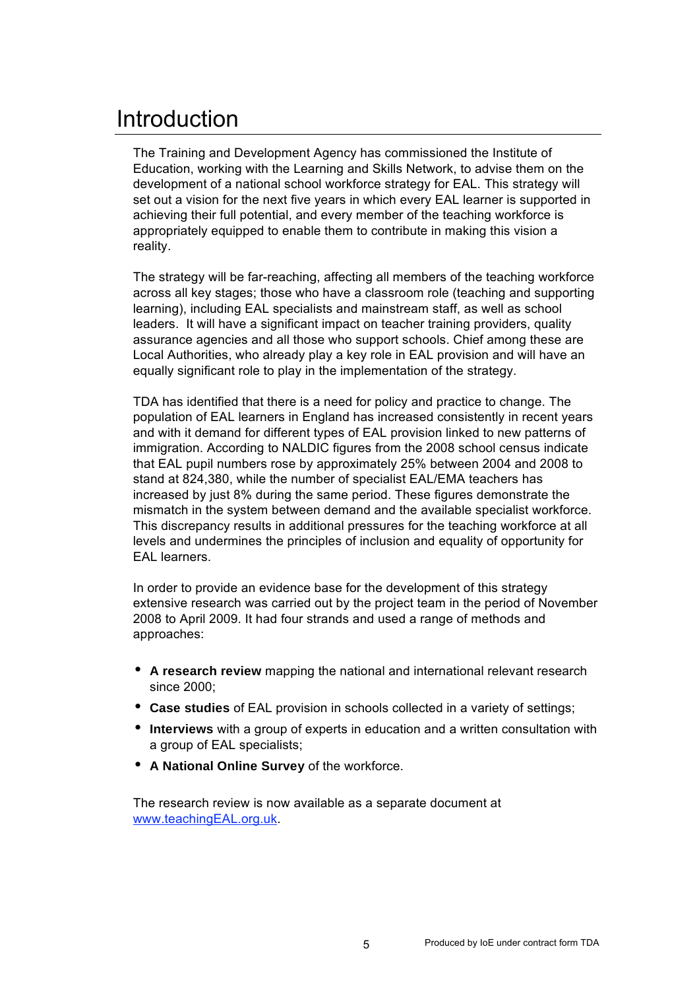## Introduction

The Training and Development Agency has commissioned the Institute of Education, working with the Learning and Skills Network, to advise them on the development of a national school workforce strategy for EAL. This strategy will set out a vision for the next five years in which every EAL learner is supported in achieving their full potential, and every member of the teaching workforce is appropriately equipped to enable them to contribute in making this vision a reality.

The strategy will be far-reaching, affecting all members of the teaching workforce across all key stages; those who have a classroom role (teaching and supporting learning), including EAL specialists and mainstream staff, as well as school leaders. It will have a significant impact on teacher training providers, quality assurance agencies and all those who support schools. Chief among these are Local Authorities, who already play a key role in EAL provision and will have an equally significant role to play in the implementation of the strategy.

TDA has identified that there is a need for policy and practice to change. The population of EAL learners in England has increased consistently in recent years and with it demand for different types of EAL provision linked to new patterns of immigration. According to NALDIC figures from the 2008 school census indicate that EAL pupil numbers rose by approximately 25% between 2004 and 2008 to stand at 824,380, while the number of specialist EAL/EMA teachers has increased by just 8% during the same period. These figures demonstrate the mismatch in the system between demand and the available specialist workforce. This discrepancy results in additional pressures for the teaching workforce at all levels and undermines the principles of inclusion and equality of opportunity for EAL learners.

In order to provide an evidence base for the development of this strategy extensive research was carried out by the project team in the period of November 2008 to April 2009. It had four strands and used a range of methods and approaches:

- **A research review** mapping the national and international relevant research since 2000;
- **Case studies** of EAL provision in schools collected in a variety of settings;
- **Interviews** with a group of experts in education and a written consultation with a group of EAL specialists;
- **A National Online Survey** of the workforce.

The research review is now available as a separate document at www.teachingEAL.org.uk.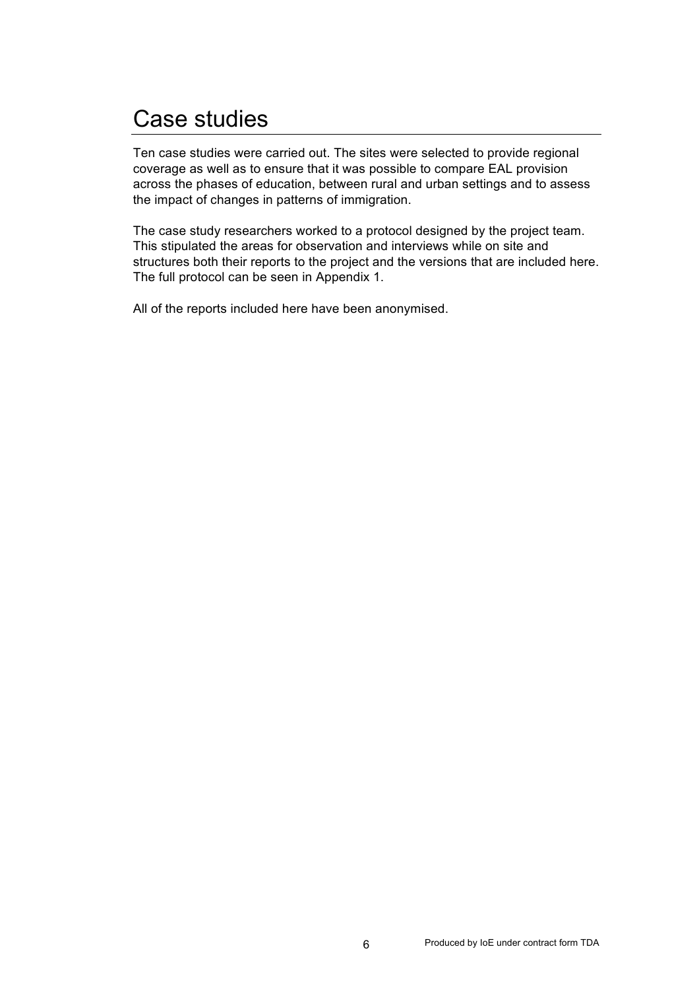## Case studies

Ten case studies were carried out. The sites were selected to provide regional coverage as well as to ensure that it was possible to compare EAL provision across the phases of education, between rural and urban settings and to assess the impact of changes in patterns of immigration.

The case study researchers worked to a protocol designed by the project team. This stipulated the areas for observation and interviews while on site and structures both their reports to the project and the versions that are included here. The full protocol can be seen in Appendix 1.

All of the reports included here have been anonymised.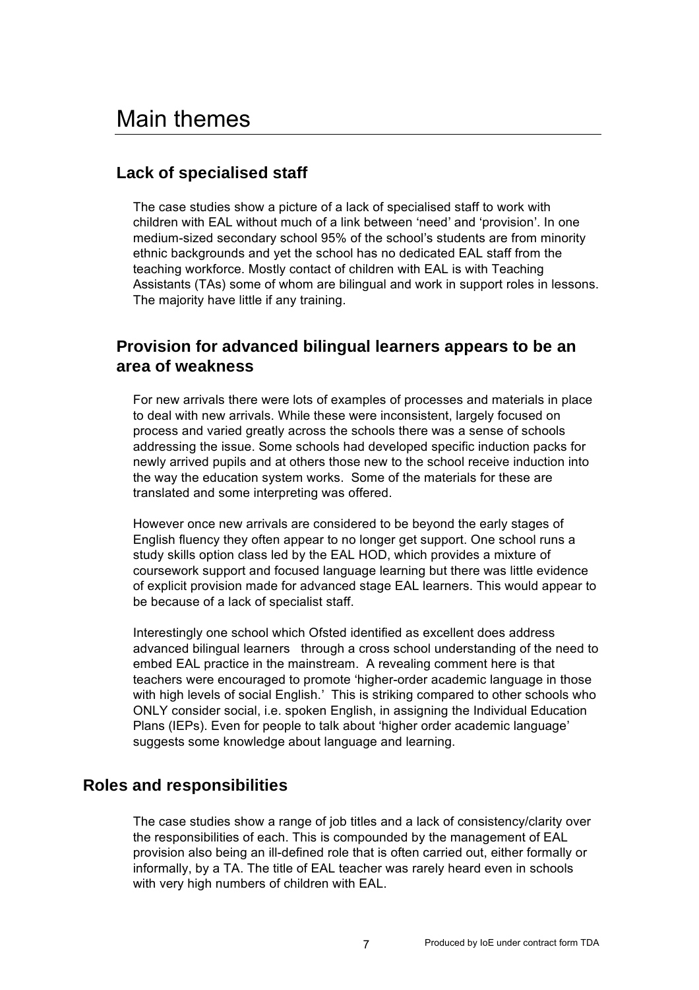## **Lack of specialised staff**

The case studies show a picture of a lack of specialised staff to work with children with EAL without much of a link between 'need' and 'provision'. In one medium-sized secondary school 95% of the school's students are from minority ethnic backgrounds and yet the school has no dedicated EAL staff from the teaching workforce. Mostly contact of children with EAL is with Teaching Assistants (TAs) some of whom are bilingual and work in support roles in lessons. The majority have little if any training.

## **Provision for advanced bilingual learners appears to be an area of weakness**

For new arrivals there were lots of examples of processes and materials in place to deal with new arrivals. While these were inconsistent, largely focused on process and varied greatly across the schools there was a sense of schools addressing the issue. Some schools had developed specific induction packs for newly arrived pupils and at others those new to the school receive induction into the way the education system works. Some of the materials for these are translated and some interpreting was offered.

However once new arrivals are considered to be beyond the early stages of English fluency they often appear to no longer get support. One school runs a study skills option class led by the EAL HOD, which provides a mixture of coursework support and focused language learning but there was little evidence of explicit provision made for advanced stage EAL learners. This would appear to be because of a lack of specialist staff.

Interestingly one school which Ofsted identified as excellent does address advanced bilingual learners through a cross school understanding of the need to embed EAL practice in the mainstream. A revealing comment here is that teachers were encouraged to promote 'higher-order academic language in those with high levels of social English.' This is striking compared to other schools who ONLY consider social, i.e. spoken English, in assigning the Individual Education Plans (IEPs). Even for people to talk about 'higher order academic language' suggests some knowledge about language and learning.

### **Roles and responsibilities**

The case studies show a range of job titles and a lack of consistency/clarity over the responsibilities of each. This is compounded by the management of EAL provision also being an ill-defined role that is often carried out, either formally or informally, by a TA. The title of EAL teacher was rarely heard even in schools with very high numbers of children with EAL.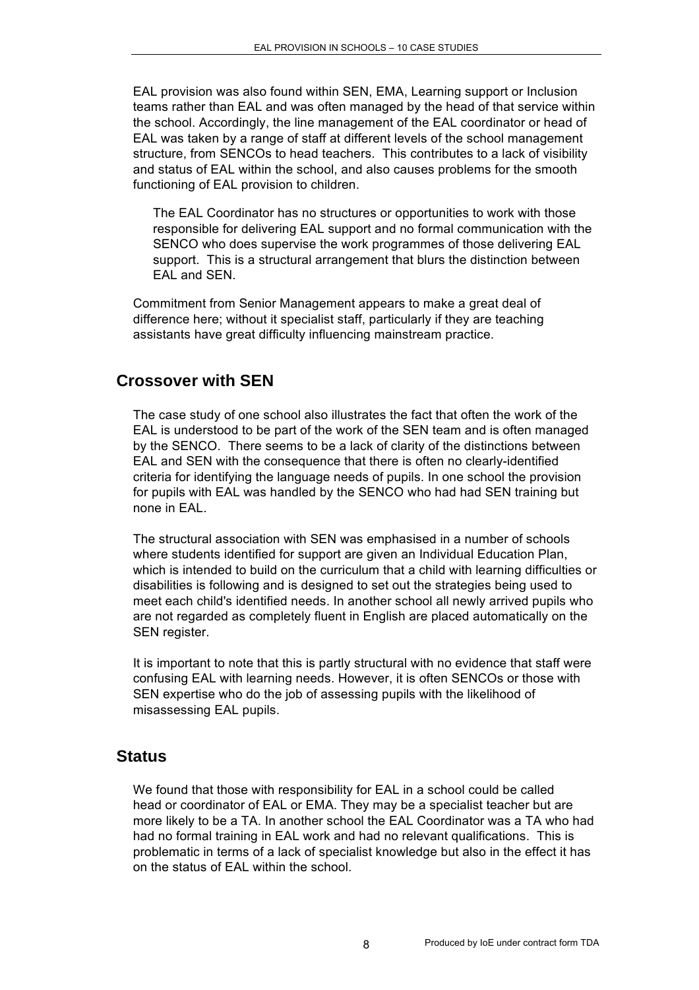EAL provision was also found within SEN, EMA, Learning support or Inclusion teams rather than EAL and was often managed by the head of that service within the school. Accordingly, the line management of the EAL coordinator or head of EAL was taken by a range of staff at different levels of the school management structure, from SENCOs to head teachers. This contributes to a lack of visibility and status of EAL within the school, and also causes problems for the smooth functioning of EAL provision to children.

The EAL Coordinator has no structures or opportunities to work with those responsible for delivering EAL support and no formal communication with the SENCO who does supervise the work programmes of those delivering EAL support. This is a structural arrangement that blurs the distinction between EAL and SEN.

Commitment from Senior Management appears to make a great deal of difference here; without it specialist staff, particularly if they are teaching assistants have great difficulty influencing mainstream practice.

#### **Crossover with SEN**

The case study of one school also illustrates the fact that often the work of the EAL is understood to be part of the work of the SEN team and is often managed by the SENCO. There seems to be a lack of clarity of the distinctions between EAL and SEN with the consequence that there is often no clearly-identified criteria for identifying the language needs of pupils. In one school the provision for pupils with EAL was handled by the SENCO who had had SEN training but none in EAL.

The structural association with SEN was emphasised in a number of schools where students identified for support are given an Individual Education Plan, which is intended to build on the curriculum that a child with learning difficulties or disabilities is following and is designed to set out the strategies being used to meet each child's identified needs. In another school all newly arrived pupils who are not regarded as completely fluent in English are placed automatically on the SEN register.

It is important to note that this is partly structural with no evidence that staff were confusing EAL with learning needs. However, it is often SENCOs or those with SEN expertise who do the job of assessing pupils with the likelihood of misassessing EAL pupils.

#### **Status**

We found that those with responsibility for EAL in a school could be called head or coordinator of EAL or EMA. They may be a specialist teacher but are more likely to be a TA. In another school the EAL Coordinator was a TA who had had no formal training in EAL work and had no relevant qualifications. This is problematic in terms of a lack of specialist knowledge but also in the effect it has on the status of EAL within the school.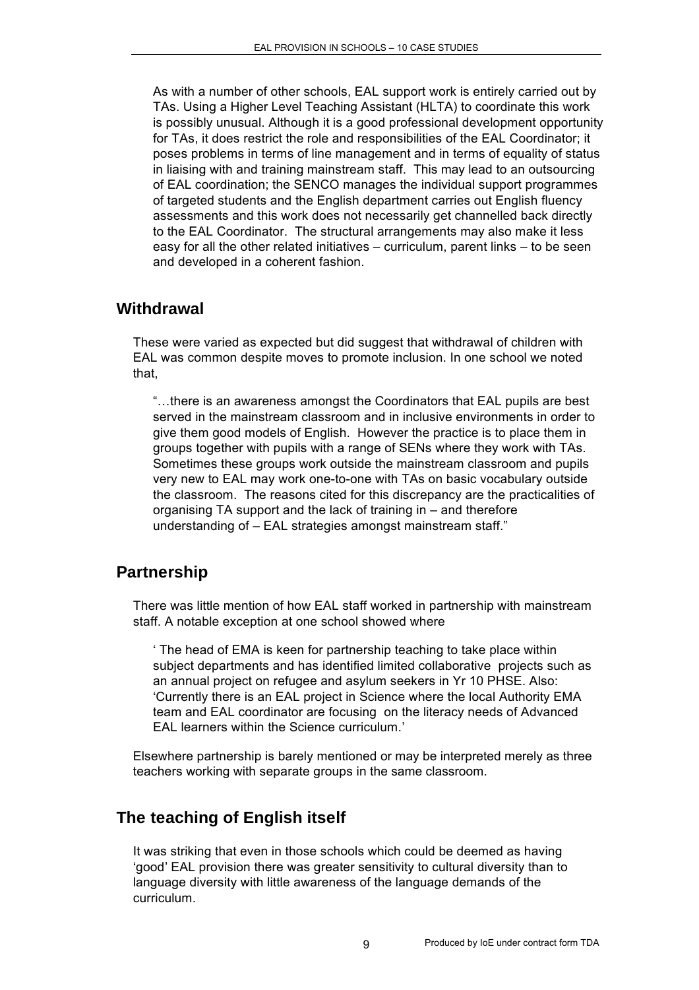As with a number of other schools, EAL support work is entirely carried out by TAs. Using a Higher Level Teaching Assistant (HLTA) to coordinate this work is possibly unusual. Although it is a good professional development opportunity for TAs, it does restrict the role and responsibilities of the EAL Coordinator; it poses problems in terms of line management and in terms of equality of status in liaising with and training mainstream staff. This may lead to an outsourcing of EAL coordination; the SENCO manages the individual support programmes of targeted students and the English department carries out English fluency assessments and this work does not necessarily get channelled back directly to the EAL Coordinator. The structural arrangements may also make it less easy for all the other related initiatives – curriculum, parent links – to be seen and developed in a coherent fashion.

#### **Withdrawal**

These were varied as expected but did suggest that withdrawal of children with EAL was common despite moves to promote inclusion. In one school we noted that,

"…there is an awareness amongst the Coordinators that EAL pupils are best served in the mainstream classroom and in inclusive environments in order to give them good models of English. However the practice is to place them in groups together with pupils with a range of SENs where they work with TAs. Sometimes these groups work outside the mainstream classroom and pupils very new to EAL may work one-to-one with TAs on basic vocabulary outside the classroom. The reasons cited for this discrepancy are the practicalities of organising TA support and the lack of training in – and therefore understanding of – EAL strategies amongst mainstream staff."

## **Partnership**

There was little mention of how EAL staff worked in partnership with mainstream staff. A notable exception at one school showed where

' The head of EMA is keen for partnership teaching to take place within subject departments and has identified limited collaborative projects such as an annual project on refugee and asylum seekers in Yr 10 PHSE. Also: 'Currently there is an EAL project in Science where the local Authority EMA team and EAL coordinator are focusing on the literacy needs of Advanced EAL learners within the Science curriculum.'

Elsewhere partnership is barely mentioned or may be interpreted merely as three teachers working with separate groups in the same classroom.

## **The teaching of English itself**

It was striking that even in those schools which could be deemed as having 'good' EAL provision there was greater sensitivity to cultural diversity than to language diversity with little awareness of the language demands of the curriculum.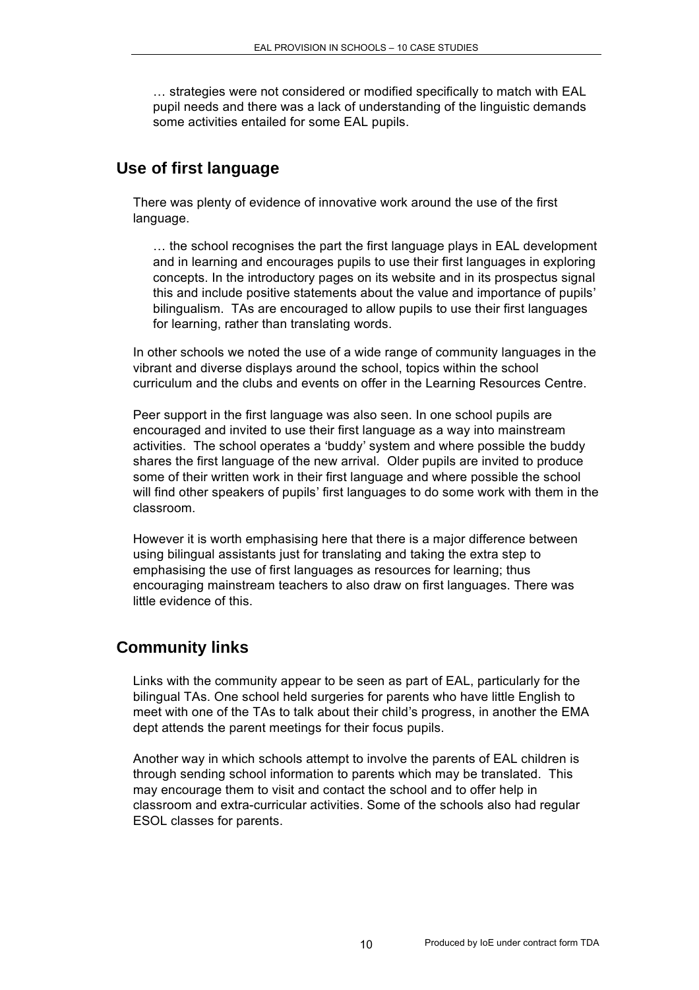… strategies were not considered or modified specifically to match with EAL pupil needs and there was a lack of understanding of the linguistic demands some activities entailed for some EAL pupils.

## **Use of first language**

There was plenty of evidence of innovative work around the use of the first language.

… the school recognises the part the first language plays in EAL development and in learning and encourages pupils to use their first languages in exploring concepts. In the introductory pages on its website and in its prospectus signal this and include positive statements about the value and importance of pupils' bilingualism. TAs are encouraged to allow pupils to use their first languages for learning, rather than translating words.

In other schools we noted the use of a wide range of community languages in the vibrant and diverse displays around the school, topics within the school curriculum and the clubs and events on offer in the Learning Resources Centre.

Peer support in the first language was also seen. In one school pupils are encouraged and invited to use their first language as a way into mainstream activities. The school operates a 'buddy' system and where possible the buddy shares the first language of the new arrival. Older pupils are invited to produce some of their written work in their first language and where possible the school will find other speakers of pupils' first languages to do some work with them in the classroom.

However it is worth emphasising here that there is a major difference between using bilingual assistants just for translating and taking the extra step to emphasising the use of first languages as resources for learning; thus encouraging mainstream teachers to also draw on first languages. There was little evidence of this.

### **Community links**

Links with the community appear to be seen as part of EAL, particularly for the bilingual TAs. One school held surgeries for parents who have little English to meet with one of the TAs to talk about their child's progress, in another the EMA dept attends the parent meetings for their focus pupils.

Another way in which schools attempt to involve the parents of EAL children is through sending school information to parents which may be translated. This may encourage them to visit and contact the school and to offer help in classroom and extra-curricular activities. Some of the schools also had regular ESOL classes for parents.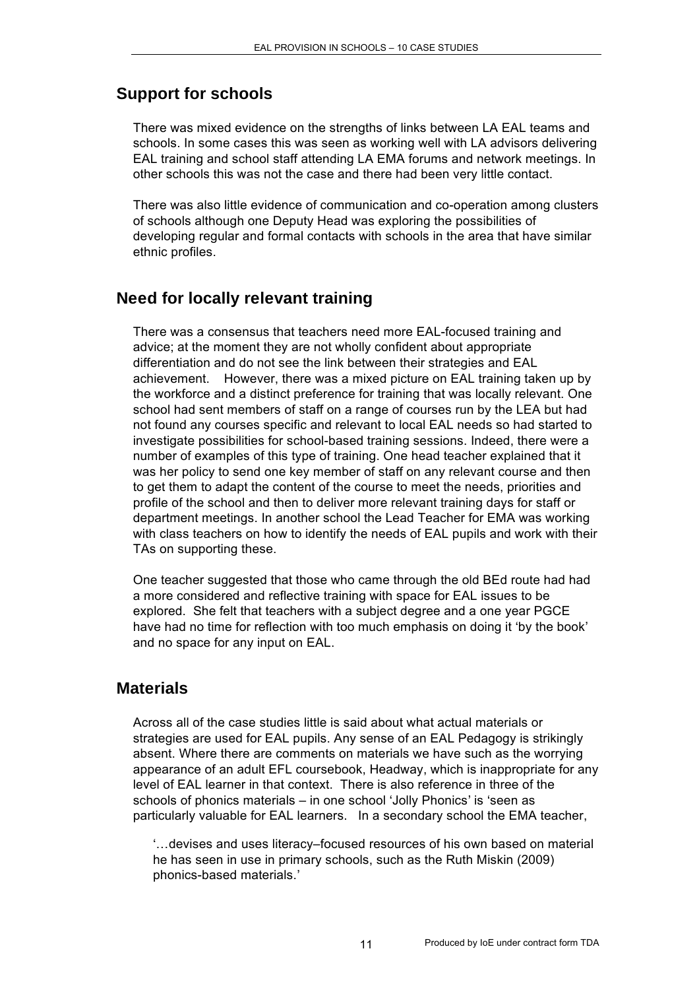## **Support for schools**

There was mixed evidence on the strengths of links between LA EAL teams and schools. In some cases this was seen as working well with LA advisors delivering EAL training and school staff attending LA EMA forums and network meetings. In other schools this was not the case and there had been very little contact.

There was also little evidence of communication and co-operation among clusters of schools although one Deputy Head was exploring the possibilities of developing regular and formal contacts with schools in the area that have similar ethnic profiles.

## **Need for locally relevant training**

There was a consensus that teachers need more EAL-focused training and advice; at the moment they are not wholly confident about appropriate differentiation and do not see the link between their strategies and EAL achievement. However, there was a mixed picture on EAL training taken up by the workforce and a distinct preference for training that was locally relevant. One school had sent members of staff on a range of courses run by the LEA but had not found any courses specific and relevant to local EAL needs so had started to investigate possibilities for school-based training sessions. Indeed, there were a number of examples of this type of training. One head teacher explained that it was her policy to send one key member of staff on any relevant course and then to get them to adapt the content of the course to meet the needs, priorities and profile of the school and then to deliver more relevant training days for staff or department meetings. In another school the Lead Teacher for EMA was working with class teachers on how to identify the needs of EAL pupils and work with their TAs on supporting these.

One teacher suggested that those who came through the old BEd route had had a more considered and reflective training with space for EAL issues to be explored. She felt that teachers with a subject degree and a one year PGCE have had no time for reflection with too much emphasis on doing it 'by the book' and no space for any input on EAL.

#### **Materials**

Across all of the case studies little is said about what actual materials or strategies are used for EAL pupils. Any sense of an EAL Pedagogy is strikingly absent. Where there are comments on materials we have such as the worrying appearance of an adult EFL coursebook, Headway, which is inappropriate for any level of EAL learner in that context. There is also reference in three of the schools of phonics materials – in one school 'Jolly Phonics' is 'seen as particularly valuable for EAL learners. In a secondary school the EMA teacher,

'…devises and uses literacy–focused resources of his own based on material he has seen in use in primary schools, such as the Ruth Miskin (2009) phonics-based materials.'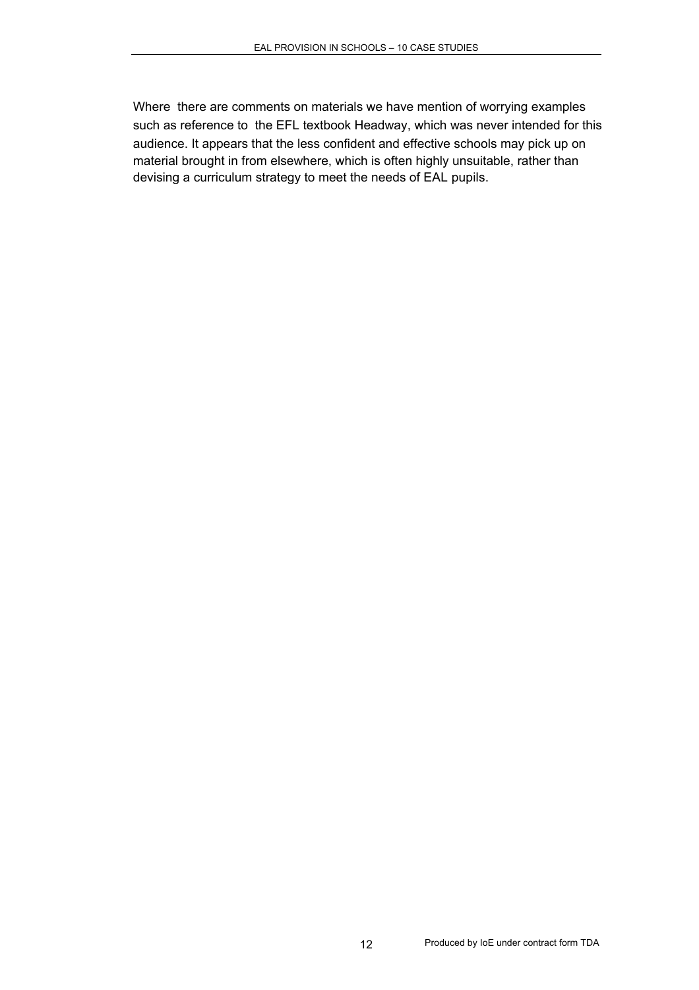Where there are comments on materials we have mention of worrying examples such as reference to the EFL textbook Headway, which was never intended for this audience. It appears that the less confident and effective schools may pick up on material brought in from elsewhere, which is often highly unsuitable, rather than devising a curriculum strategy to meet the needs of EAL pupils.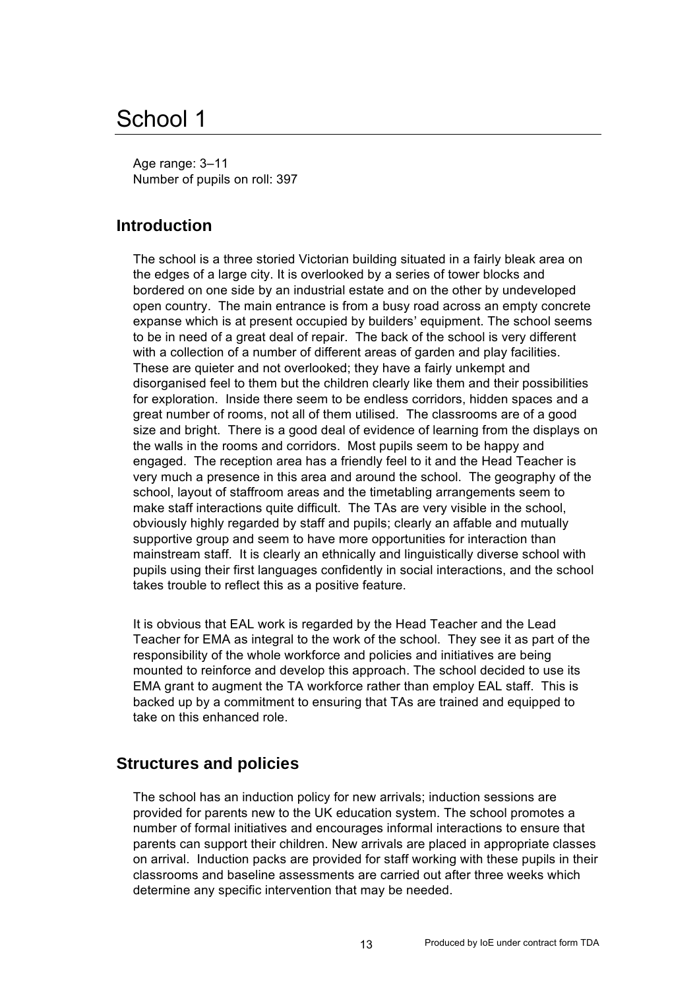## School 1

Age range: 3–11 Number of pupils on roll: 397

## **Introduction**

The school is a three storied Victorian building situated in a fairly bleak area on the edges of a large city. It is overlooked by a series of tower blocks and bordered on one side by an industrial estate and on the other by undeveloped open country. The main entrance is from a busy road across an empty concrete expanse which is at present occupied by builders' equipment. The school seems to be in need of a great deal of repair. The back of the school is very different with a collection of a number of different areas of garden and play facilities. These are quieter and not overlooked; they have a fairly unkempt and disorganised feel to them but the children clearly like them and their possibilities for exploration. Inside there seem to be endless corridors, hidden spaces and a great number of rooms, not all of them utilised. The classrooms are of a good size and bright. There is a good deal of evidence of learning from the displays on the walls in the rooms and corridors. Most pupils seem to be happy and engaged. The reception area has a friendly feel to it and the Head Teacher is very much a presence in this area and around the school. The geography of the school, layout of staffroom areas and the timetabling arrangements seem to make staff interactions quite difficult. The TAs are very visible in the school, obviously highly regarded by staff and pupils; clearly an affable and mutually supportive group and seem to have more opportunities for interaction than mainstream staff. It is clearly an ethnically and linguistically diverse school with pupils using their first languages confidently in social interactions, and the school takes trouble to reflect this as a positive feature.

It is obvious that EAL work is regarded by the Head Teacher and the Lead Teacher for EMA as integral to the work of the school. They see it as part of the responsibility of the whole workforce and policies and initiatives are being mounted to reinforce and develop this approach. The school decided to use its EMA grant to augment the TA workforce rather than employ EAL staff. This is backed up by a commitment to ensuring that TAs are trained and equipped to take on this enhanced role.

### **Structures and policies**

The school has an induction policy for new arrivals; induction sessions are provided for parents new to the UK education system. The school promotes a number of formal initiatives and encourages informal interactions to ensure that parents can support their children. New arrivals are placed in appropriate classes on arrival. Induction packs are provided for staff working with these pupils in their classrooms and baseline assessments are carried out after three weeks which determine any specific intervention that may be needed.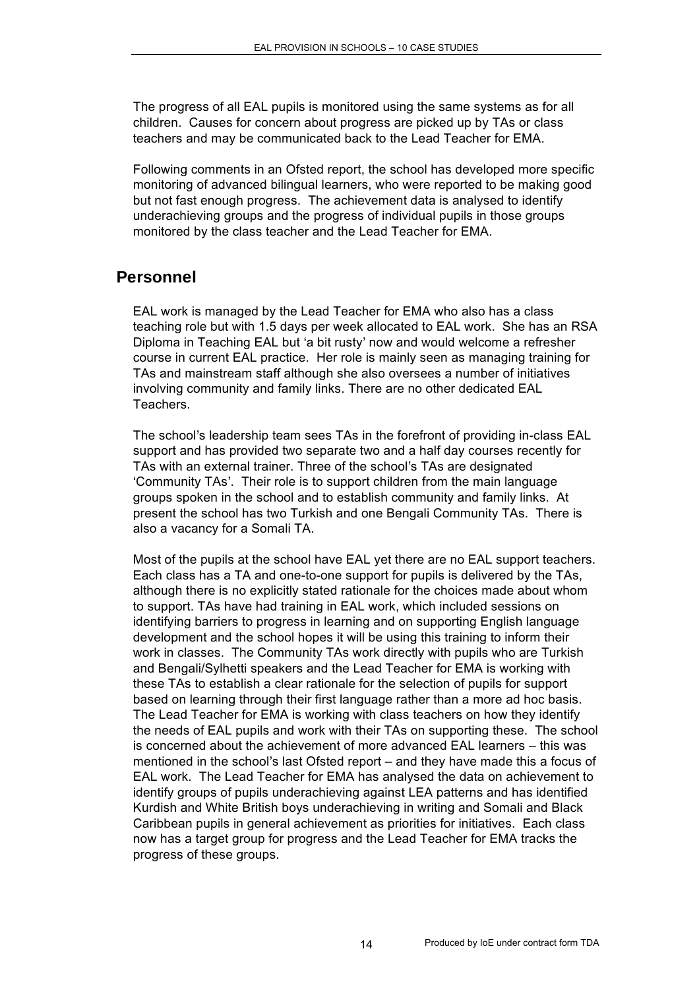The progress of all EAL pupils is monitored using the same systems as for all children. Causes for concern about progress are picked up by TAs or class teachers and may be communicated back to the Lead Teacher for EMA.

Following comments in an Ofsted report, the school has developed more specific monitoring of advanced bilingual learners, who were reported to be making good but not fast enough progress. The achievement data is analysed to identify underachieving groups and the progress of individual pupils in those groups monitored by the class teacher and the Lead Teacher for EMA.

#### **Personnel**

EAL work is managed by the Lead Teacher for EMA who also has a class teaching role but with 1.5 days per week allocated to EAL work. She has an RSA Diploma in Teaching EAL but 'a bit rusty' now and would welcome a refresher course in current EAL practice. Her role is mainly seen as managing training for TAs and mainstream staff although she also oversees a number of initiatives involving community and family links. There are no other dedicated EAL Teachers.

The school's leadership team sees TAs in the forefront of providing in-class EAL support and has provided two separate two and a half day courses recently for TAs with an external trainer. Three of the school's TAs are designated 'Community TAs'. Their role is to support children from the main language groups spoken in the school and to establish community and family links. At present the school has two Turkish and one Bengali Community TAs. There is also a vacancy for a Somali TA.

Most of the pupils at the school have EAL yet there are no EAL support teachers. Each class has a TA and one-to-one support for pupils is delivered by the TAs, although there is no explicitly stated rationale for the choices made about whom to support. TAs have had training in EAL work, which included sessions on identifying barriers to progress in learning and on supporting English language development and the school hopes it will be using this training to inform their work in classes. The Community TAs work directly with pupils who are Turkish and Bengali/Sylhetti speakers and the Lead Teacher for EMA is working with these TAs to establish a clear rationale for the selection of pupils for support based on learning through their first language rather than a more ad hoc basis. The Lead Teacher for EMA is working with class teachers on how they identify the needs of EAL pupils and work with their TAs on supporting these. The school is concerned about the achievement of more advanced EAL learners – this was mentioned in the school's last Ofsted report – and they have made this a focus of EAL work. The Lead Teacher for EMA has analysed the data on achievement to identify groups of pupils underachieving against LEA patterns and has identified Kurdish and White British boys underachieving in writing and Somali and Black Caribbean pupils in general achievement as priorities for initiatives. Each class now has a target group for progress and the Lead Teacher for EMA tracks the progress of these groups.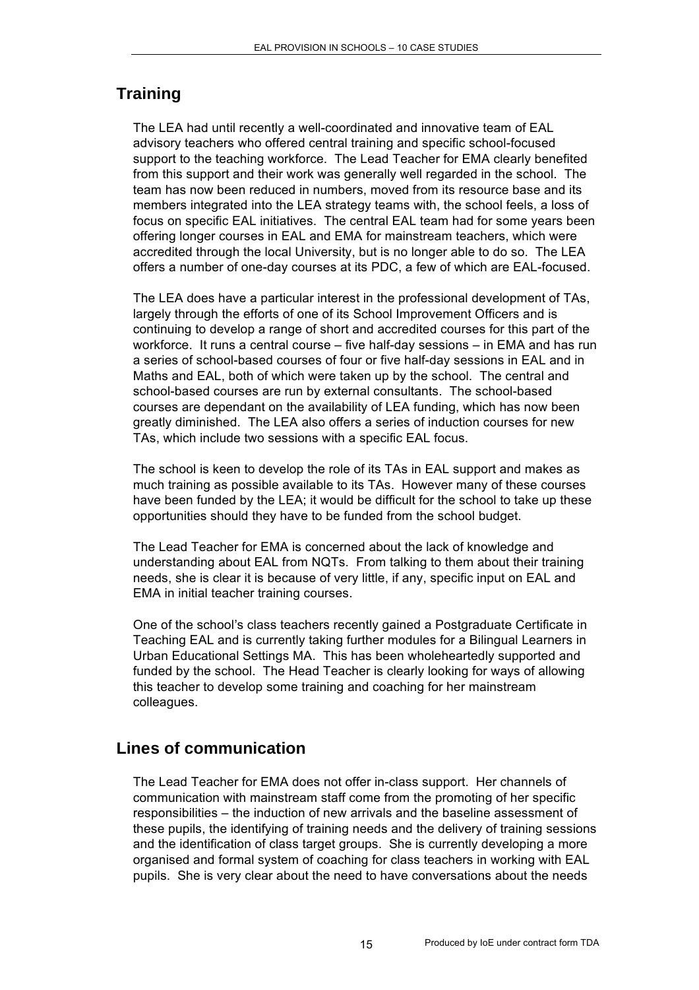## **Training**

The LEA had until recently a well-coordinated and innovative team of EAL advisory teachers who offered central training and specific school-focused support to the teaching workforce. The Lead Teacher for EMA clearly benefited from this support and their work was generally well regarded in the school. The team has now been reduced in numbers, moved from its resource base and its members integrated into the LEA strategy teams with, the school feels, a loss of focus on specific EAL initiatives. The central EAL team had for some years been offering longer courses in EAL and EMA for mainstream teachers, which were accredited through the local University, but is no longer able to do so. The LEA offers a number of one-day courses at its PDC, a few of which are EAL-focused.

The LEA does have a particular interest in the professional development of TAs, largely through the efforts of one of its School Improvement Officers and is continuing to develop a range of short and accredited courses for this part of the workforce. It runs a central course – five half-day sessions – in EMA and has run a series of school-based courses of four or five half-day sessions in EAL and in Maths and EAL, both of which were taken up by the school. The central and school-based courses are run by external consultants. The school-based courses are dependant on the availability of LEA funding, which has now been greatly diminished. The LEA also offers a series of induction courses for new TAs, which include two sessions with a specific EAL focus.

The school is keen to develop the role of its TAs in EAL support and makes as much training as possible available to its TAs. However many of these courses have been funded by the LEA; it would be difficult for the school to take up these opportunities should they have to be funded from the school budget.

The Lead Teacher for EMA is concerned about the lack of knowledge and understanding about EAL from NQTs. From talking to them about their training needs, she is clear it is because of very little, if any, specific input on EAL and EMA in initial teacher training courses.

One of the school's class teachers recently gained a Postgraduate Certificate in Teaching EAL and is currently taking further modules for a Bilingual Learners in Urban Educational Settings MA. This has been wholeheartedly supported and funded by the school. The Head Teacher is clearly looking for ways of allowing this teacher to develop some training and coaching for her mainstream colleagues.

## **Lines of communication**

The Lead Teacher for EMA does not offer in-class support. Her channels of communication with mainstream staff come from the promoting of her specific responsibilities – the induction of new arrivals and the baseline assessment of these pupils, the identifying of training needs and the delivery of training sessions and the identification of class target groups. She is currently developing a more organised and formal system of coaching for class teachers in working with EAL pupils. She is very clear about the need to have conversations about the needs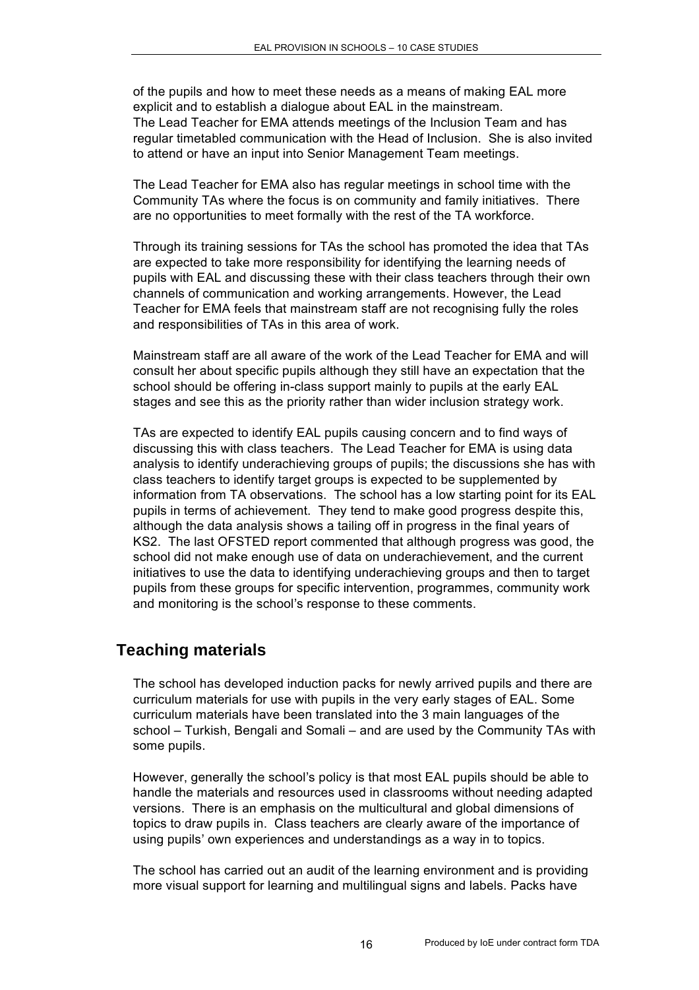of the pupils and how to meet these needs as a means of making EAL more explicit and to establish a dialogue about EAL in the mainstream. The Lead Teacher for EMA attends meetings of the Inclusion Team and has regular timetabled communication with the Head of Inclusion. She is also invited to attend or have an input into Senior Management Team meetings.

The Lead Teacher for EMA also has regular meetings in school time with the Community TAs where the focus is on community and family initiatives. There are no opportunities to meet formally with the rest of the TA workforce.

Through its training sessions for TAs the school has promoted the idea that TAs are expected to take more responsibility for identifying the learning needs of pupils with EAL and discussing these with their class teachers through their own channels of communication and working arrangements. However, the Lead Teacher for EMA feels that mainstream staff are not recognising fully the roles and responsibilities of TAs in this area of work.

Mainstream staff are all aware of the work of the Lead Teacher for EMA and will consult her about specific pupils although they still have an expectation that the school should be offering in-class support mainly to pupils at the early EAL stages and see this as the priority rather than wider inclusion strategy work.

TAs are expected to identify EAL pupils causing concern and to find ways of discussing this with class teachers. The Lead Teacher for EMA is using data analysis to identify underachieving groups of pupils; the discussions she has with class teachers to identify target groups is expected to be supplemented by information from TA observations. The school has a low starting point for its EAL pupils in terms of achievement. They tend to make good progress despite this, although the data analysis shows a tailing off in progress in the final years of KS2. The last OFSTED report commented that although progress was good, the school did not make enough use of data on underachievement, and the current initiatives to use the data to identifying underachieving groups and then to target pupils from these groups for specific intervention, programmes, community work and monitoring is the school's response to these comments.

### **Teaching materials**

The school has developed induction packs for newly arrived pupils and there are curriculum materials for use with pupils in the very early stages of EAL. Some curriculum materials have been translated into the 3 main languages of the school – Turkish, Bengali and Somali – and are used by the Community TAs with some pupils.

However, generally the school's policy is that most EAL pupils should be able to handle the materials and resources used in classrooms without needing adapted versions. There is an emphasis on the multicultural and global dimensions of topics to draw pupils in. Class teachers are clearly aware of the importance of using pupils' own experiences and understandings as a way in to topics.

The school has carried out an audit of the learning environment and is providing more visual support for learning and multilingual signs and labels. Packs have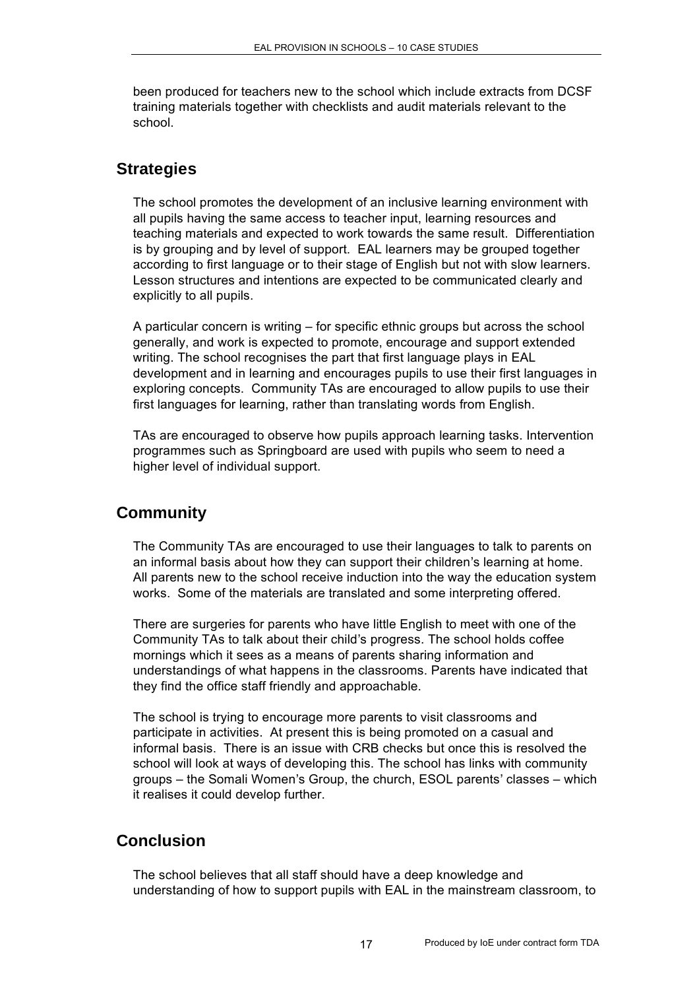been produced for teachers new to the school which include extracts from DCSF training materials together with checklists and audit materials relevant to the school.

#### **Strategies**

The school promotes the development of an inclusive learning environment with all pupils having the same access to teacher input, learning resources and teaching materials and expected to work towards the same result. Differentiation is by grouping and by level of support. EAL learners may be grouped together according to first language or to their stage of English but not with slow learners. Lesson structures and intentions are expected to be communicated clearly and explicitly to all pupils.

A particular concern is writing – for specific ethnic groups but across the school generally, and work is expected to promote, encourage and support extended writing. The school recognises the part that first language plays in EAL development and in learning and encourages pupils to use their first languages in exploring concepts. Community TAs are encouraged to allow pupils to use their first languages for learning, rather than translating words from English.

TAs are encouraged to observe how pupils approach learning tasks. Intervention programmes such as Springboard are used with pupils who seem to need a higher level of individual support.

### **Community**

The Community TAs are encouraged to use their languages to talk to parents on an informal basis about how they can support their children's learning at home. All parents new to the school receive induction into the way the education system works. Some of the materials are translated and some interpreting offered.

There are surgeries for parents who have little English to meet with one of the Community TAs to talk about their child's progress. The school holds coffee mornings which it sees as a means of parents sharing information and understandings of what happens in the classrooms. Parents have indicated that they find the office staff friendly and approachable.

The school is trying to encourage more parents to visit classrooms and participate in activities. At present this is being promoted on a casual and informal basis. There is an issue with CRB checks but once this is resolved the school will look at ways of developing this. The school has links with community groups – the Somali Women's Group, the church, ESOL parents' classes – which it realises it could develop further.

### **Conclusion**

The school believes that all staff should have a deep knowledge and understanding of how to support pupils with EAL in the mainstream classroom, to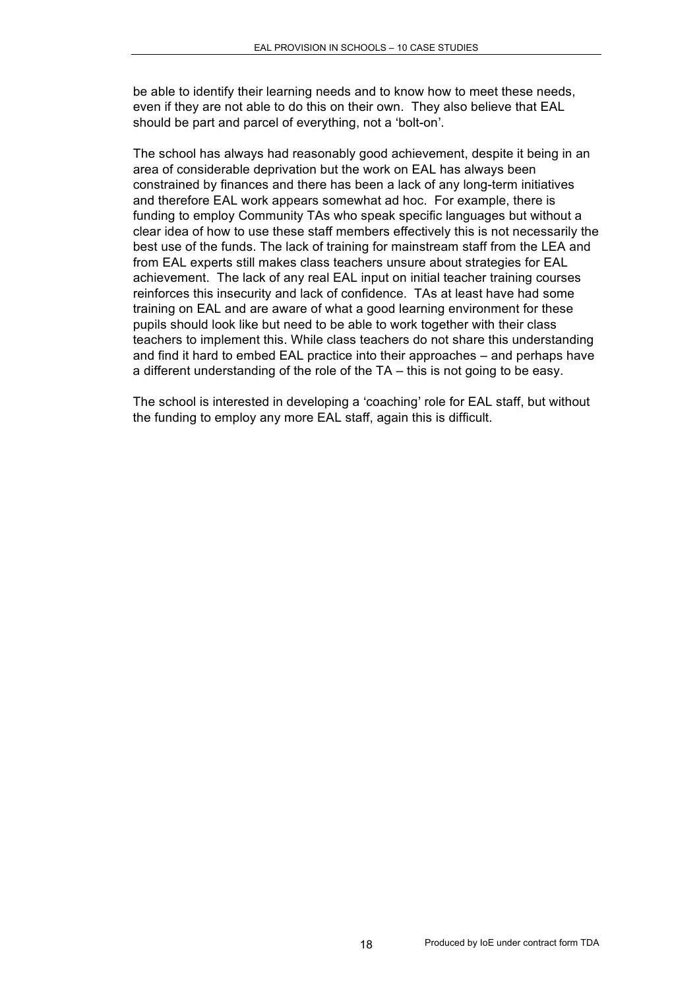be able to identify their learning needs and to know how to meet these needs, even if they are not able to do this on their own. They also believe that EAL should be part and parcel of everything, not a 'bolt-on'.

The school has always had reasonably good achievement, despite it being in an area of considerable deprivation but the work on EAL has always been constrained by finances and there has been a lack of any long-term initiatives and therefore EAL work appears somewhat ad hoc. For example, there is funding to employ Community TAs who speak specific languages but without a clear idea of how to use these staff members effectively this is not necessarily the best use of the funds. The lack of training for mainstream staff from the LEA and from EAL experts still makes class teachers unsure about strategies for EAL achievement. The lack of any real EAL input on initial teacher training courses reinforces this insecurity and lack of confidence. TAs at least have had some training on EAL and are aware of what a good learning environment for these pupils should look like but need to be able to work together with their class teachers to implement this. While class teachers do not share this understanding and find it hard to embed EAL practice into their approaches – and perhaps have a different understanding of the role of the TA – this is not going to be easy.

The school is interested in developing a 'coaching' role for EAL staff, but without the funding to employ any more EAL staff, again this is difficult.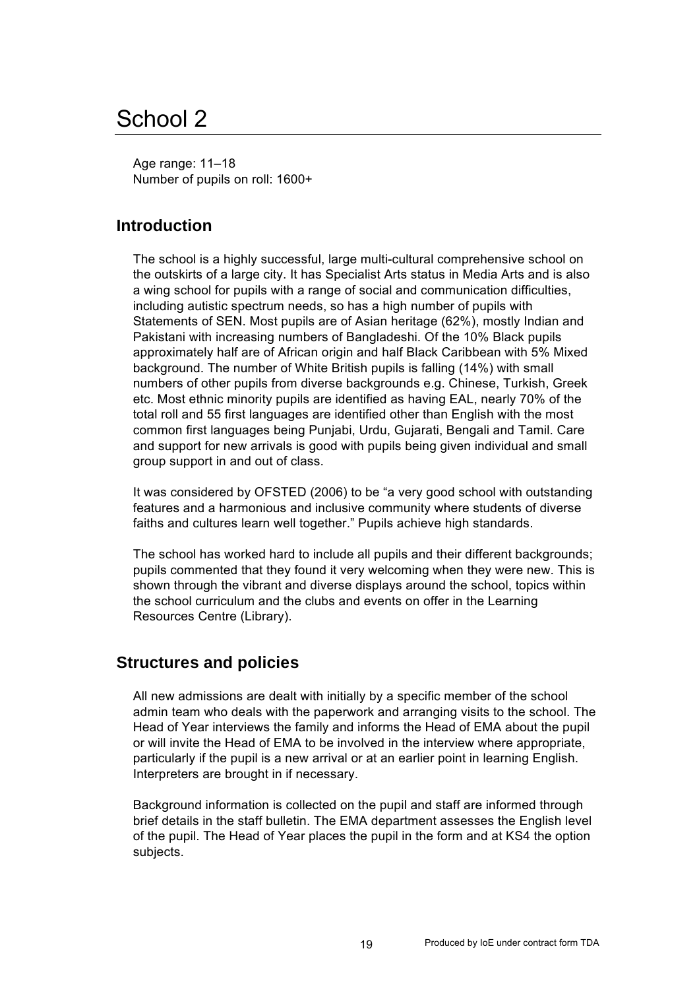## School 2

Age range: 11–18 Number of pupils on roll: 1600+

## **Introduction**

The school is a highly successful, large multi-cultural comprehensive school on the outskirts of a large city. It has Specialist Arts status in Media Arts and is also a wing school for pupils with a range of social and communication difficulties, including autistic spectrum needs, so has a high number of pupils with Statements of SEN. Most pupils are of Asian heritage (62%), mostly Indian and Pakistani with increasing numbers of Bangladeshi. Of the 10% Black pupils approximately half are of African origin and half Black Caribbean with 5% Mixed background. The number of White British pupils is falling (14%) with small numbers of other pupils from diverse backgrounds e.g. Chinese, Turkish, Greek etc. Most ethnic minority pupils are identified as having EAL, nearly 70% of the total roll and 55 first languages are identified other than English with the most common first languages being Punjabi, Urdu, Gujarati, Bengali and Tamil. Care and support for new arrivals is good with pupils being given individual and small group support in and out of class.

It was considered by OFSTED (2006) to be "a very good school with outstanding features and a harmonious and inclusive community where students of diverse faiths and cultures learn well together." Pupils achieve high standards.

The school has worked hard to include all pupils and their different backgrounds; pupils commented that they found it very welcoming when they were new. This is shown through the vibrant and diverse displays around the school, topics within the school curriculum and the clubs and events on offer in the Learning Resources Centre (Library).

### **Structures and policies**

All new admissions are dealt with initially by a specific member of the school admin team who deals with the paperwork and arranging visits to the school. The Head of Year interviews the family and informs the Head of EMA about the pupil or will invite the Head of EMA to be involved in the interview where appropriate, particularly if the pupil is a new arrival or at an earlier point in learning English. Interpreters are brought in if necessary.

Background information is collected on the pupil and staff are informed through brief details in the staff bulletin. The EMA department assesses the English level of the pupil. The Head of Year places the pupil in the form and at KS4 the option subjects.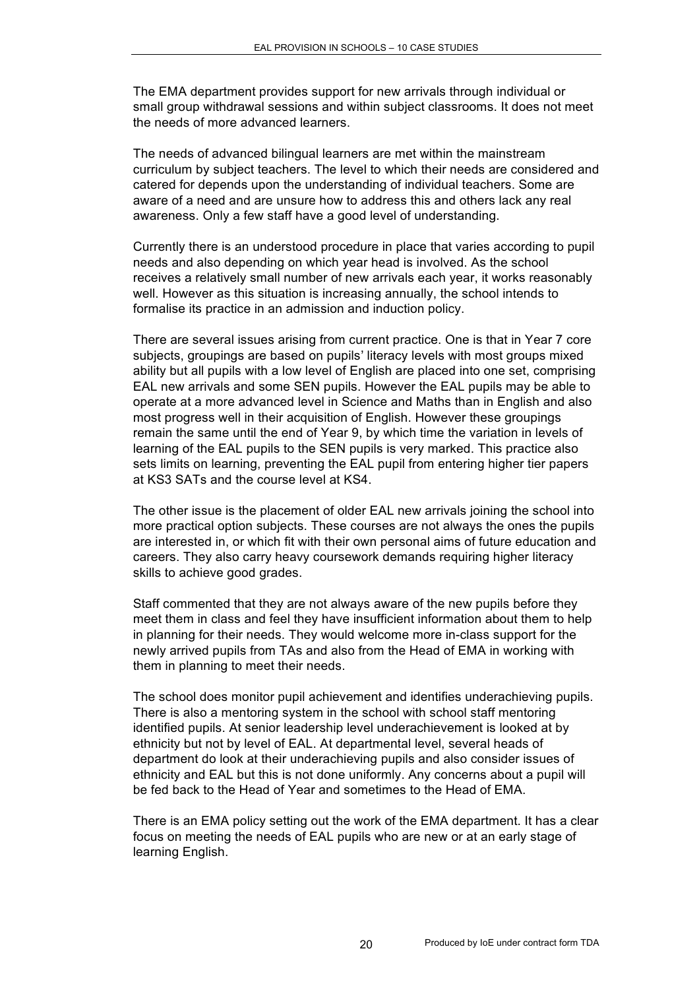The EMA department provides support for new arrivals through individual or small group withdrawal sessions and within subject classrooms. It does not meet the needs of more advanced learners.

The needs of advanced bilingual learners are met within the mainstream curriculum by subject teachers. The level to which their needs are considered and catered for depends upon the understanding of individual teachers. Some are aware of a need and are unsure how to address this and others lack any real awareness. Only a few staff have a good level of understanding.

Currently there is an understood procedure in place that varies according to pupil needs and also depending on which year head is involved. As the school receives a relatively small number of new arrivals each year, it works reasonably well. However as this situation is increasing annually, the school intends to formalise its practice in an admission and induction policy.

There are several issues arising from current practice. One is that in Year 7 core subjects, groupings are based on pupils' literacy levels with most groups mixed ability but all pupils with a low level of English are placed into one set, comprising EAL new arrivals and some SEN pupils. However the EAL pupils may be able to operate at a more advanced level in Science and Maths than in English and also most progress well in their acquisition of English. However these groupings remain the same until the end of Year 9, by which time the variation in levels of learning of the EAL pupils to the SEN pupils is very marked. This practice also sets limits on learning, preventing the EAL pupil from entering higher tier papers at KS3 SATs and the course level at KS4.

The other issue is the placement of older EAL new arrivals joining the school into more practical option subjects. These courses are not always the ones the pupils are interested in, or which fit with their own personal aims of future education and careers. They also carry heavy coursework demands requiring higher literacy skills to achieve good grades.

Staff commented that they are not always aware of the new pupils before they meet them in class and feel they have insufficient information about them to help in planning for their needs. They would welcome more in-class support for the newly arrived pupils from TAs and also from the Head of EMA in working with them in planning to meet their needs.

The school does monitor pupil achievement and identifies underachieving pupils. There is also a mentoring system in the school with school staff mentoring identified pupils. At senior leadership level underachievement is looked at by ethnicity but not by level of EAL. At departmental level, several heads of department do look at their underachieving pupils and also consider issues of ethnicity and EAL but this is not done uniformly. Any concerns about a pupil will be fed back to the Head of Year and sometimes to the Head of EMA.

There is an EMA policy setting out the work of the EMA department. It has a clear focus on meeting the needs of EAL pupils who are new or at an early stage of learning English.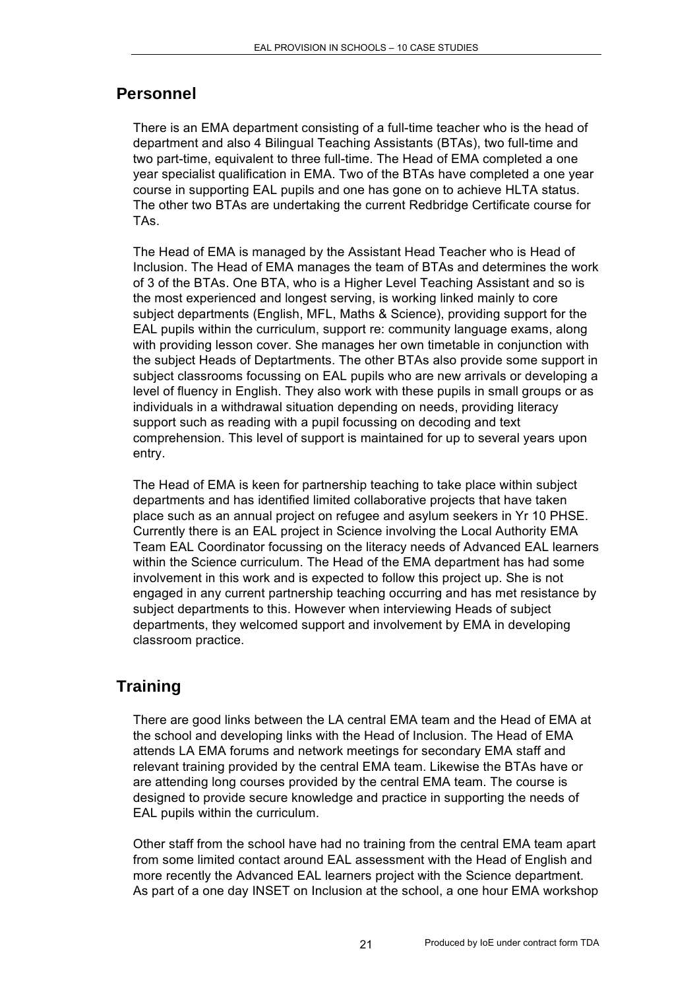## **Personnel**

There is an EMA department consisting of a full-time teacher who is the head of department and also 4 Bilingual Teaching Assistants (BTAs), two full-time and two part-time, equivalent to three full-time. The Head of EMA completed a one year specialist qualification in EMA. Two of the BTAs have completed a one year course in supporting EAL pupils and one has gone on to achieve HLTA status. The other two BTAs are undertaking the current Redbridge Certificate course for TAs.

The Head of EMA is managed by the Assistant Head Teacher who is Head of Inclusion. The Head of EMA manages the team of BTAs and determines the work of 3 of the BTAs. One BTA, who is a Higher Level Teaching Assistant and so is the most experienced and longest serving, is working linked mainly to core subject departments (English, MFL, Maths & Science), providing support for the EAL pupils within the curriculum, support re: community language exams, along with providing lesson cover. She manages her own timetable in conjunction with the subject Heads of Deptartments. The other BTAs also provide some support in subject classrooms focussing on EAL pupils who are new arrivals or developing a level of fluency in English. They also work with these pupils in small groups or as individuals in a withdrawal situation depending on needs, providing literacy support such as reading with a pupil focussing on decoding and text comprehension. This level of support is maintained for up to several years upon entry.

The Head of EMA is keen for partnership teaching to take place within subject departments and has identified limited collaborative projects that have taken place such as an annual project on refugee and asylum seekers in Yr 10 PHSE. Currently there is an EAL project in Science involving the Local Authority EMA Team EAL Coordinator focussing on the literacy needs of Advanced EAL learners within the Science curriculum. The Head of the EMA department has had some involvement in this work and is expected to follow this project up. She is not engaged in any current partnership teaching occurring and has met resistance by subject departments to this. However when interviewing Heads of subject departments, they welcomed support and involvement by EMA in developing classroom practice.

## **Training**

There are good links between the LA central EMA team and the Head of EMA at the school and developing links with the Head of Inclusion. The Head of EMA attends LA EMA forums and network meetings for secondary EMA staff and relevant training provided by the central EMA team. Likewise the BTAs have or are attending long courses provided by the central EMA team. The course is designed to provide secure knowledge and practice in supporting the needs of EAL pupils within the curriculum.

Other staff from the school have had no training from the central EMA team apart from some limited contact around EAL assessment with the Head of English and more recently the Advanced EAL learners project with the Science department. As part of a one day INSET on Inclusion at the school, a one hour EMA workshop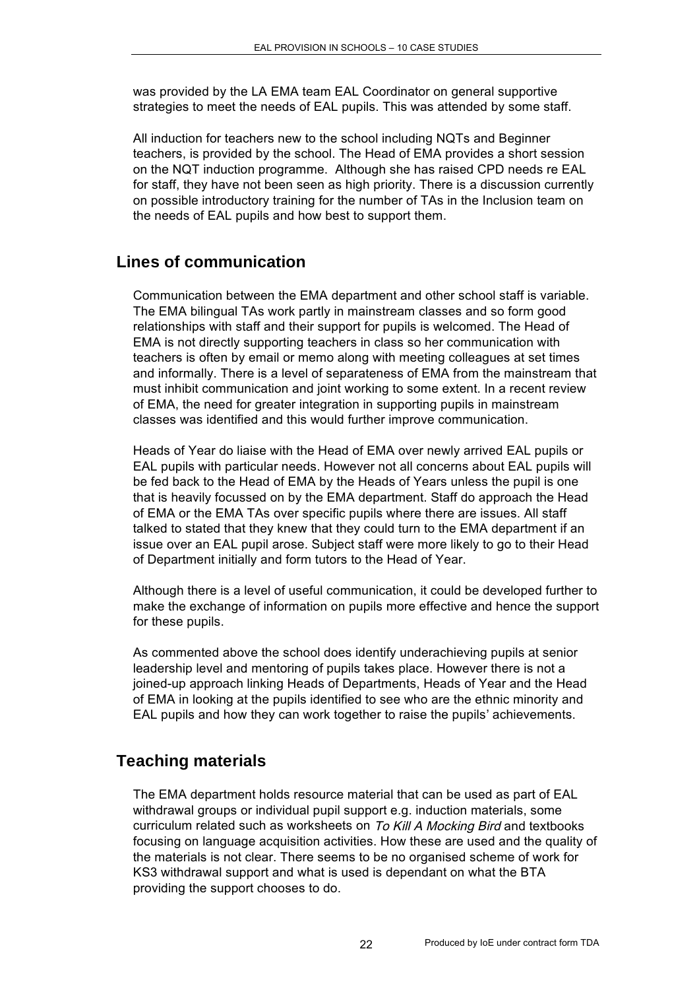was provided by the LA EMA team EAL Coordinator on general supportive strategies to meet the needs of EAL pupils. This was attended by some staff.

All induction for teachers new to the school including NQTs and Beginner teachers, is provided by the school. The Head of EMA provides a short session on the NQT induction programme. Although she has raised CPD needs re EAL for staff, they have not been seen as high priority. There is a discussion currently on possible introductory training for the number of TAs in the Inclusion team on the needs of EAL pupils and how best to support them.

## **Lines of communication**

Communication between the EMA department and other school staff is variable. The EMA bilingual TAs work partly in mainstream classes and so form good relationships with staff and their support for pupils is welcomed. The Head of EMA is not directly supporting teachers in class so her communication with teachers is often by email or memo along with meeting colleagues at set times and informally. There is a level of separateness of EMA from the mainstream that must inhibit communication and joint working to some extent. In a recent review of EMA, the need for greater integration in supporting pupils in mainstream classes was identified and this would further improve communication.

Heads of Year do liaise with the Head of EMA over newly arrived EAL pupils or EAL pupils with particular needs. However not all concerns about EAL pupils will be fed back to the Head of EMA by the Heads of Years unless the pupil is one that is heavily focussed on by the EMA department. Staff do approach the Head of EMA or the EMA TAs over specific pupils where there are issues. All staff talked to stated that they knew that they could turn to the EMA department if an issue over an EAL pupil arose. Subject staff were more likely to go to their Head of Department initially and form tutors to the Head of Year.

Although there is a level of useful communication, it could be developed further to make the exchange of information on pupils more effective and hence the support for these pupils.

As commented above the school does identify underachieving pupils at senior leadership level and mentoring of pupils takes place. However there is not a joined-up approach linking Heads of Departments, Heads of Year and the Head of EMA in looking at the pupils identified to see who are the ethnic minority and EAL pupils and how they can work together to raise the pupils' achievements.

## **Teaching materials**

The EMA department holds resource material that can be used as part of EAL withdrawal groups or individual pupil support e.g. induction materials, some curriculum related such as worksheets on To Kill A Mocking Bird and textbooks focusing on language acquisition activities. How these are used and the quality of the materials is not clear. There seems to be no organised scheme of work for KS3 withdrawal support and what is used is dependant on what the BTA providing the support chooses to do.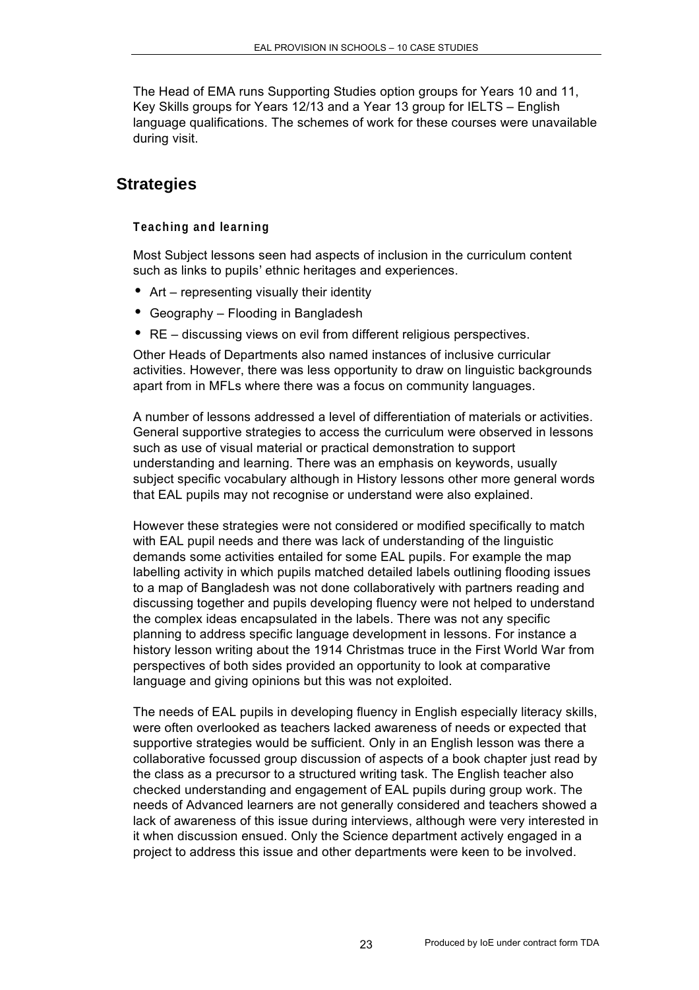The Head of EMA runs Supporting Studies option groups for Years 10 and 11, Key Skills groups for Years 12/13 and a Year 13 group for IELTS – English language qualifications. The schemes of work for these courses were unavailable during visit.

### **Strategies**

#### **Teaching and learning**

Most Subject lessons seen had aspects of inclusion in the curriculum content such as links to pupils' ethnic heritages and experiences.

- Art representing visually their identity
- Geography Flooding in Bangladesh
- RE discussing views on evil from different religious perspectives.

Other Heads of Departments also named instances of inclusive curricular activities. However, there was less opportunity to draw on linguistic backgrounds apart from in MFLs where there was a focus on community languages.

A number of lessons addressed a level of differentiation of materials or activities. General supportive strategies to access the curriculum were observed in lessons such as use of visual material or practical demonstration to support understanding and learning. There was an emphasis on keywords, usually subject specific vocabulary although in History lessons other more general words that EAL pupils may not recognise or understand were also explained.

However these strategies were not considered or modified specifically to match with EAL pupil needs and there was lack of understanding of the linguistic demands some activities entailed for some EAL pupils. For example the map labelling activity in which pupils matched detailed labels outlining flooding issues to a map of Bangladesh was not done collaboratively with partners reading and discussing together and pupils developing fluency were not helped to understand the complex ideas encapsulated in the labels. There was not any specific planning to address specific language development in lessons. For instance a history lesson writing about the 1914 Christmas truce in the First World War from perspectives of both sides provided an opportunity to look at comparative language and giving opinions but this was not exploited.

The needs of EAL pupils in developing fluency in English especially literacy skills, were often overlooked as teachers lacked awareness of needs or expected that supportive strategies would be sufficient. Only in an English lesson was there a collaborative focussed group discussion of aspects of a book chapter just read by the class as a precursor to a structured writing task. The English teacher also checked understanding and engagement of EAL pupils during group work. The needs of Advanced learners are not generally considered and teachers showed a lack of awareness of this issue during interviews, although were very interested in it when discussion ensued. Only the Science department actively engaged in a project to address this issue and other departments were keen to be involved.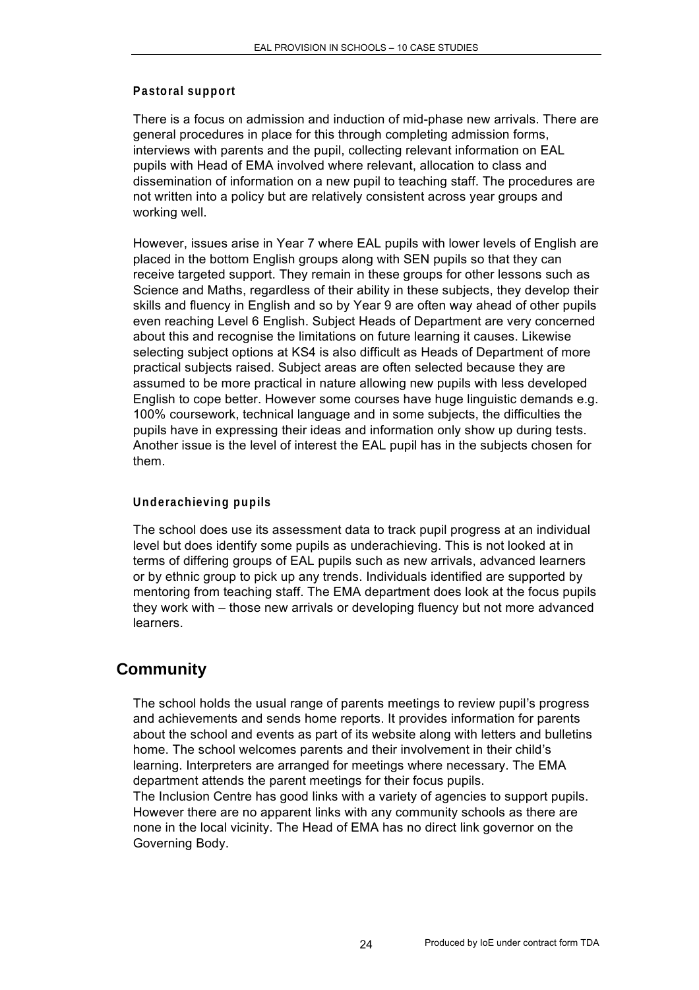#### **Pastoral support**

There is a focus on admission and induction of mid-phase new arrivals. There are general procedures in place for this through completing admission forms, interviews with parents and the pupil, collecting relevant information on EAL pupils with Head of EMA involved where relevant, allocation to class and dissemination of information on a new pupil to teaching staff. The procedures are not written into a policy but are relatively consistent across year groups and working well.

However, issues arise in Year 7 where EAL pupils with lower levels of English are placed in the bottom English groups along with SEN pupils so that they can receive targeted support. They remain in these groups for other lessons such as Science and Maths, regardless of their ability in these subjects, they develop their skills and fluency in English and so by Year 9 are often way ahead of other pupils even reaching Level 6 English. Subject Heads of Department are very concerned about this and recognise the limitations on future learning it causes. Likewise selecting subject options at KS4 is also difficult as Heads of Department of more practical subjects raised. Subject areas are often selected because they are assumed to be more practical in nature allowing new pupils with less developed English to cope better. However some courses have huge linguistic demands e.g. 100% coursework, technical language and in some subjects, the difficulties the pupils have in expressing their ideas and information only show up during tests. Another issue is the level of interest the EAL pupil has in the subjects chosen for them.

#### **Underachieving pupils**

The school does use its assessment data to track pupil progress at an individual level but does identify some pupils as underachieving. This is not looked at in terms of differing groups of EAL pupils such as new arrivals, advanced learners or by ethnic group to pick up any trends. Individuals identified are supported by mentoring from teaching staff. The EMA department does look at the focus pupils they work with – those new arrivals or developing fluency but not more advanced learners.

### **Community**

The school holds the usual range of parents meetings to review pupil's progress and achievements and sends home reports. It provides information for parents about the school and events as part of its website along with letters and bulletins home. The school welcomes parents and their involvement in their child's learning. Interpreters are arranged for meetings where necessary. The EMA department attends the parent meetings for their focus pupils. The Inclusion Centre has good links with a variety of agencies to support pupils. However there are no apparent links with any community schools as there are

none in the local vicinity. The Head of EMA has no direct link governor on the Governing Body.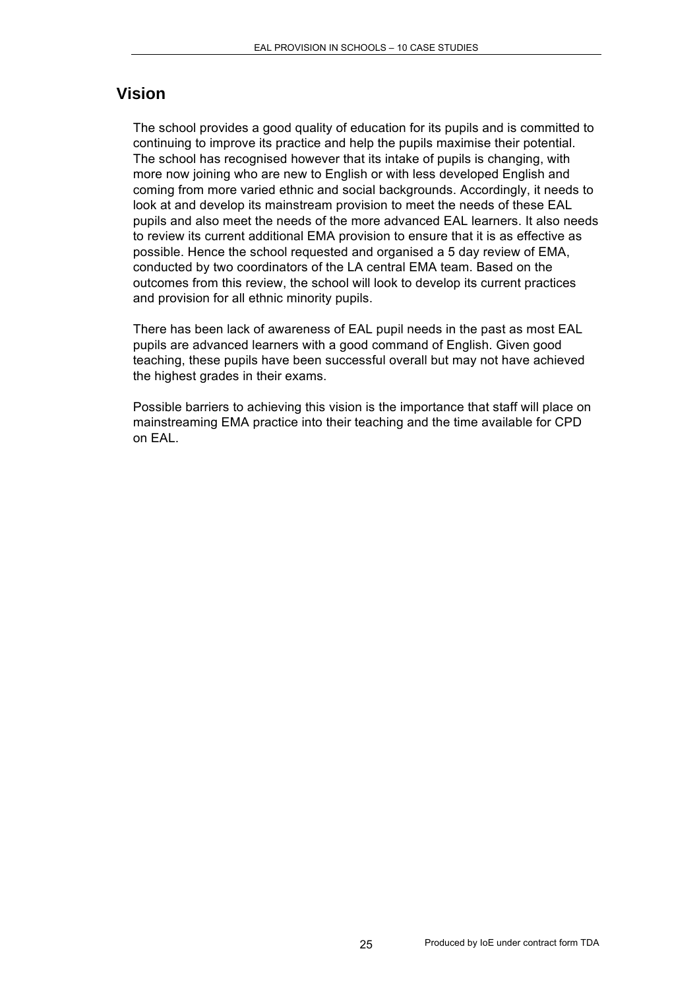#### **Vision**

The school provides a good quality of education for its pupils and is committed to continuing to improve its practice and help the pupils maximise their potential. The school has recognised however that its intake of pupils is changing, with more now joining who are new to English or with less developed English and coming from more varied ethnic and social backgrounds. Accordingly, it needs to look at and develop its mainstream provision to meet the needs of these EAL pupils and also meet the needs of the more advanced EAL learners. It also needs to review its current additional EMA provision to ensure that it is as effective as possible. Hence the school requested and organised a 5 day review of EMA, conducted by two coordinators of the LA central EMA team. Based on the outcomes from this review, the school will look to develop its current practices and provision for all ethnic minority pupils.

There has been lack of awareness of EAL pupil needs in the past as most EAL pupils are advanced learners with a good command of English. Given good teaching, these pupils have been successful overall but may not have achieved the highest grades in their exams.

Possible barriers to achieving this vision is the importance that staff will place on mainstreaming EMA practice into their teaching and the time available for CPD on EAL.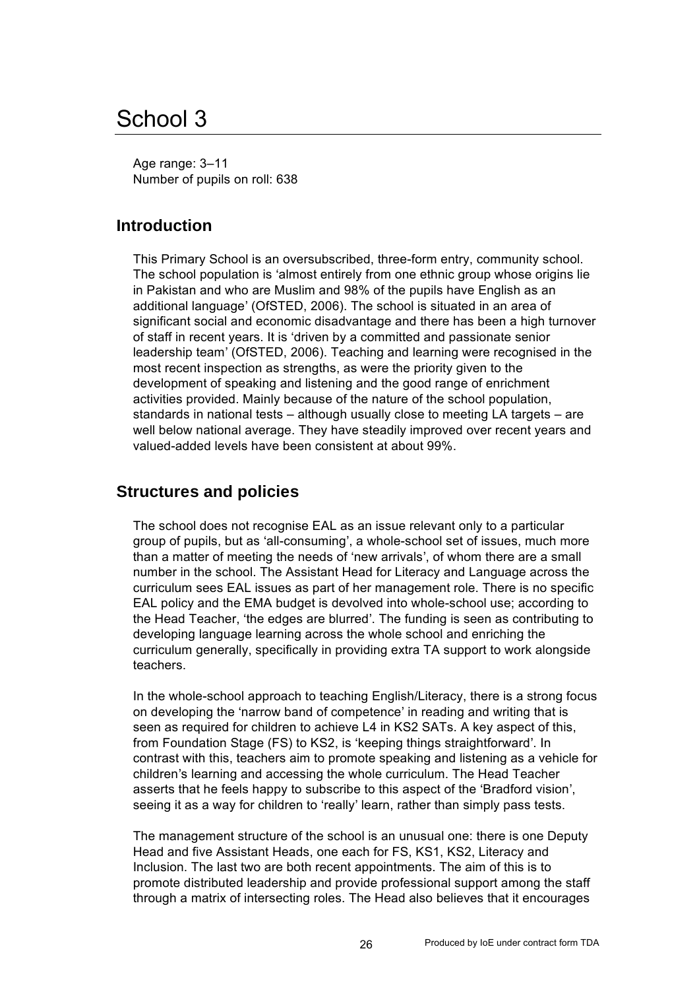## School 3

Age range: 3–11 Number of pupils on roll: 638

## **Introduction**

This Primary School is an oversubscribed, three-form entry, community school. The school population is 'almost entirely from one ethnic group whose origins lie in Pakistan and who are Muslim and 98% of the pupils have English as an additional language' (OfSTED, 2006). The school is situated in an area of significant social and economic disadvantage and there has been a high turnover of staff in recent years. It is 'driven by a committed and passionate senior leadership team' (OfSTED, 2006). Teaching and learning were recognised in the most recent inspection as strengths, as were the priority given to the development of speaking and listening and the good range of enrichment activities provided. Mainly because of the nature of the school population, standards in national tests – although usually close to meeting LA targets – are well below national average. They have steadily improved over recent years and valued-added levels have been consistent at about 99%.

#### **Structures and policies**

The school does not recognise EAL as an issue relevant only to a particular group of pupils, but as 'all-consuming', a whole-school set of issues, much more than a matter of meeting the needs of 'new arrivals', of whom there are a small number in the school. The Assistant Head for Literacy and Language across the curriculum sees EAL issues as part of her management role. There is no specific EAL policy and the EMA budget is devolved into whole-school use; according to the Head Teacher, 'the edges are blurred'. The funding is seen as contributing to developing language learning across the whole school and enriching the curriculum generally, specifically in providing extra TA support to work alongside teachers.

In the whole-school approach to teaching English/Literacy, there is a strong focus on developing the 'narrow band of competence' in reading and writing that is seen as required for children to achieve L4 in KS2 SATs. A key aspect of this, from Foundation Stage (FS) to KS2, is 'keeping things straightforward'. In contrast with this, teachers aim to promote speaking and listening as a vehicle for children's learning and accessing the whole curriculum. The Head Teacher asserts that he feels happy to subscribe to this aspect of the 'Bradford vision', seeing it as a way for children to 'really' learn, rather than simply pass tests.

The management structure of the school is an unusual one: there is one Deputy Head and five Assistant Heads, one each for FS, KS1, KS2, Literacy and Inclusion. The last two are both recent appointments. The aim of this is to promote distributed leadership and provide professional support among the staff through a matrix of intersecting roles. The Head also believes that it encourages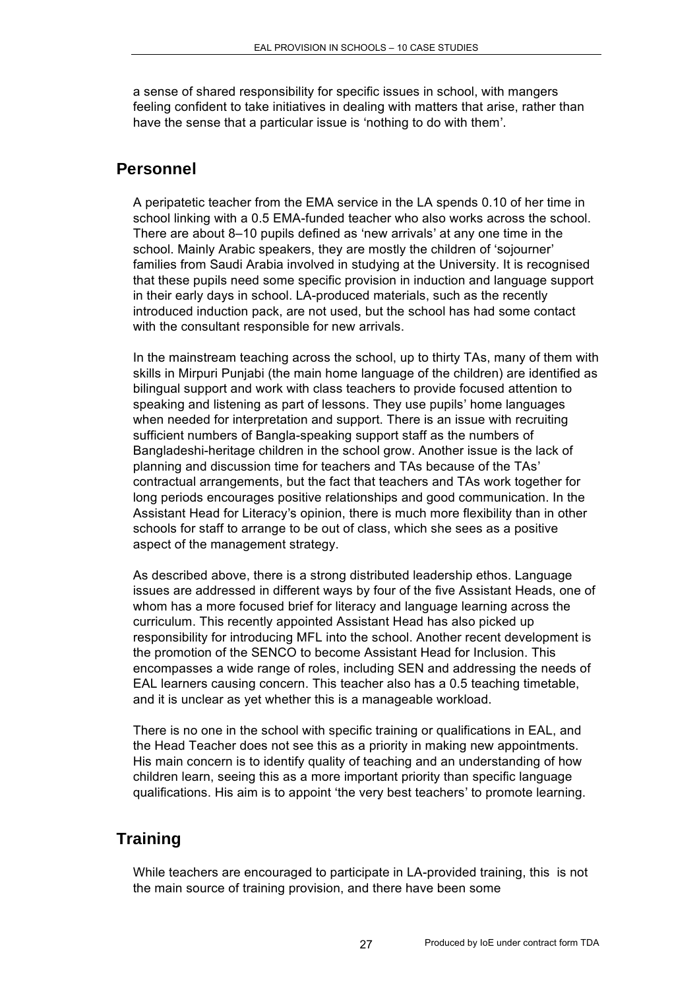a sense of shared responsibility for specific issues in school, with mangers feeling confident to take initiatives in dealing with matters that arise, rather than have the sense that a particular issue is 'nothing to do with them'.

## **Personnel**

A peripatetic teacher from the EMA service in the LA spends 0.10 of her time in school linking with a 0.5 EMA-funded teacher who also works across the school. There are about 8–10 pupils defined as 'new arrivals' at any one time in the school. Mainly Arabic speakers, they are mostly the children of 'sojourner' families from Saudi Arabia involved in studying at the University. It is recognised that these pupils need some specific provision in induction and language support in their early days in school. LA-produced materials, such as the recently introduced induction pack, are not used, but the school has had some contact with the consultant responsible for new arrivals.

In the mainstream teaching across the school, up to thirty TAs, many of them with skills in Mirpuri Punjabi (the main home language of the children) are identified as bilingual support and work with class teachers to provide focused attention to speaking and listening as part of lessons. They use pupils' home languages when needed for interpretation and support. There is an issue with recruiting sufficient numbers of Bangla-speaking support staff as the numbers of Bangladeshi-heritage children in the school grow. Another issue is the lack of planning and discussion time for teachers and TAs because of the TAs' contractual arrangements, but the fact that teachers and TAs work together for long periods encourages positive relationships and good communication. In the Assistant Head for Literacy's opinion, there is much more flexibility than in other schools for staff to arrange to be out of class, which she sees as a positive aspect of the management strategy.

As described above, there is a strong distributed leadership ethos. Language issues are addressed in different ways by four of the five Assistant Heads, one of whom has a more focused brief for literacy and language learning across the curriculum. This recently appointed Assistant Head has also picked up responsibility for introducing MFL into the school. Another recent development is the promotion of the SENCO to become Assistant Head for Inclusion. This encompasses a wide range of roles, including SEN and addressing the needs of EAL learners causing concern. This teacher also has a 0.5 teaching timetable, and it is unclear as yet whether this is a manageable workload.

There is no one in the school with specific training or qualifications in EAL, and the Head Teacher does not see this as a priority in making new appointments. His main concern is to identify quality of teaching and an understanding of how children learn, seeing this as a more important priority than specific language qualifications. His aim is to appoint 'the very best teachers' to promote learning.

## **Training**

While teachers are encouraged to participate in LA-provided training, this is not the main source of training provision, and there have been some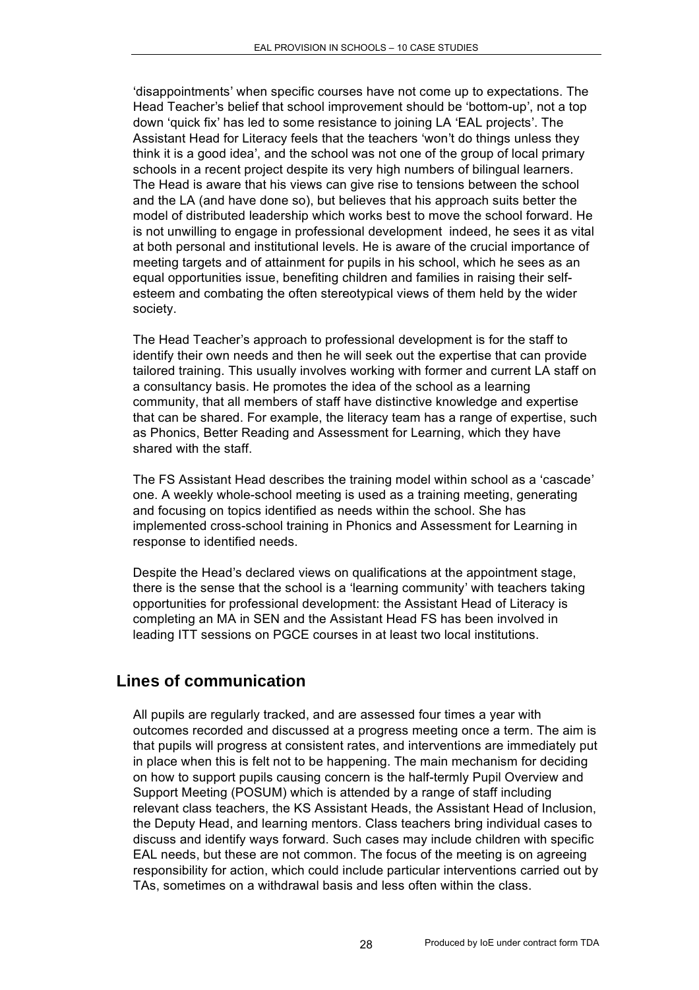'disappointments' when specific courses have not come up to expectations. The Head Teacher's belief that school improvement should be 'bottom-up', not a top down 'quick fix' has led to some resistance to joining LA 'EAL projects'. The Assistant Head for Literacy feels that the teachers 'won't do things unless they think it is a good idea', and the school was not one of the group of local primary schools in a recent project despite its very high numbers of bilingual learners. The Head is aware that his views can give rise to tensions between the school and the LA (and have done so), but believes that his approach suits better the model of distributed leadership which works best to move the school forward. He is not unwilling to engage in professional development indeed, he sees it as vital at both personal and institutional levels. He is aware of the crucial importance of meeting targets and of attainment for pupils in his school, which he sees as an equal opportunities issue, benefiting children and families in raising their selfesteem and combating the often stereotypical views of them held by the wider society.

The Head Teacher's approach to professional development is for the staff to identify their own needs and then he will seek out the expertise that can provide tailored training. This usually involves working with former and current LA staff on a consultancy basis. He promotes the idea of the school as a learning community, that all members of staff have distinctive knowledge and expertise that can be shared. For example, the literacy team has a range of expertise, such as Phonics, Better Reading and Assessment for Learning, which they have shared with the staff.

The FS Assistant Head describes the training model within school as a 'cascade' one. A weekly whole-school meeting is used as a training meeting, generating and focusing on topics identified as needs within the school. She has implemented cross-school training in Phonics and Assessment for Learning in response to identified needs.

Despite the Head's declared views on qualifications at the appointment stage, there is the sense that the school is a 'learning community' with teachers taking opportunities for professional development: the Assistant Head of Literacy is completing an MA in SEN and the Assistant Head FS has been involved in leading ITT sessions on PGCE courses in at least two local institutions.

### **Lines of communication**

All pupils are regularly tracked, and are assessed four times a year with outcomes recorded and discussed at a progress meeting once a term. The aim is that pupils will progress at consistent rates, and interventions are immediately put in place when this is felt not to be happening. The main mechanism for deciding on how to support pupils causing concern is the half-termly Pupil Overview and Support Meeting (POSUM) which is attended by a range of staff including relevant class teachers, the KS Assistant Heads, the Assistant Head of Inclusion, the Deputy Head, and learning mentors. Class teachers bring individual cases to discuss and identify ways forward. Such cases may include children with specific EAL needs, but these are not common. The focus of the meeting is on agreeing responsibility for action, which could include particular interventions carried out by TAs, sometimes on a withdrawal basis and less often within the class.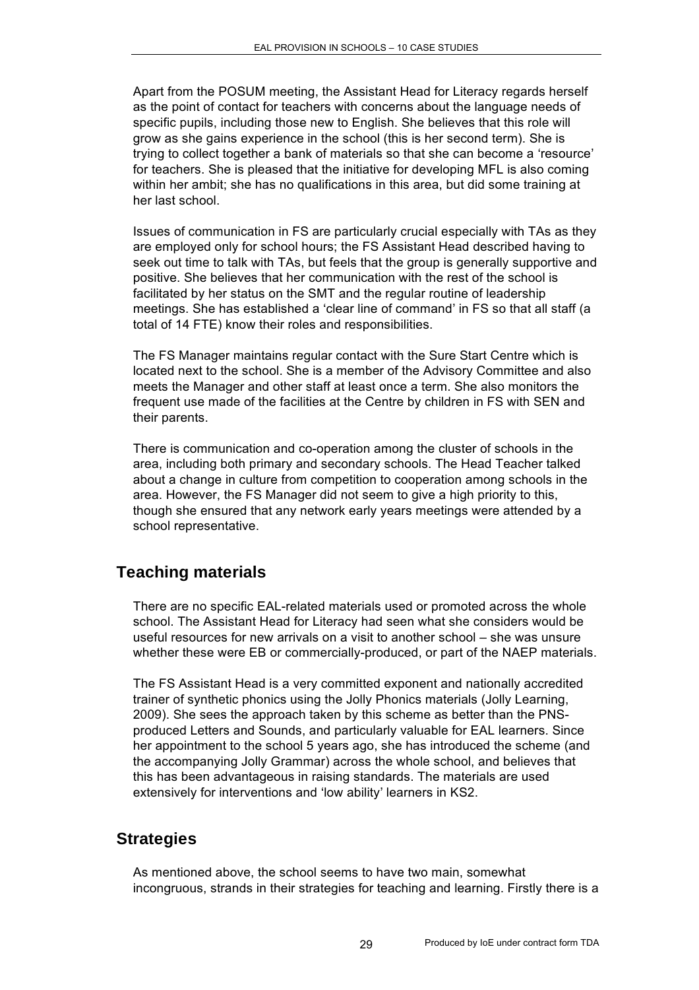Apart from the POSUM meeting, the Assistant Head for Literacy regards herself as the point of contact for teachers with concerns about the language needs of specific pupils, including those new to English. She believes that this role will grow as she gains experience in the school (this is her second term). She is trying to collect together a bank of materials so that she can become a 'resource' for teachers. She is pleased that the initiative for developing MFL is also coming within her ambit; she has no qualifications in this area, but did some training at her last school.

Issues of communication in FS are particularly crucial especially with TAs as they are employed only for school hours; the FS Assistant Head described having to seek out time to talk with TAs, but feels that the group is generally supportive and positive. She believes that her communication with the rest of the school is facilitated by her status on the SMT and the regular routine of leadership meetings. She has established a 'clear line of command' in FS so that all staff (a total of 14 FTE) know their roles and responsibilities.

The FS Manager maintains regular contact with the Sure Start Centre which is located next to the school. She is a member of the Advisory Committee and also meets the Manager and other staff at least once a term. She also monitors the frequent use made of the facilities at the Centre by children in FS with SEN and their parents.

There is communication and co-operation among the cluster of schools in the area, including both primary and secondary schools. The Head Teacher talked about a change in culture from competition to cooperation among schools in the area. However, the FS Manager did not seem to give a high priority to this, though she ensured that any network early years meetings were attended by a school representative.

## **Teaching materials**

There are no specific EAL-related materials used or promoted across the whole school. The Assistant Head for Literacy had seen what she considers would be useful resources for new arrivals on a visit to another school – she was unsure whether these were EB or commercially-produced, or part of the NAEP materials.

The FS Assistant Head is a very committed exponent and nationally accredited trainer of synthetic phonics using the Jolly Phonics materials (Jolly Learning, 2009). She sees the approach taken by this scheme as better than the PNSproduced Letters and Sounds, and particularly valuable for EAL learners. Since her appointment to the school 5 years ago, she has introduced the scheme (and the accompanying Jolly Grammar) across the whole school, and believes that this has been advantageous in raising standards. The materials are used extensively for interventions and 'low ability' learners in KS2.

### **Strategies**

As mentioned above, the school seems to have two main, somewhat incongruous, strands in their strategies for teaching and learning. Firstly there is a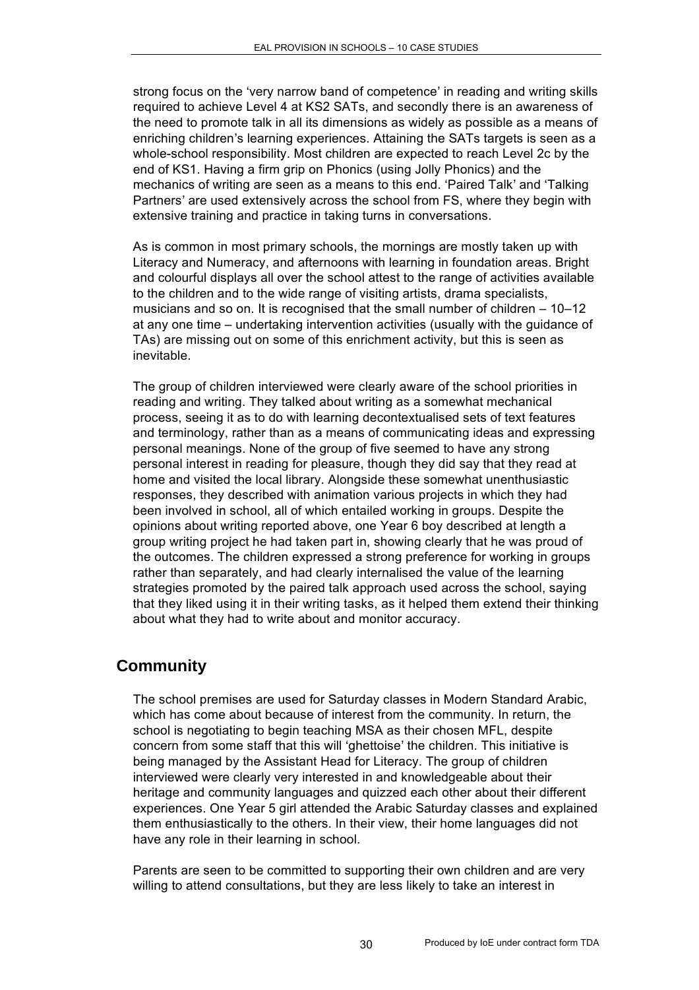strong focus on the 'very narrow band of competence' in reading and writing skills required to achieve Level 4 at KS2 SATs, and secondly there is an awareness of the need to promote talk in all its dimensions as widely as possible as a means of enriching children's learning experiences. Attaining the SATs targets is seen as a whole-school responsibility. Most children are expected to reach Level 2c by the end of KS1. Having a firm grip on Phonics (using Jolly Phonics) and the mechanics of writing are seen as a means to this end. 'Paired Talk' and 'Talking Partners' are used extensively across the school from FS, where they begin with extensive training and practice in taking turns in conversations.

As is common in most primary schools, the mornings are mostly taken up with Literacy and Numeracy, and afternoons with learning in foundation areas. Bright and colourful displays all over the school attest to the range of activities available to the children and to the wide range of visiting artists, drama specialists, musicians and so on. It is recognised that the small number of children – 10–12 at any one time – undertaking intervention activities (usually with the guidance of TAs) are missing out on some of this enrichment activity, but this is seen as inevitable.

The group of children interviewed were clearly aware of the school priorities in reading and writing. They talked about writing as a somewhat mechanical process, seeing it as to do with learning decontextualised sets of text features and terminology, rather than as a means of communicating ideas and expressing personal meanings. None of the group of five seemed to have any strong personal interest in reading for pleasure, though they did say that they read at home and visited the local library. Alongside these somewhat unenthusiastic responses, they described with animation various projects in which they had been involved in school, all of which entailed working in groups. Despite the opinions about writing reported above, one Year 6 boy described at length a group writing project he had taken part in, showing clearly that he was proud of the outcomes. The children expressed a strong preference for working in groups rather than separately, and had clearly internalised the value of the learning strategies promoted by the paired talk approach used across the school, saying that they liked using it in their writing tasks, as it helped them extend their thinking about what they had to write about and monitor accuracy.

## **Community**

The school premises are used for Saturday classes in Modern Standard Arabic, which has come about because of interest from the community. In return, the school is negotiating to begin teaching MSA as their chosen MFL, despite concern from some staff that this will 'ghettoise' the children. This initiative is being managed by the Assistant Head for Literacy. The group of children interviewed were clearly very interested in and knowledgeable about their heritage and community languages and quizzed each other about their different experiences. One Year 5 girl attended the Arabic Saturday classes and explained them enthusiastically to the others. In their view, their home languages did not have any role in their learning in school.

Parents are seen to be committed to supporting their own children and are very willing to attend consultations, but they are less likely to take an interest in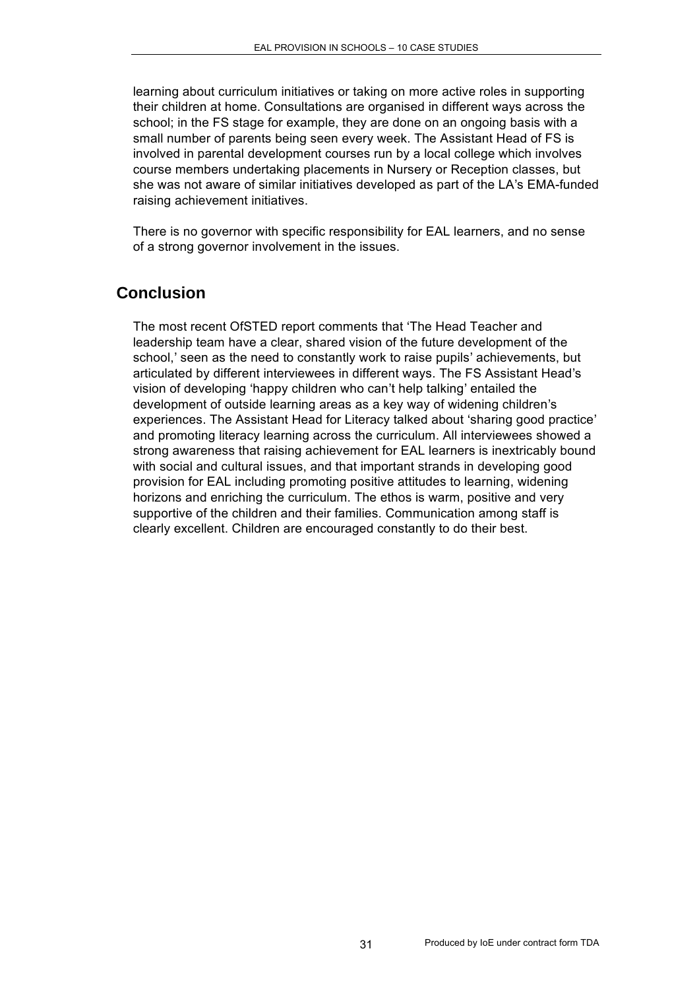learning about curriculum initiatives or taking on more active roles in supporting their children at home. Consultations are organised in different ways across the school; in the FS stage for example, they are done on an ongoing basis with a small number of parents being seen every week. The Assistant Head of FS is involved in parental development courses run by a local college which involves course members undertaking placements in Nursery or Reception classes, but she was not aware of similar initiatives developed as part of the LA's EMA-funded raising achievement initiatives.

There is no governor with specific responsibility for EAL learners, and no sense of a strong governor involvement in the issues.

## **Conclusion**

The most recent OfSTED report comments that 'The Head Teacher and leadership team have a clear, shared vision of the future development of the school,' seen as the need to constantly work to raise pupils' achievements, but articulated by different interviewees in different ways. The FS Assistant Head's vision of developing 'happy children who can't help talking' entailed the development of outside learning areas as a key way of widening children's experiences. The Assistant Head for Literacy talked about 'sharing good practice' and promoting literacy learning across the curriculum. All interviewees showed a strong awareness that raising achievement for EAL learners is inextricably bound with social and cultural issues, and that important strands in developing good provision for EAL including promoting positive attitudes to learning, widening horizons and enriching the curriculum. The ethos is warm, positive and very supportive of the children and their families. Communication among staff is clearly excellent. Children are encouraged constantly to do their best.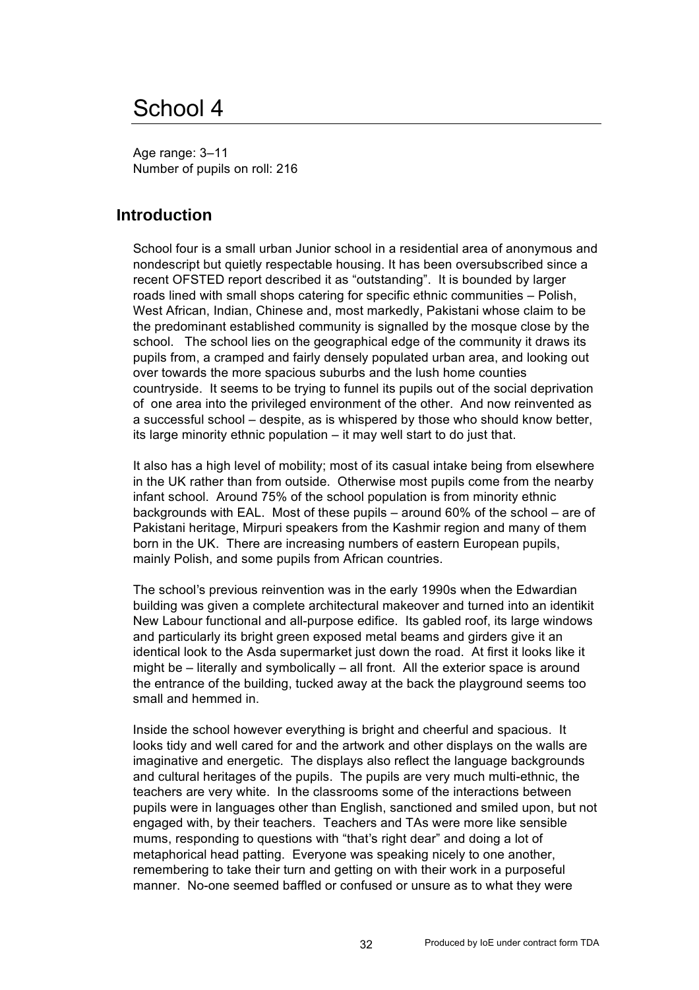## School 4

Age range: 3–11 Number of pupils on roll: 216

#### **Introduction**

School four is a small urban Junior school in a residential area of anonymous and nondescript but quietly respectable housing. It has been oversubscribed since a recent OFSTED report described it as "outstanding". It is bounded by larger roads lined with small shops catering for specific ethnic communities – Polish, West African, Indian, Chinese and, most markedly, Pakistani whose claim to be the predominant established community is signalled by the mosque close by the school. The school lies on the geographical edge of the community it draws its pupils from, a cramped and fairly densely populated urban area, and looking out over towards the more spacious suburbs and the lush home counties countryside. It seems to be trying to funnel its pupils out of the social deprivation of one area into the privileged environment of the other. And now reinvented as a successful school – despite, as is whispered by those who should know better, its large minority ethnic population – it may well start to do just that.

It also has a high level of mobility; most of its casual intake being from elsewhere in the UK rather than from outside. Otherwise most pupils come from the nearby infant school. Around 75% of the school population is from minority ethnic backgrounds with EAL. Most of these pupils – around 60% of the school – are of Pakistani heritage, Mirpuri speakers from the Kashmir region and many of them born in the UK. There are increasing numbers of eastern European pupils, mainly Polish, and some pupils from African countries.

The school's previous reinvention was in the early 1990s when the Edwardian building was given a complete architectural makeover and turned into an identikit New Labour functional and all-purpose edifice. Its gabled roof, its large windows and particularly its bright green exposed metal beams and girders give it an identical look to the Asda supermarket just down the road. At first it looks like it might be – literally and symbolically – all front. All the exterior space is around the entrance of the building, tucked away at the back the playground seems too small and hemmed in.

Inside the school however everything is bright and cheerful and spacious. It looks tidy and well cared for and the artwork and other displays on the walls are imaginative and energetic. The displays also reflect the language backgrounds and cultural heritages of the pupils. The pupils are very much multi-ethnic, the teachers are very white. In the classrooms some of the interactions between pupils were in languages other than English, sanctioned and smiled upon, but not engaged with, by their teachers. Teachers and TAs were more like sensible mums, responding to questions with "that's right dear" and doing a lot of metaphorical head patting. Everyone was speaking nicely to one another, remembering to take their turn and getting on with their work in a purposeful manner. No-one seemed baffled or confused or unsure as to what they were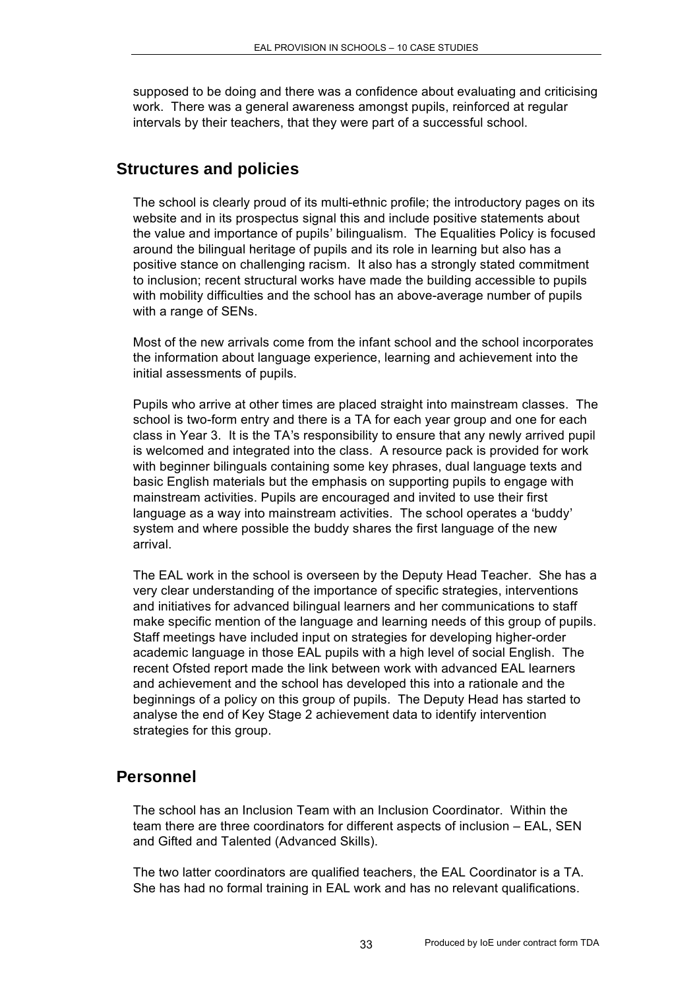supposed to be doing and there was a confidence about evaluating and criticising work. There was a general awareness amongst pupils, reinforced at regular intervals by their teachers, that they were part of a successful school.

#### **Structures and policies**

The school is clearly proud of its multi-ethnic profile; the introductory pages on its website and in its prospectus signal this and include positive statements about the value and importance of pupils' bilingualism. The Equalities Policy is focused around the bilingual heritage of pupils and its role in learning but also has a positive stance on challenging racism. It also has a strongly stated commitment to inclusion; recent structural works have made the building accessible to pupils with mobility difficulties and the school has an above-average number of pupils with a range of SENs.

Most of the new arrivals come from the infant school and the school incorporates the information about language experience, learning and achievement into the initial assessments of pupils.

Pupils who arrive at other times are placed straight into mainstream classes. The school is two-form entry and there is a TA for each year group and one for each class in Year 3. It is the TA's responsibility to ensure that any newly arrived pupil is welcomed and integrated into the class. A resource pack is provided for work with beginner bilinguals containing some key phrases, dual language texts and basic English materials but the emphasis on supporting pupils to engage with mainstream activities. Pupils are encouraged and invited to use their first language as a way into mainstream activities. The school operates a 'buddy' system and where possible the buddy shares the first language of the new arrival.

The EAL work in the school is overseen by the Deputy Head Teacher. She has a very clear understanding of the importance of specific strategies, interventions and initiatives for advanced bilingual learners and her communications to staff make specific mention of the language and learning needs of this group of pupils. Staff meetings have included input on strategies for developing higher-order academic language in those EAL pupils with a high level of social English. The recent Ofsted report made the link between work with advanced EAL learners and achievement and the school has developed this into a rationale and the beginnings of a policy on this group of pupils. The Deputy Head has started to analyse the end of Key Stage 2 achievement data to identify intervention strategies for this group.

### **Personnel**

The school has an Inclusion Team with an Inclusion Coordinator. Within the team there are three coordinators for different aspects of inclusion – EAL, SEN and Gifted and Talented (Advanced Skills).

The two latter coordinators are qualified teachers, the EAL Coordinator is a TA. She has had no formal training in EAL work and has no relevant qualifications.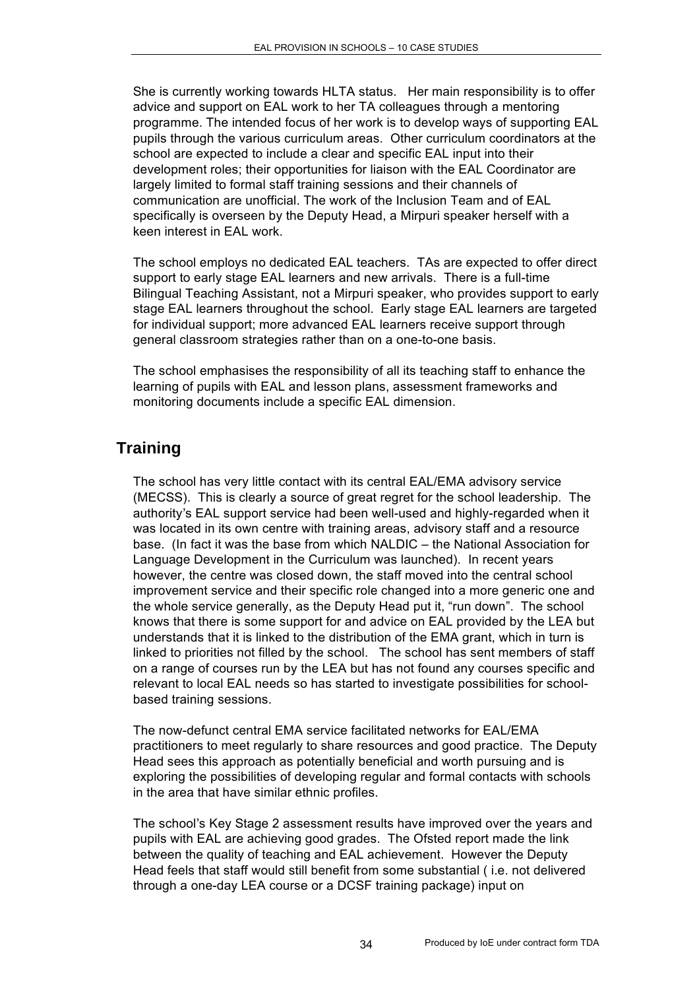She is currently working towards HLTA status. Her main responsibility is to offer advice and support on EAL work to her TA colleagues through a mentoring programme. The intended focus of her work is to develop ways of supporting EAL pupils through the various curriculum areas. Other curriculum coordinators at the school are expected to include a clear and specific EAL input into their development roles; their opportunities for liaison with the EAL Coordinator are largely limited to formal staff training sessions and their channels of communication are unofficial. The work of the Inclusion Team and of EAL specifically is overseen by the Deputy Head, a Mirpuri speaker herself with a keen interest in EAL work.

The school employs no dedicated EAL teachers. TAs are expected to offer direct support to early stage EAL learners and new arrivals. There is a full-time Bilingual Teaching Assistant, not a Mirpuri speaker, who provides support to early stage EAL learners throughout the school. Early stage EAL learners are targeted for individual support; more advanced EAL learners receive support through general classroom strategies rather than on a one-to-one basis.

The school emphasises the responsibility of all its teaching staff to enhance the learning of pupils with EAL and lesson plans, assessment frameworks and monitoring documents include a specific EAL dimension.

## **Training**

The school has very little contact with its central EAL/EMA advisory service (MECSS). This is clearly a source of great regret for the school leadership. The authority's EAL support service had been well-used and highly-regarded when it was located in its own centre with training areas, advisory staff and a resource base. (In fact it was the base from which NALDIC – the National Association for Language Development in the Curriculum was launched). In recent years however, the centre was closed down, the staff moved into the central school improvement service and their specific role changed into a more generic one and the whole service generally, as the Deputy Head put it, "run down". The school knows that there is some support for and advice on EAL provided by the LEA but understands that it is linked to the distribution of the EMA grant, which in turn is linked to priorities not filled by the school. The school has sent members of staff on a range of courses run by the LEA but has not found any courses specific and relevant to local EAL needs so has started to investigate possibilities for schoolbased training sessions.

The now-defunct central EMA service facilitated networks for EAL/EMA practitioners to meet regularly to share resources and good practice. The Deputy Head sees this approach as potentially beneficial and worth pursuing and is exploring the possibilities of developing regular and formal contacts with schools in the area that have similar ethnic profiles.

The school's Key Stage 2 assessment results have improved over the years and pupils with EAL are achieving good grades. The Ofsted report made the link between the quality of teaching and EAL achievement. However the Deputy Head feels that staff would still benefit from some substantial ( i.e. not delivered through a one-day LEA course or a DCSF training package) input on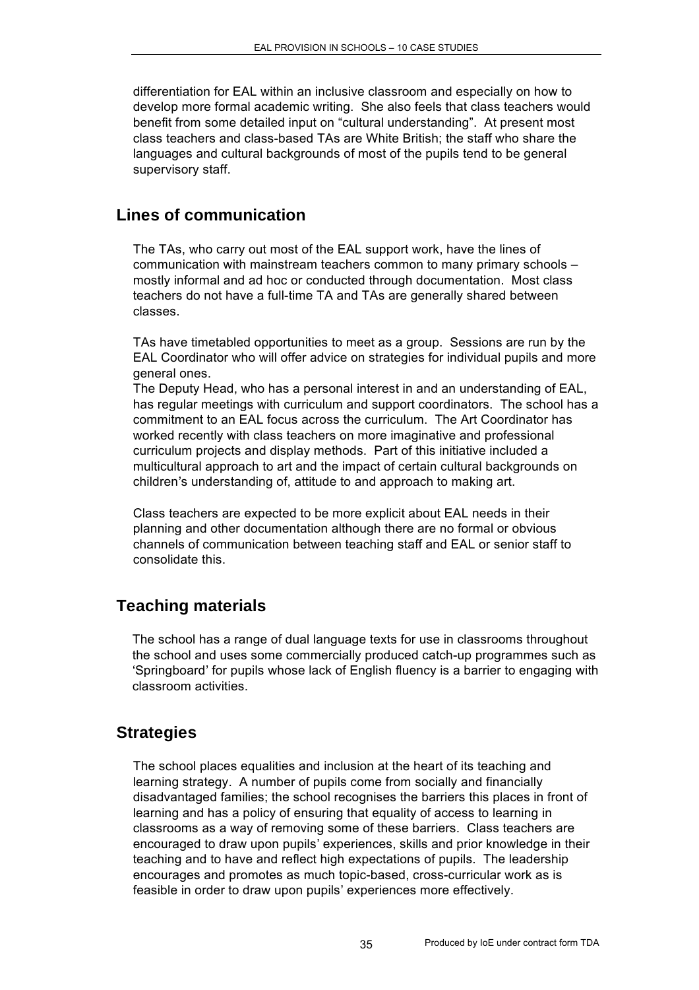differentiation for EAL within an inclusive classroom and especially on how to develop more formal academic writing. She also feels that class teachers would benefit from some detailed input on "cultural understanding". At present most class teachers and class-based TAs are White British; the staff who share the languages and cultural backgrounds of most of the pupils tend to be general supervisory staff.

## **Lines of communication**

The TAs, who carry out most of the EAL support work, have the lines of communication with mainstream teachers common to many primary schools – mostly informal and ad hoc or conducted through documentation. Most class teachers do not have a full-time TA and TAs are generally shared between classes.

TAs have timetabled opportunities to meet as a group. Sessions are run by the EAL Coordinator who will offer advice on strategies for individual pupils and more general ones.

The Deputy Head, who has a personal interest in and an understanding of EAL, has regular meetings with curriculum and support coordinators. The school has a commitment to an EAL focus across the curriculum. The Art Coordinator has worked recently with class teachers on more imaginative and professional curriculum projects and display methods. Part of this initiative included a multicultural approach to art and the impact of certain cultural backgrounds on children's understanding of, attitude to and approach to making art.

Class teachers are expected to be more explicit about EAL needs in their planning and other documentation although there are no formal or obvious channels of communication between teaching staff and EAL or senior staff to consolidate this.

## **Teaching materials**

The school has a range of dual language texts for use in classrooms throughout the school and uses some commercially produced catch-up programmes such as 'Springboard' for pupils whose lack of English fluency is a barrier to engaging with classroom activities.

### **Strategies**

The school places equalities and inclusion at the heart of its teaching and learning strategy. A number of pupils come from socially and financially disadvantaged families; the school recognises the barriers this places in front of learning and has a policy of ensuring that equality of access to learning in classrooms as a way of removing some of these barriers. Class teachers are encouraged to draw upon pupils' experiences, skills and prior knowledge in their teaching and to have and reflect high expectations of pupils. The leadership encourages and promotes as much topic-based, cross-curricular work as is feasible in order to draw upon pupils' experiences more effectively.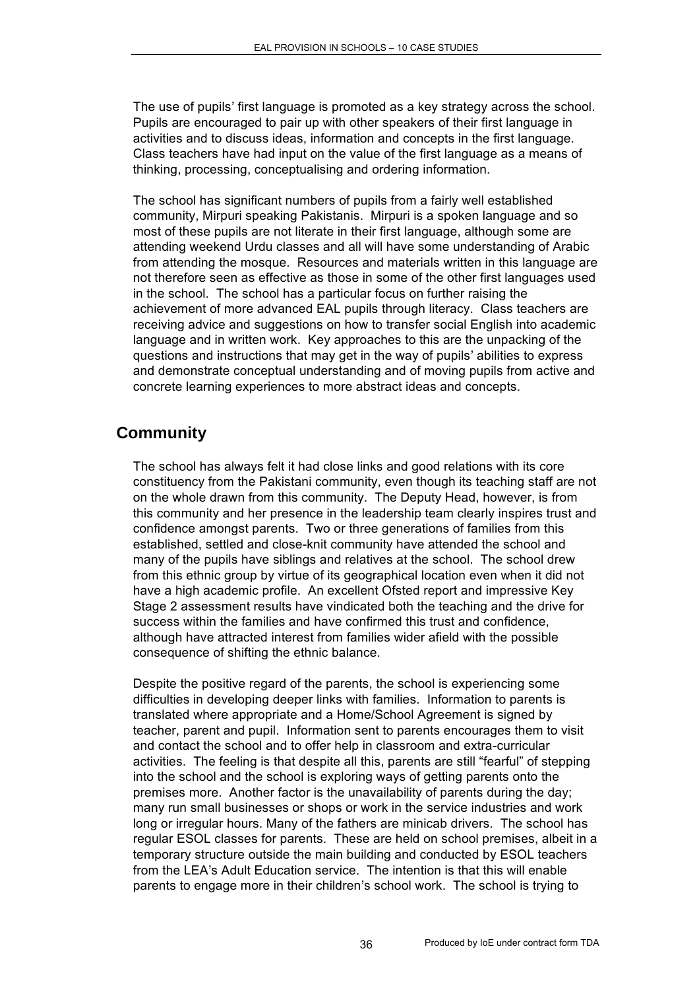The use of pupils' first language is promoted as a key strategy across the school. Pupils are encouraged to pair up with other speakers of their first language in activities and to discuss ideas, information and concepts in the first language. Class teachers have had input on the value of the first language as a means of thinking, processing, conceptualising and ordering information.

The school has significant numbers of pupils from a fairly well established community, Mirpuri speaking Pakistanis. Mirpuri is a spoken language and so most of these pupils are not literate in their first language, although some are attending weekend Urdu classes and all will have some understanding of Arabic from attending the mosque. Resources and materials written in this language are not therefore seen as effective as those in some of the other first languages used in the school. The school has a particular focus on further raising the achievement of more advanced EAL pupils through literacy. Class teachers are receiving advice and suggestions on how to transfer social English into academic language and in written work. Key approaches to this are the unpacking of the questions and instructions that may get in the way of pupils' abilities to express and demonstrate conceptual understanding and of moving pupils from active and concrete learning experiences to more abstract ideas and concepts.

## **Community**

The school has always felt it had close links and good relations with its core constituency from the Pakistani community, even though its teaching staff are not on the whole drawn from this community. The Deputy Head, however, is from this community and her presence in the leadership team clearly inspires trust and confidence amongst parents. Two or three generations of families from this established, settled and close-knit community have attended the school and many of the pupils have siblings and relatives at the school. The school drew from this ethnic group by virtue of its geographical location even when it did not have a high academic profile. An excellent Ofsted report and impressive Key Stage 2 assessment results have vindicated both the teaching and the drive for success within the families and have confirmed this trust and confidence, although have attracted interest from families wider afield with the possible consequence of shifting the ethnic balance.

Despite the positive regard of the parents, the school is experiencing some difficulties in developing deeper links with families. Information to parents is translated where appropriate and a Home/School Agreement is signed by teacher, parent and pupil. Information sent to parents encourages them to visit and contact the school and to offer help in classroom and extra-curricular activities. The feeling is that despite all this, parents are still "fearful" of stepping into the school and the school is exploring ways of getting parents onto the premises more. Another factor is the unavailability of parents during the day; many run small businesses or shops or work in the service industries and work long or irregular hours. Many of the fathers are minicab drivers. The school has regular ESOL classes for parents. These are held on school premises, albeit in a temporary structure outside the main building and conducted by ESOL teachers from the LEA's Adult Education service. The intention is that this will enable parents to engage more in their children's school work. The school is trying to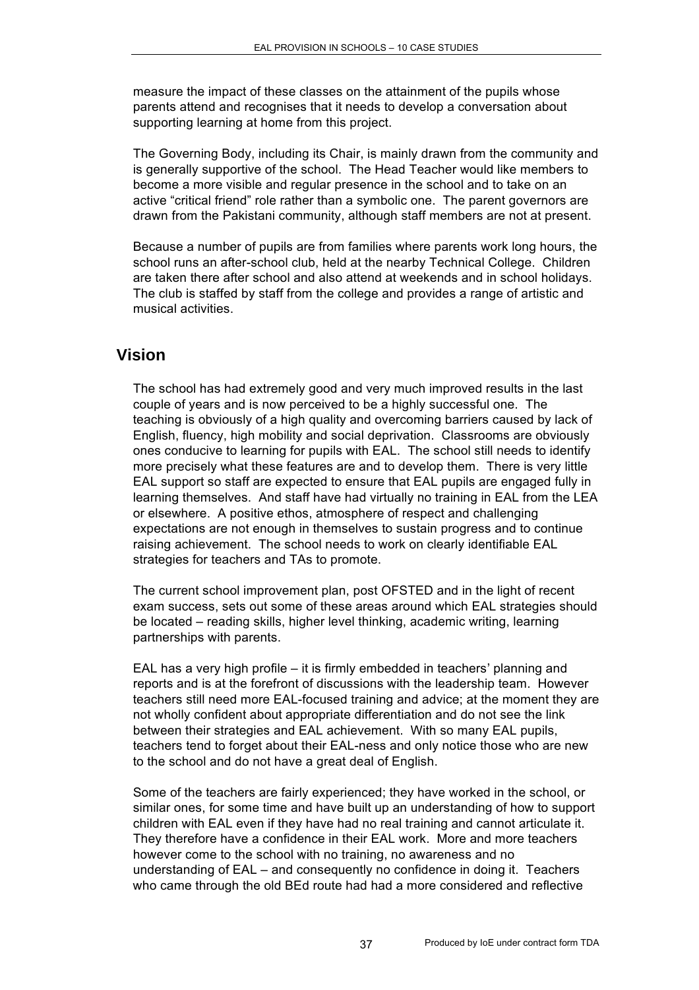measure the impact of these classes on the attainment of the pupils whose parents attend and recognises that it needs to develop a conversation about supporting learning at home from this project.

The Governing Body, including its Chair, is mainly drawn from the community and is generally supportive of the school. The Head Teacher would like members to become a more visible and regular presence in the school and to take on an active "critical friend" role rather than a symbolic one. The parent governors are drawn from the Pakistani community, although staff members are not at present.

Because a number of pupils are from families where parents work long hours, the school runs an after-school club, held at the nearby Technical College. Children are taken there after school and also attend at weekends and in school holidays. The club is staffed by staff from the college and provides a range of artistic and musical activities.

#### **Vision**

The school has had extremely good and very much improved results in the last couple of years and is now perceived to be a highly successful one. The teaching is obviously of a high quality and overcoming barriers caused by lack of English, fluency, high mobility and social deprivation. Classrooms are obviously ones conducive to learning for pupils with EAL. The school still needs to identify more precisely what these features are and to develop them. There is very little EAL support so staff are expected to ensure that EAL pupils are engaged fully in learning themselves. And staff have had virtually no training in EAL from the LEA or elsewhere. A positive ethos, atmosphere of respect and challenging expectations are not enough in themselves to sustain progress and to continue raising achievement. The school needs to work on clearly identifiable EAL strategies for teachers and TAs to promote.

The current school improvement plan, post OFSTED and in the light of recent exam success, sets out some of these areas around which EAL strategies should be located – reading skills, higher level thinking, academic writing, learning partnerships with parents.

EAL has a very high profile – it is firmly embedded in teachers' planning and reports and is at the forefront of discussions with the leadership team. However teachers still need more EAL-focused training and advice; at the moment they are not wholly confident about appropriate differentiation and do not see the link between their strategies and EAL achievement. With so many EAL pupils, teachers tend to forget about their EAL-ness and only notice those who are new to the school and do not have a great deal of English.

Some of the teachers are fairly experienced; they have worked in the school, or similar ones, for some time and have built up an understanding of how to support children with EAL even if they have had no real training and cannot articulate it. They therefore have a confidence in their EAL work. More and more teachers however come to the school with no training, no awareness and no understanding of EAL – and consequently no confidence in doing it. Teachers who came through the old BEd route had had a more considered and reflective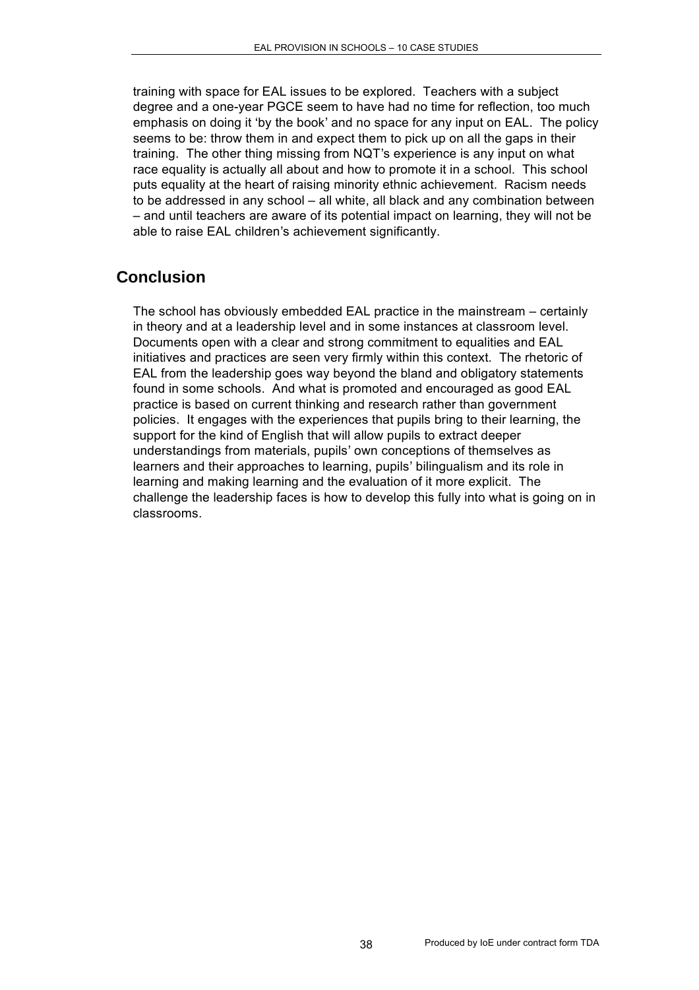training with space for EAL issues to be explored. Teachers with a subject degree and a one-year PGCE seem to have had no time for reflection, too much emphasis on doing it 'by the book' and no space for any input on EAL. The policy seems to be: throw them in and expect them to pick up on all the gaps in their training. The other thing missing from NQT's experience is any input on what race equality is actually all about and how to promote it in a school. This school puts equality at the heart of raising minority ethnic achievement. Racism needs to be addressed in any school – all white, all black and any combination between – and until teachers are aware of its potential impact on learning, they will not be able to raise EAL children's achievement significantly.

## **Conclusion**

The school has obviously embedded EAL practice in the mainstream – certainly in theory and at a leadership level and in some instances at classroom level. Documents open with a clear and strong commitment to equalities and EAL initiatives and practices are seen very firmly within this context. The rhetoric of EAL from the leadership goes way beyond the bland and obligatory statements found in some schools. And what is promoted and encouraged as good EAL practice is based on current thinking and research rather than government policies. It engages with the experiences that pupils bring to their learning, the support for the kind of English that will allow pupils to extract deeper understandings from materials, pupils' own conceptions of themselves as learners and their approaches to learning, pupils' bilingualism and its role in learning and making learning and the evaluation of it more explicit. The challenge the leadership faces is how to develop this fully into what is going on in classrooms.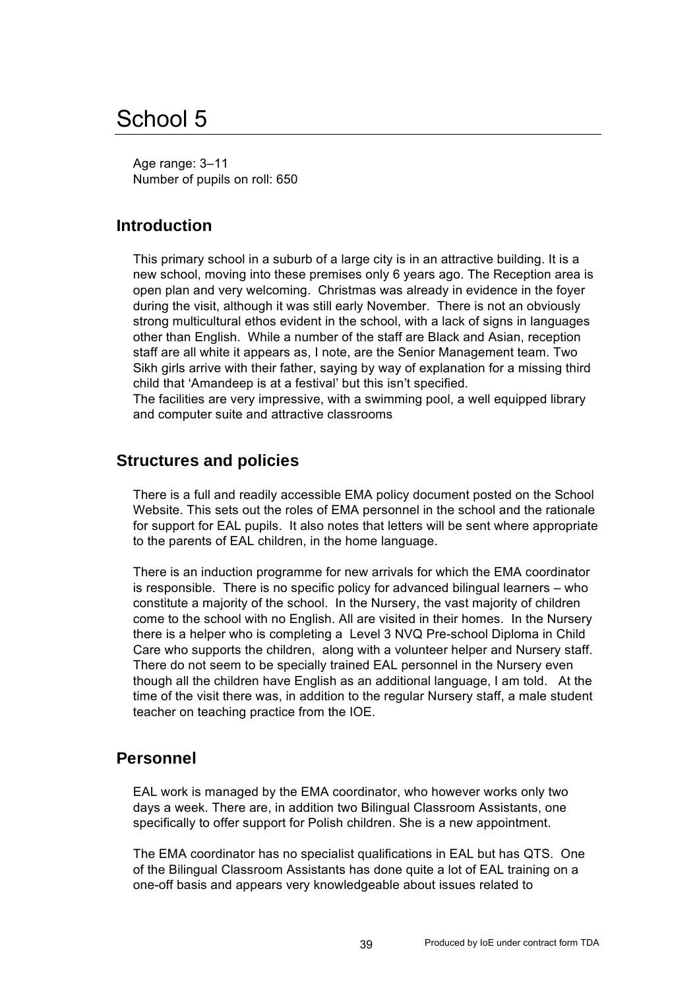# School 5

Age range: 3–11 Number of pupils on roll: 650

## **Introduction**

This primary school in a suburb of a large city is in an attractive building. It is a new school, moving into these premises only 6 years ago. The Reception area is open plan and very welcoming. Christmas was already in evidence in the foyer during the visit, although it was still early November. There is not an obviously strong multicultural ethos evident in the school, with a lack of signs in languages other than English. While a number of the staff are Black and Asian, reception staff are all white it appears as, I note, are the Senior Management team. Two Sikh girls arrive with their father, saying by way of explanation for a missing third child that 'Amandeep is at a festival' but this isn't specified.

The facilities are very impressive, with a swimming pool, a well equipped library and computer suite and attractive classrooms

#### **Structures and policies**

There is a full and readily accessible EMA policy document posted on the School Website. This sets out the roles of EMA personnel in the school and the rationale for support for EAL pupils. It also notes that letters will be sent where appropriate to the parents of EAL children, in the home language.

There is an induction programme for new arrivals for which the EMA coordinator is responsible. There is no specific policy for advanced bilingual learners – who constitute a majority of the school. In the Nursery, the vast majority of children come to the school with no English. All are visited in their homes. In the Nursery there is a helper who is completing a Level 3 NVQ Pre-school Diploma in Child Care who supports the children, along with a volunteer helper and Nursery staff. There do not seem to be specially trained EAL personnel in the Nursery even though all the children have English as an additional language, I am told. At the time of the visit there was, in addition to the regular Nursery staff, a male student teacher on teaching practice from the IOE.

### **Personnel**

EAL work is managed by the EMA coordinator, who however works only two days a week. There are, in addition two Bilingual Classroom Assistants, one specifically to offer support for Polish children. She is a new appointment.

The EMA coordinator has no specialist qualifications in EAL but has QTS. One of the Bilingual Classroom Assistants has done quite a lot of EAL training on a one-off basis and appears very knowledgeable about issues related to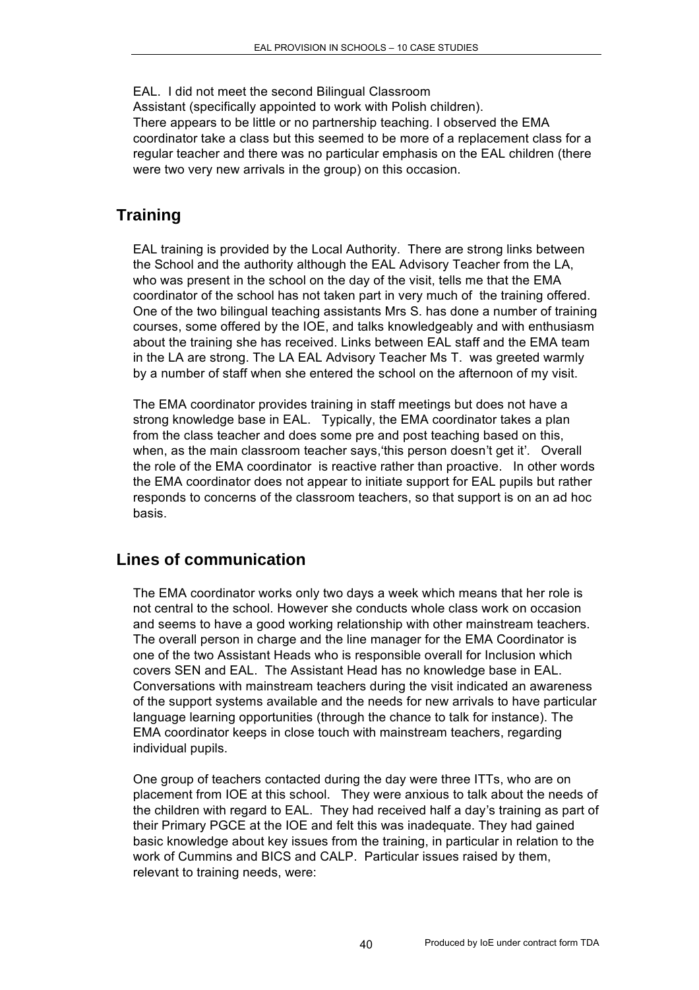EAL. I did not meet the second Bilingual Classroom

Assistant (specifically appointed to work with Polish children).

There appears to be little or no partnership teaching. I observed the EMA coordinator take a class but this seemed to be more of a replacement class for a regular teacher and there was no particular emphasis on the EAL children (there were two very new arrivals in the group) on this occasion.

## **Training**

EAL training is provided by the Local Authority. There are strong links between the School and the authority although the EAL Advisory Teacher from the LA, who was present in the school on the day of the visit, tells me that the EMA coordinator of the school has not taken part in very much of the training offered. One of the two bilingual teaching assistants Mrs S. has done a number of training courses, some offered by the IOE, and talks knowledgeably and with enthusiasm about the training she has received. Links between EAL staff and the EMA team in the LA are strong. The LA EAL Advisory Teacher Ms T. was greeted warmly by a number of staff when she entered the school on the afternoon of my visit.

The EMA coordinator provides training in staff meetings but does not have a strong knowledge base in EAL. Typically, the EMA coordinator takes a plan from the class teacher and does some pre and post teaching based on this, when, as the main classroom teacher says,'this person doesn't get it'. Overall the role of the EMA coordinator is reactive rather than proactive. In other words the EMA coordinator does not appear to initiate support for EAL pupils but rather responds to concerns of the classroom teachers, so that support is on an ad hoc basis.

### **Lines of communication**

The EMA coordinator works only two days a week which means that her role is not central to the school. However she conducts whole class work on occasion and seems to have a good working relationship with other mainstream teachers. The overall person in charge and the line manager for the EMA Coordinator is one of the two Assistant Heads who is responsible overall for Inclusion which covers SEN and EAL. The Assistant Head has no knowledge base in EAL. Conversations with mainstream teachers during the visit indicated an awareness of the support systems available and the needs for new arrivals to have particular language learning opportunities (through the chance to talk for instance). The EMA coordinator keeps in close touch with mainstream teachers, regarding individual pupils.

One group of teachers contacted during the day were three ITTs, who are on placement from IOE at this school. They were anxious to talk about the needs of the children with regard to EAL. They had received half a day's training as part of their Primary PGCE at the IOE and felt this was inadequate. They had gained basic knowledge about key issues from the training, in particular in relation to the work of Cummins and BICS and CALP. Particular issues raised by them, relevant to training needs, were: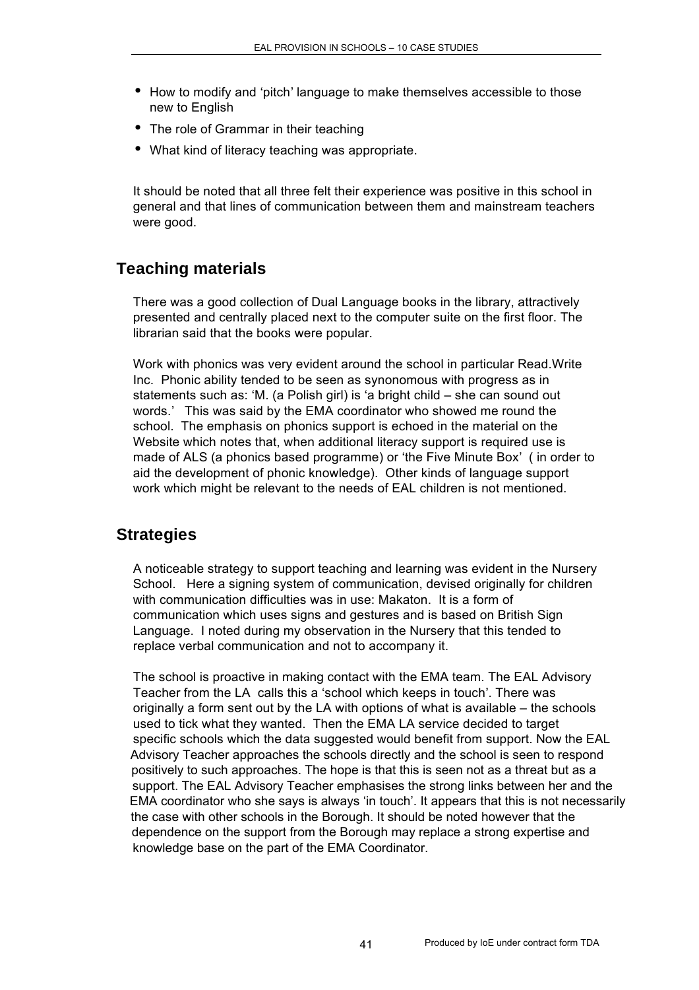- How to modify and 'pitch' language to make themselves accessible to those new to English
- The role of Grammar in their teaching
- What kind of literacy teaching was appropriate.

It should be noted that all three felt their experience was positive in this school in general and that lines of communication between them and mainstream teachers were good.

## **Teaching materials**

There was a good collection of Dual Language books in the library, attractively presented and centrally placed next to the computer suite on the first floor. The librarian said that the books were popular.

Work with phonics was very evident around the school in particular Read.Write Inc. Phonic ability tended to be seen as synonomous with progress as in statements such as: 'M. (a Polish girl) is 'a bright child – she can sound out words.' This was said by the EMA coordinator who showed me round the school. The emphasis on phonics support is echoed in the material on the Website which notes that, when additional literacy support is required use is made of ALS (a phonics based programme) or 'the Five Minute Box' ( in order to aid the development of phonic knowledge). Other kinds of language support work which might be relevant to the needs of EAL children is not mentioned.

### **Strategies**

A noticeable strategy to support teaching and learning was evident in the Nursery School. Here a signing system of communication, devised originally for children with communication difficulties was in use: Makaton. It is a form of communication which uses signs and gestures and is based on British Sign Language. I noted during my observation in the Nursery that this tended to replace verbal communication and not to accompany it.

The school is proactive in making contact with the EMA team. The EAL Advisory Teacher from the LA calls this a 'school which keeps in touch'. There was originally a form sent out by the LA with options of what is available – the schools used to tick what they wanted. Then the EMA LA service decided to target specific schools which the data suggested would benefit from support. Now the EAL Advisory Teacher approaches the schools directly and the school is seen to respond positively to such approaches. The hope is that this is seen not as a threat but as a support. The EAL Advisory Teacher emphasises the strong links between her and the EMA coordinator who she says is always 'in touch'. It appears that this is not necessarily the case with other schools in the Borough. It should be noted however that the dependence on the support from the Borough may replace a strong expertise and knowledge base on the part of the EMA Coordinator.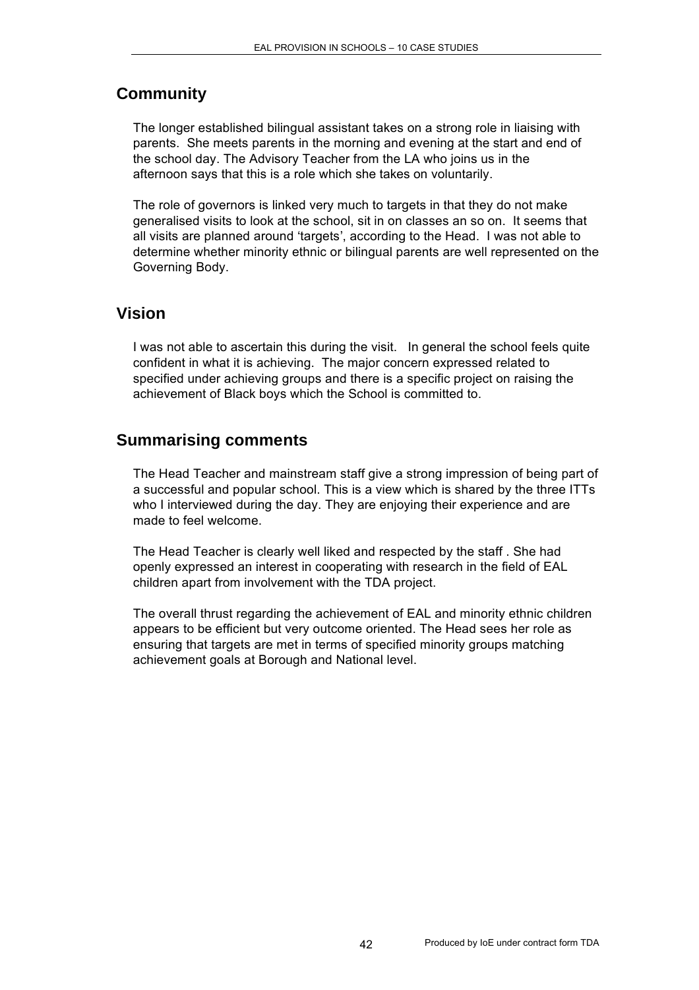## **Community**

The longer established bilingual assistant takes on a strong role in liaising with parents. She meets parents in the morning and evening at the start and end of the school day. The Advisory Teacher from the LA who joins us in the afternoon says that this is a role which she takes on voluntarily.

The role of governors is linked very much to targets in that they do not make generalised visits to look at the school, sit in on classes an so on. It seems that all visits are planned around 'targets', according to the Head. I was not able to determine whether minority ethnic or bilingual parents are well represented on the Governing Body.

#### **Vision**

I was not able to ascertain this during the visit. In general the school feels quite confident in what it is achieving. The major concern expressed related to specified under achieving groups and there is a specific project on raising the achievement of Black boys which the School is committed to.

#### **Summarising comments**

The Head Teacher and mainstream staff give a strong impression of being part of a successful and popular school. This is a view which is shared by the three ITTs who I interviewed during the day. They are enjoying their experience and are made to feel welcome.

The Head Teacher is clearly well liked and respected by the staff . She had openly expressed an interest in cooperating with research in the field of EAL children apart from involvement with the TDA project.

The overall thrust regarding the achievement of EAL and minority ethnic children appears to be efficient but very outcome oriented. The Head sees her role as ensuring that targets are met in terms of specified minority groups matching achievement goals at Borough and National level.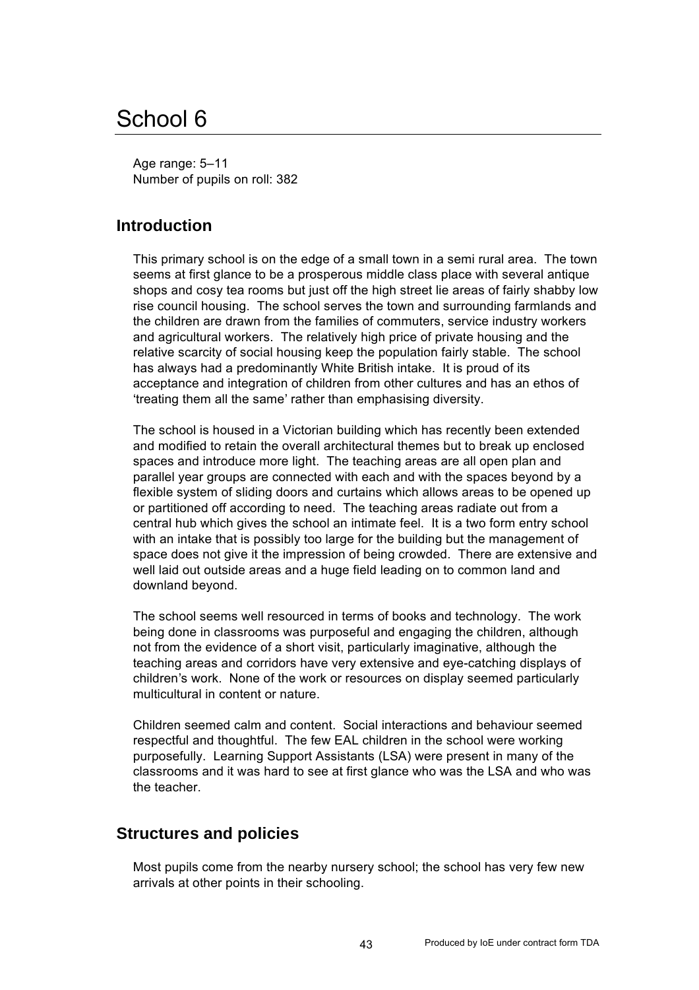# School 6

Age range: 5–11 Number of pupils on roll: 382

### **Introduction**

This primary school is on the edge of a small town in a semi rural area. The town seems at first glance to be a prosperous middle class place with several antique shops and cosy tea rooms but just off the high street lie areas of fairly shabby low rise council housing. The school serves the town and surrounding farmlands and the children are drawn from the families of commuters, service industry workers and agricultural workers. The relatively high price of private housing and the relative scarcity of social housing keep the population fairly stable. The school has always had a predominantly White British intake. It is proud of its acceptance and integration of children from other cultures and has an ethos of 'treating them all the same' rather than emphasising diversity.

The school is housed in a Victorian building which has recently been extended and modified to retain the overall architectural themes but to break up enclosed spaces and introduce more light. The teaching areas are all open plan and parallel year groups are connected with each and with the spaces beyond by a flexible system of sliding doors and curtains which allows areas to be opened up or partitioned off according to need. The teaching areas radiate out from a central hub which gives the school an intimate feel. It is a two form entry school with an intake that is possibly too large for the building but the management of space does not give it the impression of being crowded. There are extensive and well laid out outside areas and a huge field leading on to common land and downland beyond.

The school seems well resourced in terms of books and technology. The work being done in classrooms was purposeful and engaging the children, although not from the evidence of a short visit, particularly imaginative, although the teaching areas and corridors have very extensive and eye-catching displays of children's work. None of the work or resources on display seemed particularly multicultural in content or nature.

Children seemed calm and content. Social interactions and behaviour seemed respectful and thoughtful. The few EAL children in the school were working purposefully. Learning Support Assistants (LSA) were present in many of the classrooms and it was hard to see at first glance who was the LSA and who was the teacher.

#### **Structures and policies**

Most pupils come from the nearby nursery school; the school has very few new arrivals at other points in their schooling.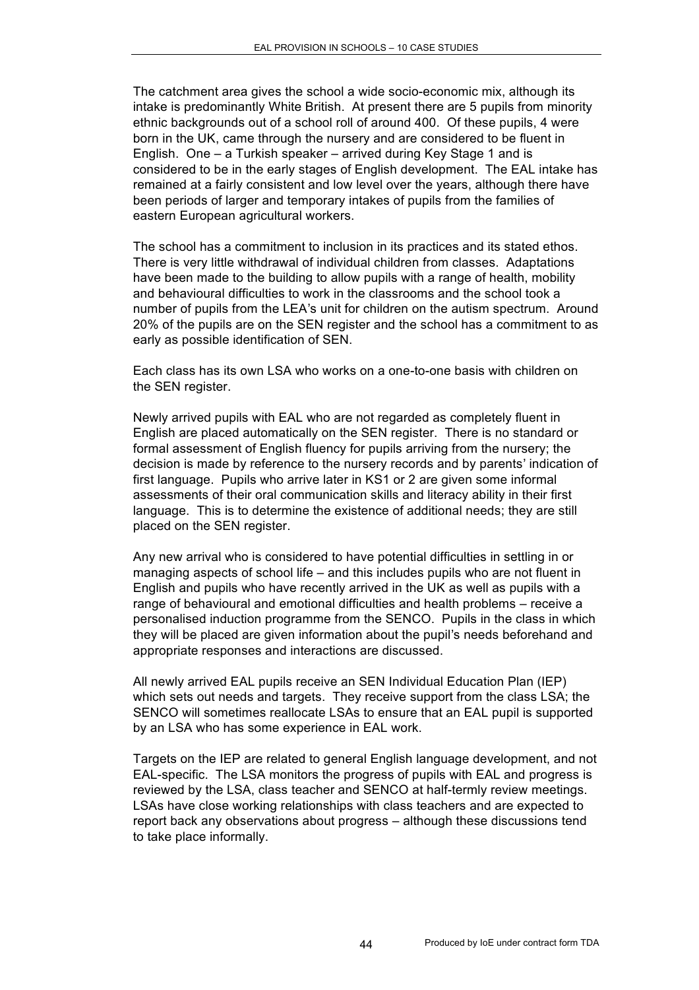The catchment area gives the school a wide socio-economic mix, although its intake is predominantly White British. At present there are 5 pupils from minority ethnic backgrounds out of a school roll of around 400. Of these pupils, 4 were born in the UK, came through the nursery and are considered to be fluent in English. One – a Turkish speaker – arrived during Key Stage 1 and is considered to be in the early stages of English development. The EAL intake has remained at a fairly consistent and low level over the years, although there have been periods of larger and temporary intakes of pupils from the families of eastern European agricultural workers.

The school has a commitment to inclusion in its practices and its stated ethos. There is very little withdrawal of individual children from classes. Adaptations have been made to the building to allow pupils with a range of health, mobility and behavioural difficulties to work in the classrooms and the school took a number of pupils from the LEA's unit for children on the autism spectrum. Around 20% of the pupils are on the SEN register and the school has a commitment to as early as possible identification of SEN.

Each class has its own LSA who works on a one-to-one basis with children on the SEN register.

Newly arrived pupils with EAL who are not regarded as completely fluent in English are placed automatically on the SEN register. There is no standard or formal assessment of English fluency for pupils arriving from the nursery; the decision is made by reference to the nursery records and by parents' indication of first language. Pupils who arrive later in KS1 or 2 are given some informal assessments of their oral communication skills and literacy ability in their first language. This is to determine the existence of additional needs; they are still placed on the SEN register.

Any new arrival who is considered to have potential difficulties in settling in or managing aspects of school life – and this includes pupils who are not fluent in English and pupils who have recently arrived in the UK as well as pupils with a range of behavioural and emotional difficulties and health problems – receive a personalised induction programme from the SENCO. Pupils in the class in which they will be placed are given information about the pupil's needs beforehand and appropriate responses and interactions are discussed.

All newly arrived EAL pupils receive an SEN Individual Education Plan (IEP) which sets out needs and targets. They receive support from the class LSA; the SENCO will sometimes reallocate LSAs to ensure that an EAL pupil is supported by an LSA who has some experience in EAL work.

Targets on the IEP are related to general English language development, and not EAL-specific. The LSA monitors the progress of pupils with EAL and progress is reviewed by the LSA, class teacher and SENCO at half-termly review meetings. LSAs have close working relationships with class teachers and are expected to report back any observations about progress – although these discussions tend to take place informally.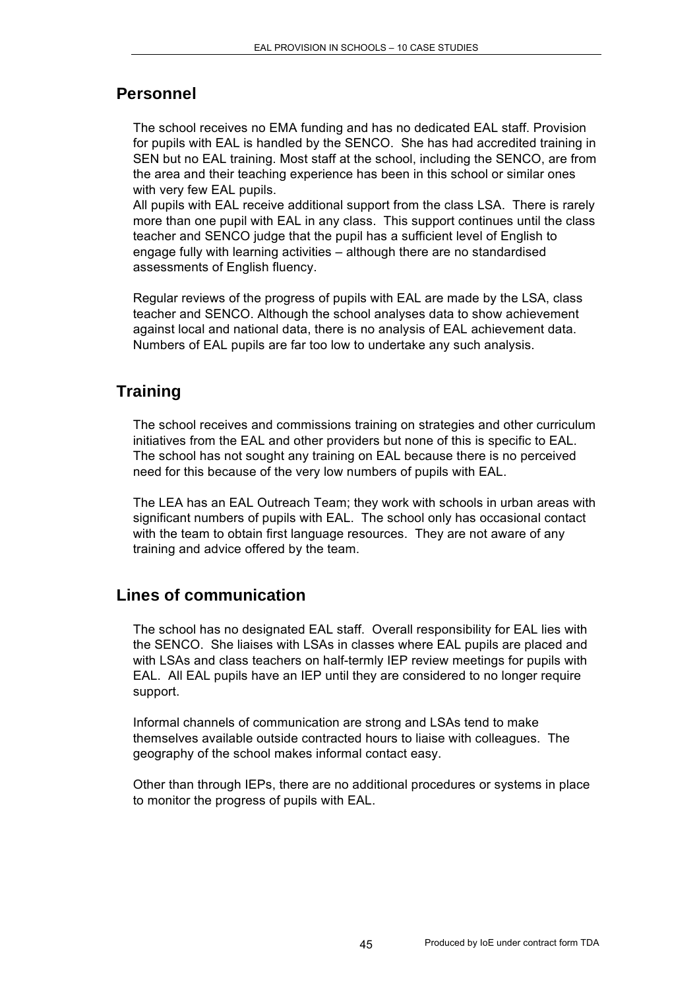#### **Personnel**

The school receives no EMA funding and has no dedicated EAL staff. Provision for pupils with EAL is handled by the SENCO. She has had accredited training in SEN but no EAL training. Most staff at the school, including the SENCO, are from the area and their teaching experience has been in this school or similar ones with very few EAL pupils.

All pupils with EAL receive additional support from the class LSA. There is rarely more than one pupil with EAL in any class. This support continues until the class teacher and SENCO judge that the pupil has a sufficient level of English to engage fully with learning activities – although there are no standardised assessments of English fluency.

Regular reviews of the progress of pupils with EAL are made by the LSA, class teacher and SENCO. Although the school analyses data to show achievement against local and national data, there is no analysis of EAL achievement data. Numbers of EAL pupils are far too low to undertake any such analysis.

## **Training**

The school receives and commissions training on strategies and other curriculum initiatives from the EAL and other providers but none of this is specific to EAL. The school has not sought any training on EAL because there is no perceived need for this because of the very low numbers of pupils with EAL.

The LEA has an EAL Outreach Team; they work with schools in urban areas with significant numbers of pupils with EAL. The school only has occasional contact with the team to obtain first language resources. They are not aware of any training and advice offered by the team.

### **Lines of communication**

The school has no designated EAL staff. Overall responsibility for EAL lies with the SENCO. She liaises with LSAs in classes where EAL pupils are placed and with LSAs and class teachers on half-termly IEP review meetings for pupils with EAL. All EAL pupils have an IEP until they are considered to no longer require support.

Informal channels of communication are strong and LSAs tend to make themselves available outside contracted hours to liaise with colleagues. The geography of the school makes informal contact easy.

Other than through IEPs, there are no additional procedures or systems in place to monitor the progress of pupils with EAL.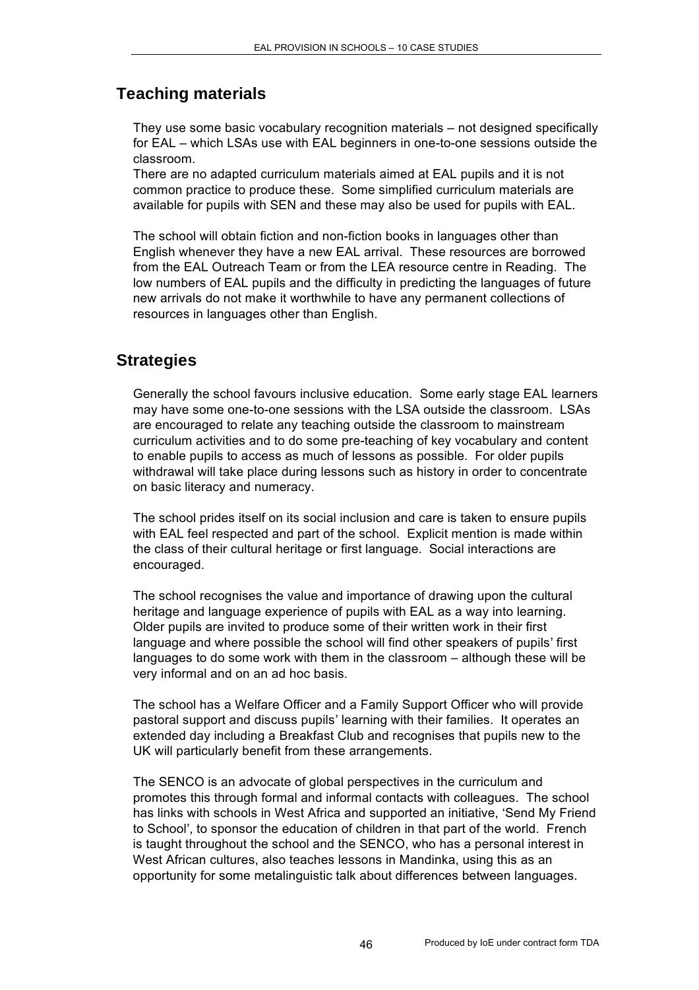# **Teaching materials**

They use some basic vocabulary recognition materials – not designed specifically for EAL – which LSAs use with EAL beginners in one-to-one sessions outside the classroom.

There are no adapted curriculum materials aimed at EAL pupils and it is not common practice to produce these. Some simplified curriculum materials are available for pupils with SEN and these may also be used for pupils with EAL.

The school will obtain fiction and non-fiction books in languages other than English whenever they have a new EAL arrival. These resources are borrowed from the EAL Outreach Team or from the LEA resource centre in Reading. The low numbers of EAL pupils and the difficulty in predicting the languages of future new arrivals do not make it worthwhile to have any permanent collections of resources in languages other than English.

## **Strategies**

Generally the school favours inclusive education. Some early stage EAL learners may have some one-to-one sessions with the LSA outside the classroom. LSAs are encouraged to relate any teaching outside the classroom to mainstream curriculum activities and to do some pre-teaching of key vocabulary and content to enable pupils to access as much of lessons as possible. For older pupils withdrawal will take place during lessons such as history in order to concentrate on basic literacy and numeracy.

The school prides itself on its social inclusion and care is taken to ensure pupils with EAL feel respected and part of the school. Explicit mention is made within the class of their cultural heritage or first language. Social interactions are encouraged.

The school recognises the value and importance of drawing upon the cultural heritage and language experience of pupils with EAL as a way into learning. Older pupils are invited to produce some of their written work in their first language and where possible the school will find other speakers of pupils' first languages to do some work with them in the classroom – although these will be very informal and on an ad hoc basis.

The school has a Welfare Officer and a Family Support Officer who will provide pastoral support and discuss pupils' learning with their families. It operates an extended day including a Breakfast Club and recognises that pupils new to the UK will particularly benefit from these arrangements.

The SENCO is an advocate of global perspectives in the curriculum and promotes this through formal and informal contacts with colleagues. The school has links with schools in West Africa and supported an initiative, 'Send My Friend to School', to sponsor the education of children in that part of the world. French is taught throughout the school and the SENCO, who has a personal interest in West African cultures, also teaches lessons in Mandinka, using this as an opportunity for some metalinguistic talk about differences between languages.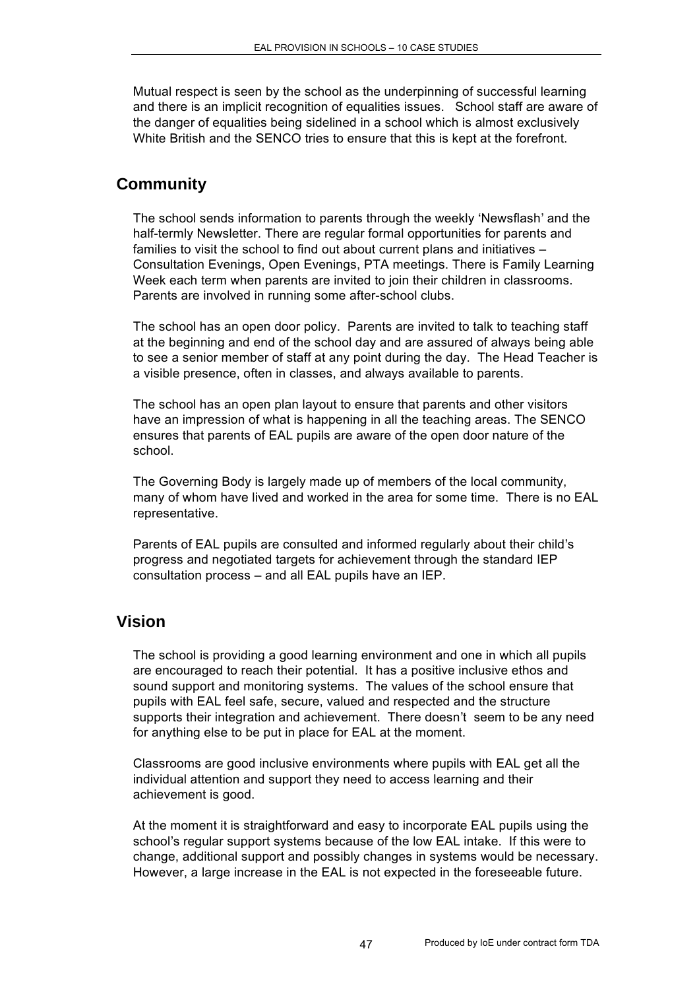Mutual respect is seen by the school as the underpinning of successful learning and there is an implicit recognition of equalities issues. School staff are aware of the danger of equalities being sidelined in a school which is almost exclusively White British and the SENCO tries to ensure that this is kept at the forefront.

### **Community**

The school sends information to parents through the weekly 'Newsflash' and the half-termly Newsletter. There are regular formal opportunities for parents and families to visit the school to find out about current plans and initiatives – Consultation Evenings, Open Evenings, PTA meetings. There is Family Learning Week each term when parents are invited to join their children in classrooms. Parents are involved in running some after-school clubs.

The school has an open door policy. Parents are invited to talk to teaching staff at the beginning and end of the school day and are assured of always being able to see a senior member of staff at any point during the day. The Head Teacher is a visible presence, often in classes, and always available to parents.

The school has an open plan layout to ensure that parents and other visitors have an impression of what is happening in all the teaching areas. The SENCO ensures that parents of EAL pupils are aware of the open door nature of the school.

The Governing Body is largely made up of members of the local community, many of whom have lived and worked in the area for some time. There is no EAL representative.

Parents of EAL pupils are consulted and informed regularly about their child's progress and negotiated targets for achievement through the standard IEP consultation process – and all EAL pupils have an IEP.

#### **Vision**

The school is providing a good learning environment and one in which all pupils are encouraged to reach their potential. It has a positive inclusive ethos and sound support and monitoring systems. The values of the school ensure that pupils with EAL feel safe, secure, valued and respected and the structure supports their integration and achievement. There doesn't seem to be any need for anything else to be put in place for EAL at the moment.

Classrooms are good inclusive environments where pupils with EAL get all the individual attention and support they need to access learning and their achievement is good.

At the moment it is straightforward and easy to incorporate EAL pupils using the school's regular support systems because of the low EAL intake. If this were to change, additional support and possibly changes in systems would be necessary. However, a large increase in the EAL is not expected in the foreseeable future.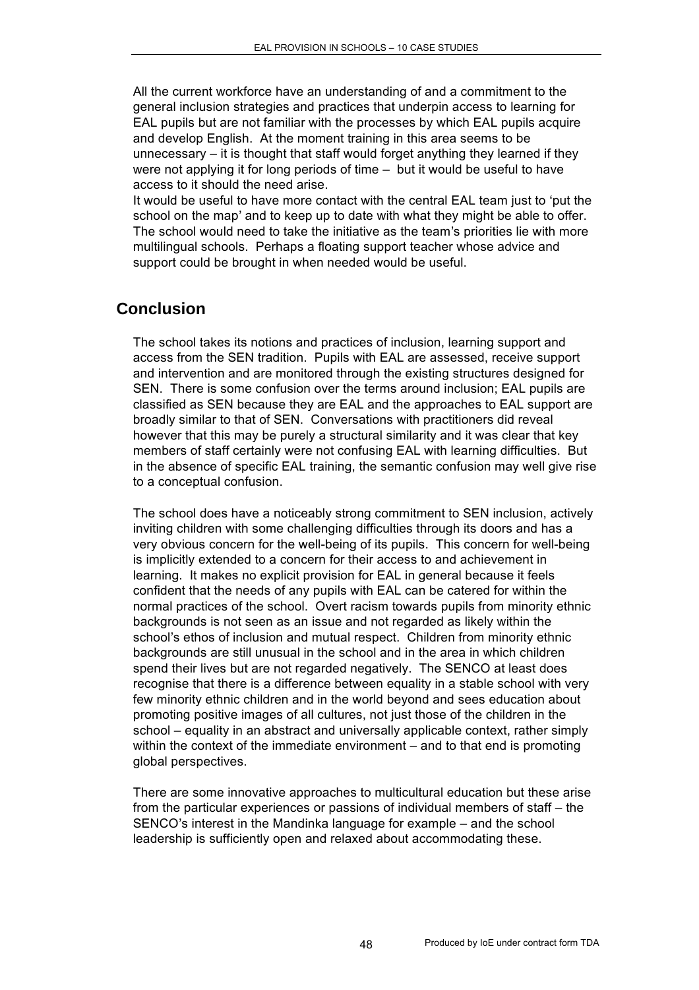All the current workforce have an understanding of and a commitment to the general inclusion strategies and practices that underpin access to learning for EAL pupils but are not familiar with the processes by which EAL pupils acquire and develop English. At the moment training in this area seems to be unnecessary – it is thought that staff would forget anything they learned if they were not applying it for long periods of time – but it would be useful to have access to it should the need arise.

It would be useful to have more contact with the central EAL team just to 'put the school on the map' and to keep up to date with what they might be able to offer. The school would need to take the initiative as the team's priorities lie with more multilingual schools. Perhaps a floating support teacher whose advice and support could be brought in when needed would be useful.

## **Conclusion**

The school takes its notions and practices of inclusion, learning support and access from the SEN tradition. Pupils with EAL are assessed, receive support and intervention and are monitored through the existing structures designed for SEN. There is some confusion over the terms around inclusion; EAL pupils are classified as SEN because they are EAL and the approaches to EAL support are broadly similar to that of SEN. Conversations with practitioners did reveal however that this may be purely a structural similarity and it was clear that key members of staff certainly were not confusing EAL with learning difficulties. But in the absence of specific EAL training, the semantic confusion may well give rise to a conceptual confusion.

The school does have a noticeably strong commitment to SEN inclusion, actively inviting children with some challenging difficulties through its doors and has a very obvious concern for the well-being of its pupils. This concern for well-being is implicitly extended to a concern for their access to and achievement in learning. It makes no explicit provision for EAL in general because it feels confident that the needs of any pupils with EAL can be catered for within the normal practices of the school. Overt racism towards pupils from minority ethnic backgrounds is not seen as an issue and not regarded as likely within the school's ethos of inclusion and mutual respect. Children from minority ethnic backgrounds are still unusual in the school and in the area in which children spend their lives but are not regarded negatively. The SENCO at least does recognise that there is a difference between equality in a stable school with very few minority ethnic children and in the world beyond and sees education about promoting positive images of all cultures, not just those of the children in the school – equality in an abstract and universally applicable context, rather simply within the context of the immediate environment – and to that end is promoting global perspectives.

There are some innovative approaches to multicultural education but these arise from the particular experiences or passions of individual members of staff – the SENCO's interest in the Mandinka language for example – and the school leadership is sufficiently open and relaxed about accommodating these.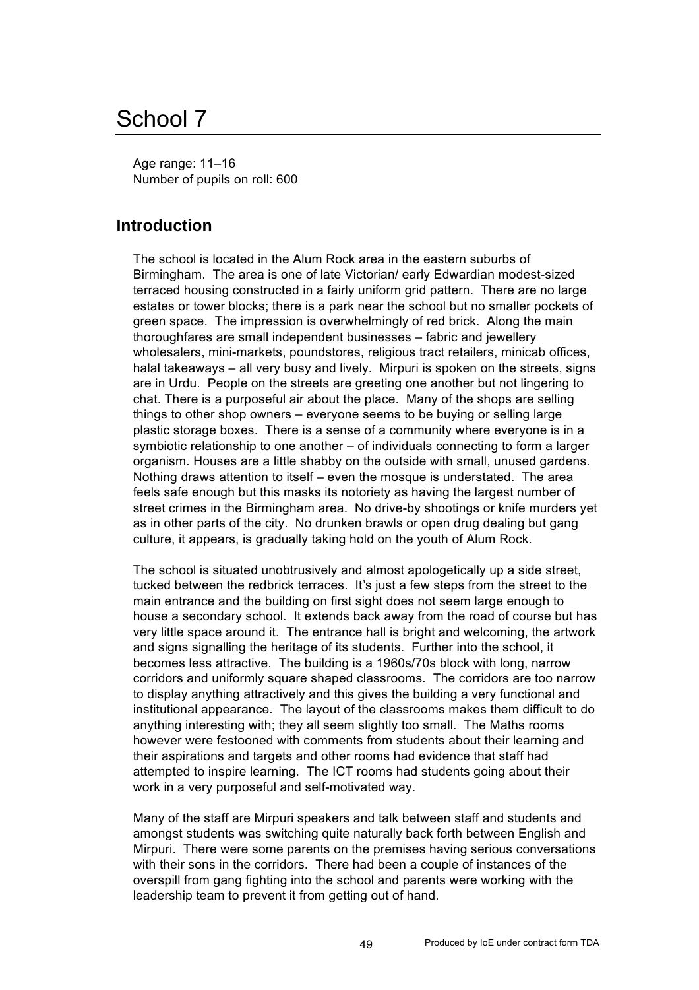# School 7

Age range: 11–16 Number of pupils on roll: 600

### **Introduction**

The school is located in the Alum Rock area in the eastern suburbs of Birmingham. The area is one of late Victorian/ early Edwardian modest-sized terraced housing constructed in a fairly uniform grid pattern. There are no large estates or tower blocks; there is a park near the school but no smaller pockets of green space. The impression is overwhelmingly of red brick. Along the main thoroughfares are small independent businesses – fabric and jewellery wholesalers, mini-markets, poundstores, religious tract retailers, minicab offices, halal takeaways – all very busy and lively. Mirpuri is spoken on the streets, signs are in Urdu. People on the streets are greeting one another but not lingering to chat. There is a purposeful air about the place. Many of the shops are selling things to other shop owners – everyone seems to be buying or selling large plastic storage boxes. There is a sense of a community where everyone is in a symbiotic relationship to one another – of individuals connecting to form a larger organism. Houses are a little shabby on the outside with small, unused gardens. Nothing draws attention to itself – even the mosque is understated. The area feels safe enough but this masks its notoriety as having the largest number of street crimes in the Birmingham area. No drive-by shootings or knife murders yet as in other parts of the city. No drunken brawls or open drug dealing but gang culture, it appears, is gradually taking hold on the youth of Alum Rock.

The school is situated unobtrusively and almost apologetically up a side street, tucked between the redbrick terraces. It's just a few steps from the street to the main entrance and the building on first sight does not seem large enough to house a secondary school. It extends back away from the road of course but has very little space around it. The entrance hall is bright and welcoming, the artwork and signs signalling the heritage of its students. Further into the school, it becomes less attractive. The building is a 1960s/70s block with long, narrow corridors and uniformly square shaped classrooms. The corridors are too narrow to display anything attractively and this gives the building a very functional and institutional appearance. The layout of the classrooms makes them difficult to do anything interesting with; they all seem slightly too small. The Maths rooms however were festooned with comments from students about their learning and their aspirations and targets and other rooms had evidence that staff had attempted to inspire learning. The ICT rooms had students going about their work in a very purposeful and self-motivated way.

Many of the staff are Mirpuri speakers and talk between staff and students and amongst students was switching quite naturally back forth between English and Mirpuri. There were some parents on the premises having serious conversations with their sons in the corridors. There had been a couple of instances of the overspill from gang fighting into the school and parents were working with the leadership team to prevent it from getting out of hand.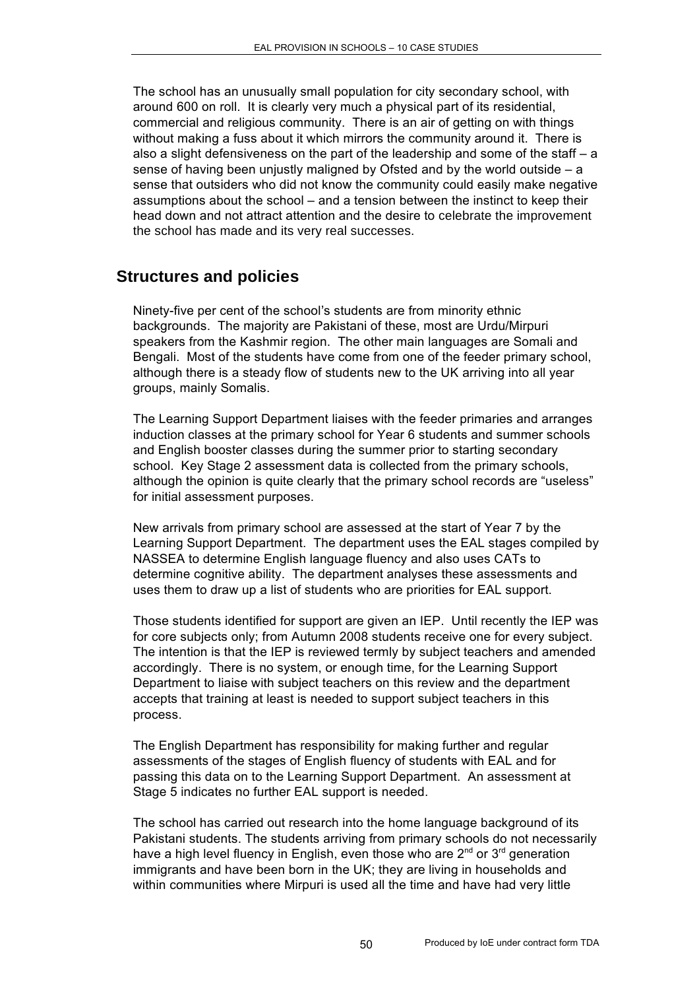The school has an unusually small population for city secondary school, with around 600 on roll. It is clearly very much a physical part of its residential, commercial and religious community. There is an air of getting on with things without making a fuss about it which mirrors the community around it. There is also a slight defensiveness on the part of the leadership and some of the staff – a sense of having been unjustly maligned by Ofsted and by the world outside – a sense that outsiders who did not know the community could easily make negative assumptions about the school – and a tension between the instinct to keep their head down and not attract attention and the desire to celebrate the improvement the school has made and its very real successes.

#### **Structures and policies**

Ninety-five per cent of the school's students are from minority ethnic backgrounds. The majority are Pakistani of these, most are Urdu/Mirpuri speakers from the Kashmir region. The other main languages are Somali and Bengali. Most of the students have come from one of the feeder primary school, although there is a steady flow of students new to the UK arriving into all year groups, mainly Somalis.

The Learning Support Department liaises with the feeder primaries and arranges induction classes at the primary school for Year 6 students and summer schools and English booster classes during the summer prior to starting secondary school. Key Stage 2 assessment data is collected from the primary schools, although the opinion is quite clearly that the primary school records are "useless" for initial assessment purposes.

New arrivals from primary school are assessed at the start of Year 7 by the Learning Support Department. The department uses the EAL stages compiled by NASSEA to determine English language fluency and also uses CATs to determine cognitive ability. The department analyses these assessments and uses them to draw up a list of students who are priorities for EAL support.

Those students identified for support are given an IEP. Until recently the IEP was for core subjects only; from Autumn 2008 students receive one for every subject. The intention is that the IEP is reviewed termly by subject teachers and amended accordingly. There is no system, or enough time, for the Learning Support Department to liaise with subject teachers on this review and the department accepts that training at least is needed to support subject teachers in this process.

The English Department has responsibility for making further and regular assessments of the stages of English fluency of students with EAL and for passing this data on to the Learning Support Department. An assessment at Stage 5 indicates no further EAL support is needed.

The school has carried out research into the home language background of its Pakistani students. The students arriving from primary schools do not necessarily have a high level fluency in English, even those who are  $2<sup>nd</sup>$  or  $3<sup>rd</sup>$  generation immigrants and have been born in the UK; they are living in households and within communities where Mirpuri is used all the time and have had very little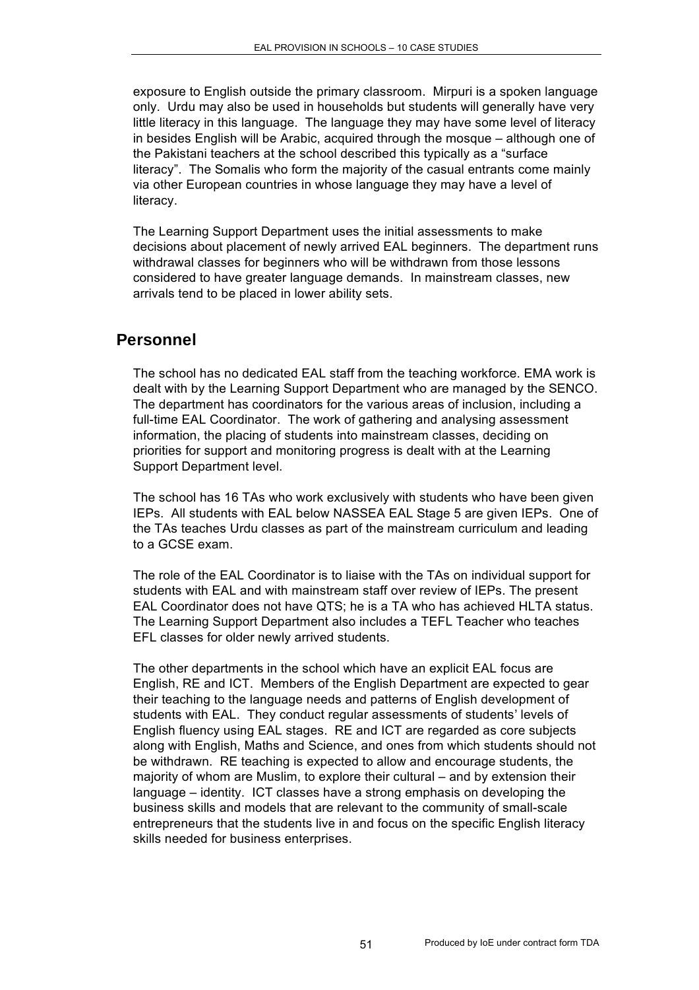exposure to English outside the primary classroom. Mirpuri is a spoken language only. Urdu may also be used in households but students will generally have very little literacy in this language. The language they may have some level of literacy in besides English will be Arabic, acquired through the mosque – although one of the Pakistani teachers at the school described this typically as a "surface literacy". The Somalis who form the majority of the casual entrants come mainly via other European countries in whose language they may have a level of literacy.

The Learning Support Department uses the initial assessments to make decisions about placement of newly arrived EAL beginners. The department runs withdrawal classes for beginners who will be withdrawn from those lessons considered to have greater language demands. In mainstream classes, new arrivals tend to be placed in lower ability sets.

#### **Personnel**

The school has no dedicated EAL staff from the teaching workforce. EMA work is dealt with by the Learning Support Department who are managed by the SENCO. The department has coordinators for the various areas of inclusion, including a full-time EAL Coordinator. The work of gathering and analysing assessment information, the placing of students into mainstream classes, deciding on priorities for support and monitoring progress is dealt with at the Learning Support Department level.

The school has 16 TAs who work exclusively with students who have been given IEPs. All students with EAL below NASSEA EAL Stage 5 are given IEPs. One of the TAs teaches Urdu classes as part of the mainstream curriculum and leading to a GCSE exam.

The role of the EAL Coordinator is to liaise with the TAs on individual support for students with EAL and with mainstream staff over review of IEPs. The present EAL Coordinator does not have QTS; he is a TA who has achieved HLTA status. The Learning Support Department also includes a TEFL Teacher who teaches EFL classes for older newly arrived students.

The other departments in the school which have an explicit EAL focus are English, RE and ICT. Members of the English Department are expected to gear their teaching to the language needs and patterns of English development of students with EAL. They conduct regular assessments of students' levels of English fluency using EAL stages. RE and ICT are regarded as core subjects along with English, Maths and Science, and ones from which students should not be withdrawn. RE teaching is expected to allow and encourage students, the majority of whom are Muslim, to explore their cultural – and by extension their language – identity. ICT classes have a strong emphasis on developing the business skills and models that are relevant to the community of small-scale entrepreneurs that the students live in and focus on the specific English literacy skills needed for business enterprises.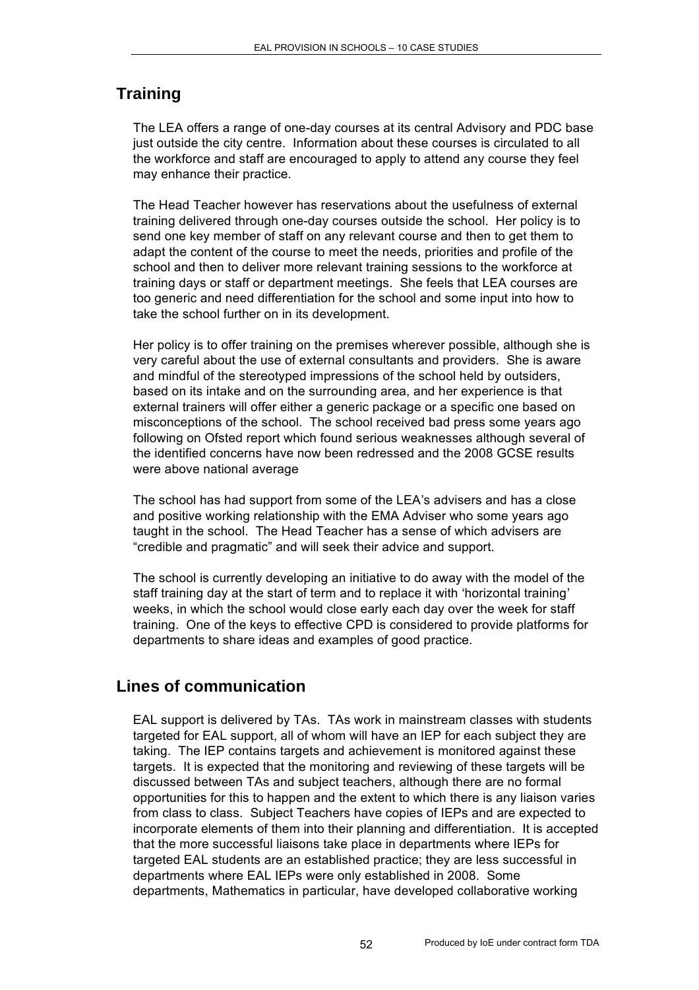# **Training**

The LEA offers a range of one-day courses at its central Advisory and PDC base just outside the city centre. Information about these courses is circulated to all the workforce and staff are encouraged to apply to attend any course they feel may enhance their practice.

The Head Teacher however has reservations about the usefulness of external training delivered through one-day courses outside the school. Her policy is to send one key member of staff on any relevant course and then to get them to adapt the content of the course to meet the needs, priorities and profile of the school and then to deliver more relevant training sessions to the workforce at training days or staff or department meetings. She feels that LEA courses are too generic and need differentiation for the school and some input into how to take the school further on in its development.

Her policy is to offer training on the premises wherever possible, although she is very careful about the use of external consultants and providers. She is aware and mindful of the stereotyped impressions of the school held by outsiders, based on its intake and on the surrounding area, and her experience is that external trainers will offer either a generic package or a specific one based on misconceptions of the school. The school received bad press some years ago following on Ofsted report which found serious weaknesses although several of the identified concerns have now been redressed and the 2008 GCSE results were above national average

The school has had support from some of the LEA's advisers and has a close and positive working relationship with the EMA Adviser who some years ago taught in the school. The Head Teacher has a sense of which advisers are "credible and pragmatic" and will seek their advice and support.

The school is currently developing an initiative to do away with the model of the staff training day at the start of term and to replace it with 'horizontal training' weeks, in which the school would close early each day over the week for staff training. One of the keys to effective CPD is considered to provide platforms for departments to share ideas and examples of good practice.

# **Lines of communication**

EAL support is delivered by TAs. TAs work in mainstream classes with students targeted for EAL support, all of whom will have an IEP for each subject they are taking. The IEP contains targets and achievement is monitored against these targets. It is expected that the monitoring and reviewing of these targets will be discussed between TAs and subject teachers, although there are no formal opportunities for this to happen and the extent to which there is any liaison varies from class to class. Subject Teachers have copies of IEPs and are expected to incorporate elements of them into their planning and differentiation. It is accepted that the more successful liaisons take place in departments where IEPs for targeted EAL students are an established practice; they are less successful in departments where EAL IEPs were only established in 2008. Some departments, Mathematics in particular, have developed collaborative working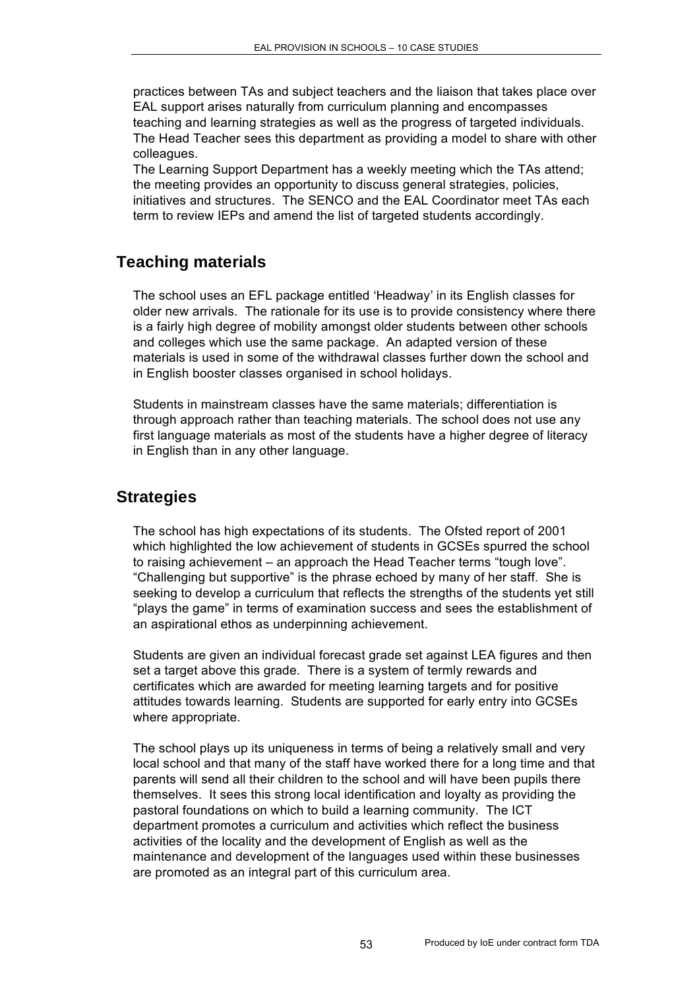practices between TAs and subject teachers and the liaison that takes place over EAL support arises naturally from curriculum planning and encompasses teaching and learning strategies as well as the progress of targeted individuals. The Head Teacher sees this department as providing a model to share with other colleagues.

The Learning Support Department has a weekly meeting which the TAs attend; the meeting provides an opportunity to discuss general strategies, policies, initiatives and structures. The SENCO and the EAL Coordinator meet TAs each term to review IEPs and amend the list of targeted students accordingly.

# **Teaching materials**

The school uses an EFL package entitled 'Headway' in its English classes for older new arrivals. The rationale for its use is to provide consistency where there is a fairly high degree of mobility amongst older students between other schools and colleges which use the same package. An adapted version of these materials is used in some of the withdrawal classes further down the school and in English booster classes organised in school holidays.

Students in mainstream classes have the same materials; differentiation is through approach rather than teaching materials. The school does not use any first language materials as most of the students have a higher degree of literacy in English than in any other language.

#### **Strategies**

The school has high expectations of its students. The Ofsted report of 2001 which highlighted the low achievement of students in GCSEs spurred the school to raising achievement – an approach the Head Teacher terms "tough love". "Challenging but supportive" is the phrase echoed by many of her staff. She is seeking to develop a curriculum that reflects the strengths of the students yet still "plays the game" in terms of examination success and sees the establishment of an aspirational ethos as underpinning achievement.

Students are given an individual forecast grade set against LEA figures and then set a target above this grade. There is a system of termly rewards and certificates which are awarded for meeting learning targets and for positive attitudes towards learning. Students are supported for early entry into GCSEs where appropriate.

The school plays up its uniqueness in terms of being a relatively small and very local school and that many of the staff have worked there for a long time and that parents will send all their children to the school and will have been pupils there themselves. It sees this strong local identification and loyalty as providing the pastoral foundations on which to build a learning community. The ICT department promotes a curriculum and activities which reflect the business activities of the locality and the development of English as well as the maintenance and development of the languages used within these businesses are promoted as an integral part of this curriculum area.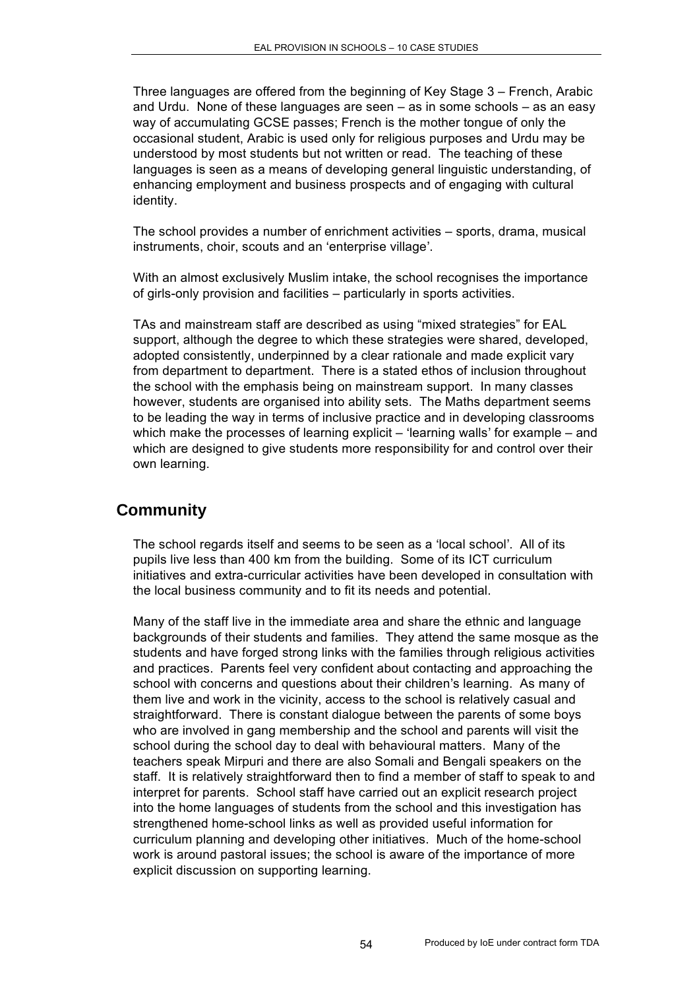Three languages are offered from the beginning of Key Stage 3 – French, Arabic and Urdu. None of these languages are seen – as in some schools – as an easy way of accumulating GCSE passes; French is the mother tongue of only the occasional student, Arabic is used only for religious purposes and Urdu may be understood by most students but not written or read. The teaching of these languages is seen as a means of developing general linguistic understanding, of enhancing employment and business prospects and of engaging with cultural identity.

The school provides a number of enrichment activities – sports, drama, musical instruments, choir, scouts and an 'enterprise village'.

With an almost exclusively Muslim intake, the school recognises the importance of girls-only provision and facilities – particularly in sports activities.

TAs and mainstream staff are described as using "mixed strategies" for EAL support, although the degree to which these strategies were shared, developed, adopted consistently, underpinned by a clear rationale and made explicit vary from department to department. There is a stated ethos of inclusion throughout the school with the emphasis being on mainstream support. In many classes however, students are organised into ability sets. The Maths department seems to be leading the way in terms of inclusive practice and in developing classrooms which make the processes of learning explicit – 'learning walls' for example – and which are designed to give students more responsibility for and control over their own learning.

#### **Community**

The school regards itself and seems to be seen as a 'local school'. All of its pupils live less than 400 km from the building. Some of its ICT curriculum initiatives and extra-curricular activities have been developed in consultation with the local business community and to fit its needs and potential.

Many of the staff live in the immediate area and share the ethnic and language backgrounds of their students and families. They attend the same mosque as the students and have forged strong links with the families through religious activities and practices. Parents feel very confident about contacting and approaching the school with concerns and questions about their children's learning. As many of them live and work in the vicinity, access to the school is relatively casual and straightforward. There is constant dialogue between the parents of some boys who are involved in gang membership and the school and parents will visit the school during the school day to deal with behavioural matters. Many of the teachers speak Mirpuri and there are also Somali and Bengali speakers on the staff. It is relatively straightforward then to find a member of staff to speak to and interpret for parents. School staff have carried out an explicit research project into the home languages of students from the school and this investigation has strengthened home-school links as well as provided useful information for curriculum planning and developing other initiatives. Much of the home-school work is around pastoral issues; the school is aware of the importance of more explicit discussion on supporting learning.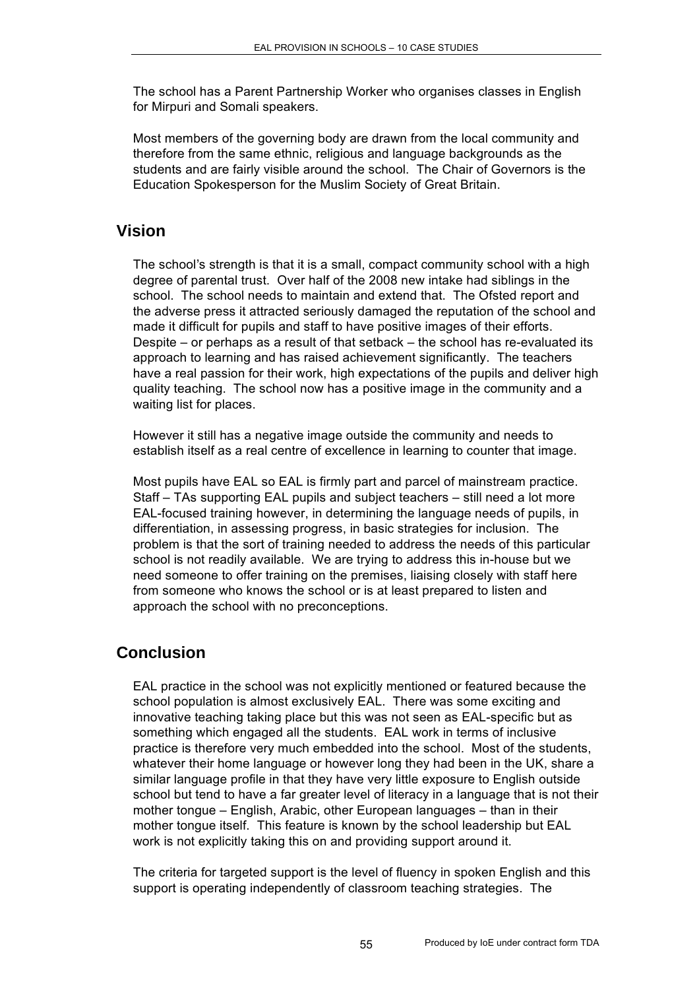The school has a Parent Partnership Worker who organises classes in English for Mirpuri and Somali speakers.

Most members of the governing body are drawn from the local community and therefore from the same ethnic, religious and language backgrounds as the students and are fairly visible around the school. The Chair of Governors is the Education Spokesperson for the Muslim Society of Great Britain.

#### **Vision**

The school's strength is that it is a small, compact community school with a high degree of parental trust. Over half of the 2008 new intake had siblings in the school. The school needs to maintain and extend that. The Ofsted report and the adverse press it attracted seriously damaged the reputation of the school and made it difficult for pupils and staff to have positive images of their efforts. Despite – or perhaps as a result of that setback – the school has re-evaluated its approach to learning and has raised achievement significantly. The teachers have a real passion for their work, high expectations of the pupils and deliver high quality teaching. The school now has a positive image in the community and a waiting list for places.

However it still has a negative image outside the community and needs to establish itself as a real centre of excellence in learning to counter that image.

Most pupils have EAL so EAL is firmly part and parcel of mainstream practice. Staff – TAs supporting EAL pupils and subject teachers – still need a lot more EAL-focused training however, in determining the language needs of pupils, in differentiation, in assessing progress, in basic strategies for inclusion. The problem is that the sort of training needed to address the needs of this particular school is not readily available. We are trying to address this in-house but we need someone to offer training on the premises, liaising closely with staff here from someone who knows the school or is at least prepared to listen and approach the school with no preconceptions.

### **Conclusion**

EAL practice in the school was not explicitly mentioned or featured because the school population is almost exclusively EAL. There was some exciting and innovative teaching taking place but this was not seen as EAL-specific but as something which engaged all the students. EAL work in terms of inclusive practice is therefore very much embedded into the school. Most of the students, whatever their home language or however long they had been in the UK, share a similar language profile in that they have very little exposure to English outside school but tend to have a far greater level of literacy in a language that is not their mother tongue – English, Arabic, other European languages – than in their mother tongue itself. This feature is known by the school leadership but EAL work is not explicitly taking this on and providing support around it.

The criteria for targeted support is the level of fluency in spoken English and this support is operating independently of classroom teaching strategies. The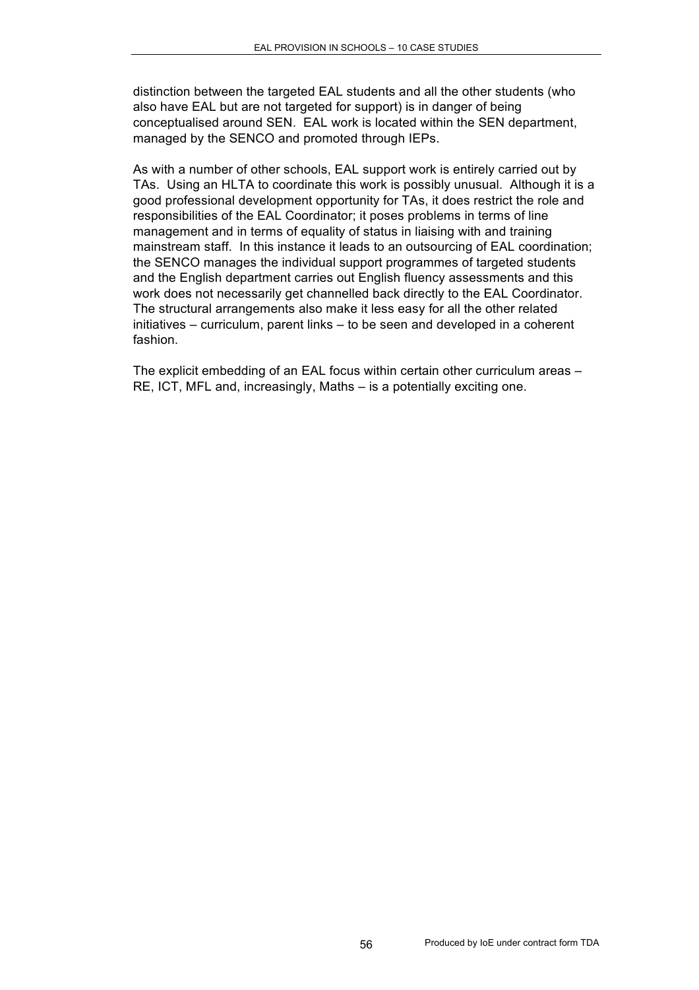distinction between the targeted EAL students and all the other students (who also have EAL but are not targeted for support) is in danger of being conceptualised around SEN. EAL work is located within the SEN department, managed by the SENCO and promoted through IEPs.

As with a number of other schools, EAL support work is entirely carried out by TAs. Using an HLTA to coordinate this work is possibly unusual. Although it is a good professional development opportunity for TAs, it does restrict the role and responsibilities of the EAL Coordinator; it poses problems in terms of line management and in terms of equality of status in liaising with and training mainstream staff. In this instance it leads to an outsourcing of EAL coordination; the SENCO manages the individual support programmes of targeted students and the English department carries out English fluency assessments and this work does not necessarily get channelled back directly to the EAL Coordinator. The structural arrangements also make it less easy for all the other related initiatives – curriculum, parent links – to be seen and developed in a coherent fashion.

The explicit embedding of an EAL focus within certain other curriculum areas – RE, ICT, MFL and, increasingly, Maths – is a potentially exciting one.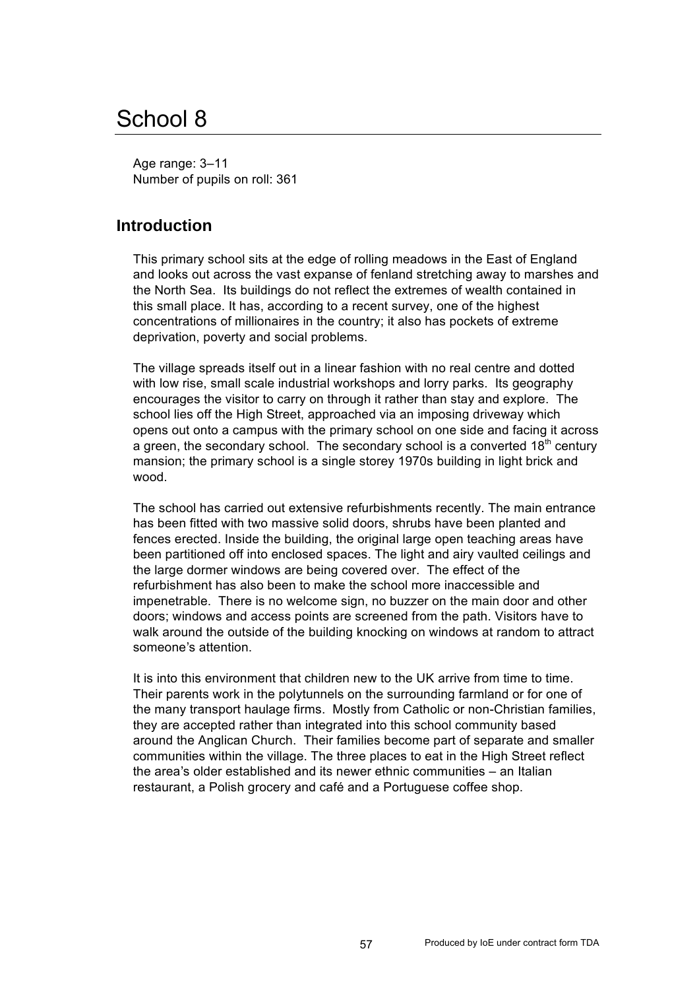# School 8

Age range: 3–11 Number of pupils on roll: 361

#### **Introduction**

This primary school sits at the edge of rolling meadows in the East of England and looks out across the vast expanse of fenland stretching away to marshes and the North Sea. Its buildings do not reflect the extremes of wealth contained in this small place. It has, according to a recent survey, one of the highest concentrations of millionaires in the country; it also has pockets of extreme deprivation, poverty and social problems.

The village spreads itself out in a linear fashion with no real centre and dotted with low rise, small scale industrial workshops and lorry parks. Its geography encourages the visitor to carry on through it rather than stay and explore. The school lies off the High Street, approached via an imposing driveway which opens out onto a campus with the primary school on one side and facing it across a green, the secondary school. The secondary school is a converted  $18<sup>th</sup>$  century mansion; the primary school is a single storey 1970s building in light brick and wood.

The school has carried out extensive refurbishments recently. The main entrance has been fitted with two massive solid doors, shrubs have been planted and fences erected. Inside the building, the original large open teaching areas have been partitioned off into enclosed spaces. The light and airy vaulted ceilings and the large dormer windows are being covered over. The effect of the refurbishment has also been to make the school more inaccessible and impenetrable. There is no welcome sign, no buzzer on the main door and other doors; windows and access points are screened from the path. Visitors have to walk around the outside of the building knocking on windows at random to attract someone's attention.

It is into this environment that children new to the UK arrive from time to time. Their parents work in the polytunnels on the surrounding farmland or for one of the many transport haulage firms. Mostly from Catholic or non-Christian families, they are accepted rather than integrated into this school community based around the Anglican Church. Their families become part of separate and smaller communities within the village. The three places to eat in the High Street reflect the area's older established and its newer ethnic communities – an Italian restaurant, a Polish grocery and café and a Portuguese coffee shop.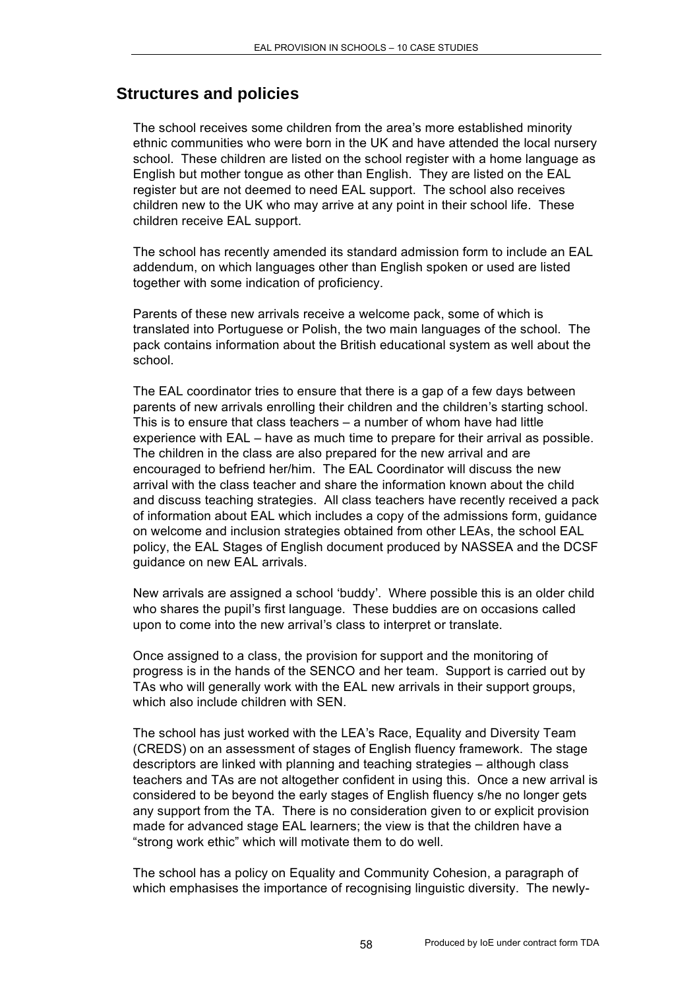#### **Structures and policies**

The school receives some children from the area's more established minority ethnic communities who were born in the UK and have attended the local nursery school. These children are listed on the school register with a home language as English but mother tongue as other than English. They are listed on the EAL register but are not deemed to need EAL support. The school also receives children new to the UK who may arrive at any point in their school life. These children receive EAL support.

The school has recently amended its standard admission form to include an EAL addendum, on which languages other than English spoken or used are listed together with some indication of proficiency.

Parents of these new arrivals receive a welcome pack, some of which is translated into Portuguese or Polish, the two main languages of the school. The pack contains information about the British educational system as well about the school.

The EAL coordinator tries to ensure that there is a gap of a few days between parents of new arrivals enrolling their children and the children's starting school. This is to ensure that class teachers – a number of whom have had little experience with EAL – have as much time to prepare for their arrival as possible. The children in the class are also prepared for the new arrival and are encouraged to befriend her/him. The EAL Coordinator will discuss the new arrival with the class teacher and share the information known about the child and discuss teaching strategies. All class teachers have recently received a pack of information about EAL which includes a copy of the admissions form, guidance on welcome and inclusion strategies obtained from other LEAs, the school EAL policy, the EAL Stages of English document produced by NASSEA and the DCSF guidance on new EAL arrivals.

New arrivals are assigned a school 'buddy'. Where possible this is an older child who shares the pupil's first language. These buddies are on occasions called upon to come into the new arrival's class to interpret or translate.

Once assigned to a class, the provision for support and the monitoring of progress is in the hands of the SENCO and her team. Support is carried out by TAs who will generally work with the EAL new arrivals in their support groups, which also include children with SEN.

The school has just worked with the LEA's Race, Equality and Diversity Team (CREDS) on an assessment of stages of English fluency framework. The stage descriptors are linked with planning and teaching strategies – although class teachers and TAs are not altogether confident in using this. Once a new arrival is considered to be beyond the early stages of English fluency s/he no longer gets any support from the TA. There is no consideration given to or explicit provision made for advanced stage EAL learners; the view is that the children have a "strong work ethic" which will motivate them to do well.

The school has a policy on Equality and Community Cohesion, a paragraph of which emphasises the importance of recognising linguistic diversity. The newly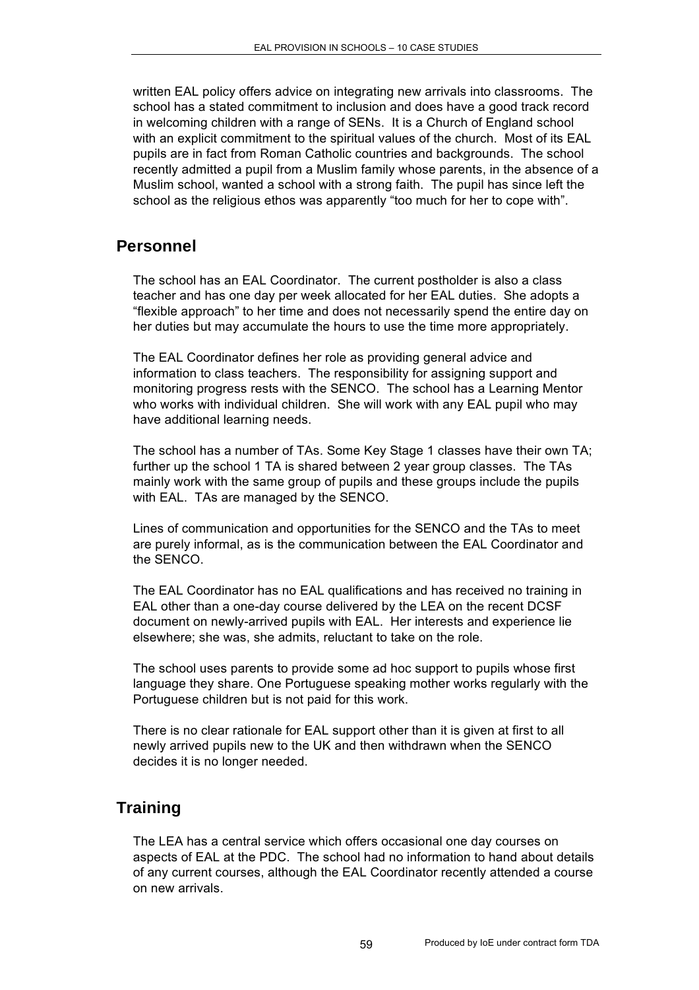written EAL policy offers advice on integrating new arrivals into classrooms. The school has a stated commitment to inclusion and does have a good track record in welcoming children with a range of SENs. It is a Church of England school with an explicit commitment to the spiritual values of the church. Most of its EAL pupils are in fact from Roman Catholic countries and backgrounds. The school recently admitted a pupil from a Muslim family whose parents, in the absence of a Muslim school, wanted a school with a strong faith. The pupil has since left the school as the religious ethos was apparently "too much for her to cope with".

### **Personnel**

The school has an EAL Coordinator. The current postholder is also a class teacher and has one day per week allocated for her EAL duties. She adopts a "flexible approach" to her time and does not necessarily spend the entire day on her duties but may accumulate the hours to use the time more appropriately.

The EAL Coordinator defines her role as providing general advice and information to class teachers. The responsibility for assigning support and monitoring progress rests with the SENCO. The school has a Learning Mentor who works with individual children. She will work with any EAL pupil who may have additional learning needs.

The school has a number of TAs. Some Key Stage 1 classes have their own TA; further up the school 1 TA is shared between 2 year group classes. The TAs mainly work with the same group of pupils and these groups include the pupils with EAL. TAs are managed by the SENCO.

Lines of communication and opportunities for the SENCO and the TAs to meet are purely informal, as is the communication between the EAL Coordinator and the SENCO.

The EAL Coordinator has no EAL qualifications and has received no training in EAL other than a one-day course delivered by the LEA on the recent DCSF document on newly-arrived pupils with EAL. Her interests and experience lie elsewhere; she was, she admits, reluctant to take on the role.

The school uses parents to provide some ad hoc support to pupils whose first language they share. One Portuguese speaking mother works regularly with the Portuguese children but is not paid for this work.

There is no clear rationale for EAL support other than it is given at first to all newly arrived pupils new to the UK and then withdrawn when the SENCO decides it is no longer needed.

# **Training**

The LEA has a central service which offers occasional one day courses on aspects of EAL at the PDC. The school had no information to hand about details of any current courses, although the EAL Coordinator recently attended a course on new arrivals.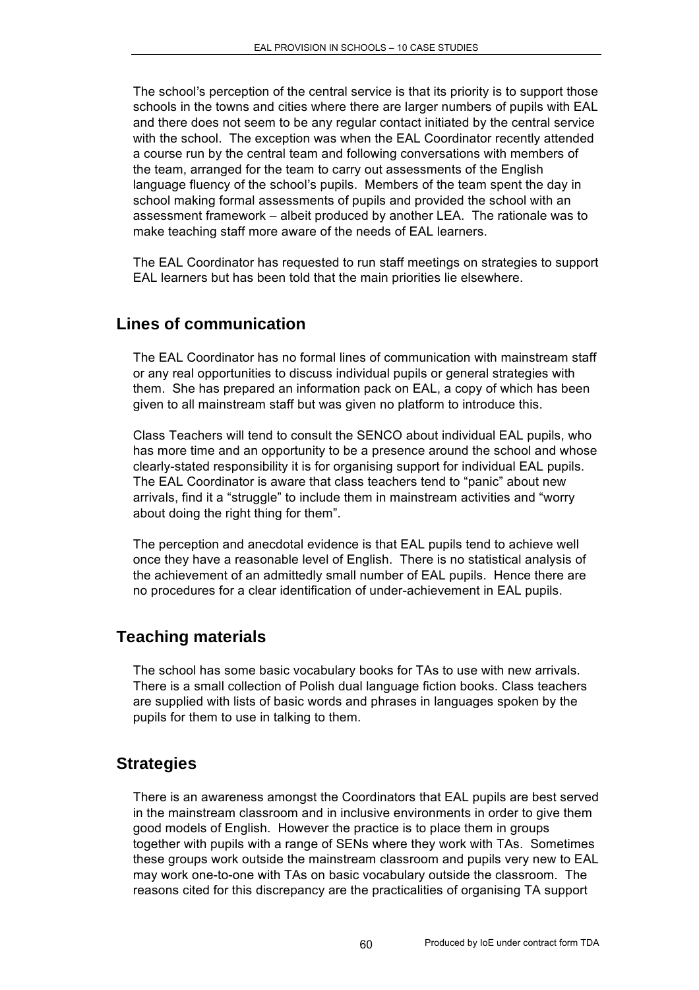The school's perception of the central service is that its priority is to support those schools in the towns and cities where there are larger numbers of pupils with EAL and there does not seem to be any regular contact initiated by the central service with the school. The exception was when the EAL Coordinator recently attended a course run by the central team and following conversations with members of the team, arranged for the team to carry out assessments of the English language fluency of the school's pupils. Members of the team spent the day in school making formal assessments of pupils and provided the school with an assessment framework – albeit produced by another LEA. The rationale was to make teaching staff more aware of the needs of EAL learners.

The EAL Coordinator has requested to run staff meetings on strategies to support EAL learners but has been told that the main priorities lie elsewhere.

### **Lines of communication**

The EAL Coordinator has no formal lines of communication with mainstream staff or any real opportunities to discuss individual pupils or general strategies with them. She has prepared an information pack on EAL, a copy of which has been given to all mainstream staff but was given no platform to introduce this.

Class Teachers will tend to consult the SENCO about individual EAL pupils, who has more time and an opportunity to be a presence around the school and whose clearly-stated responsibility it is for organising support for individual EAL pupils. The EAL Coordinator is aware that class teachers tend to "panic" about new arrivals, find it a "struggle" to include them in mainstream activities and "worry about doing the right thing for them".

The perception and anecdotal evidence is that EAL pupils tend to achieve well once they have a reasonable level of English. There is no statistical analysis of the achievement of an admittedly small number of EAL pupils. Hence there are no procedures for a clear identification of under-achievement in EAL pupils.

### **Teaching materials**

The school has some basic vocabulary books for TAs to use with new arrivals. There is a small collection of Polish dual language fiction books. Class teachers are supplied with lists of basic words and phrases in languages spoken by the pupils for them to use in talking to them.

### **Strategies**

There is an awareness amongst the Coordinators that EAL pupils are best served in the mainstream classroom and in inclusive environments in order to give them good models of English. However the practice is to place them in groups together with pupils with a range of SENs where they work with TAs. Sometimes these groups work outside the mainstream classroom and pupils very new to EAL may work one-to-one with TAs on basic vocabulary outside the classroom. The reasons cited for this discrepancy are the practicalities of organising TA support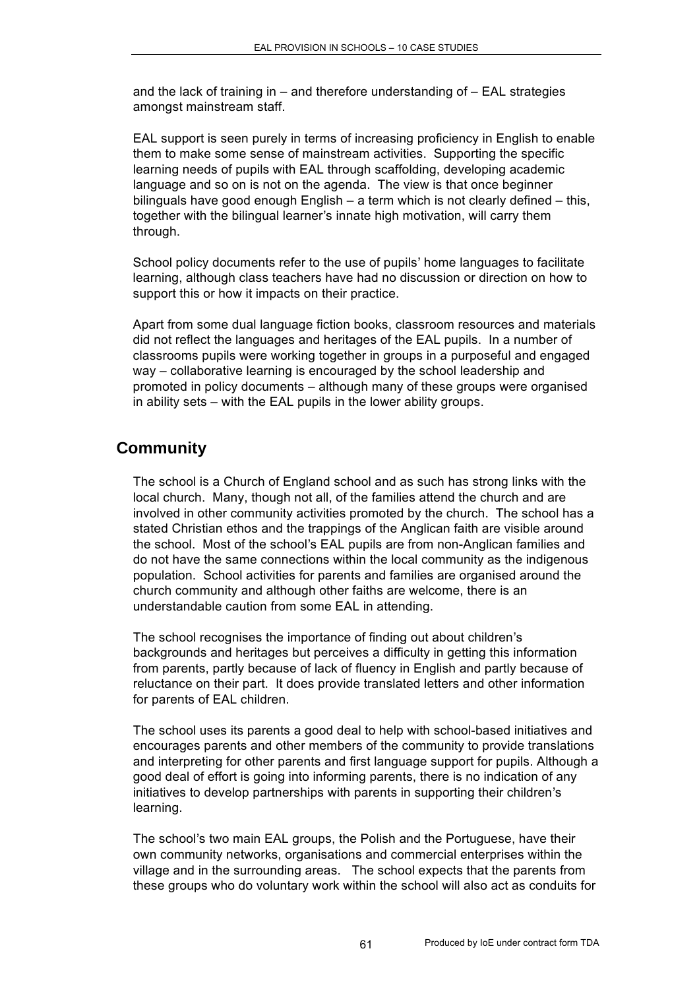and the lack of training in – and therefore understanding of – EAL strategies amongst mainstream staff.

EAL support is seen purely in terms of increasing proficiency in English to enable them to make some sense of mainstream activities. Supporting the specific learning needs of pupils with EAL through scaffolding, developing academic language and so on is not on the agenda. The view is that once beginner bilinguals have good enough English – a term which is not clearly defined – this, together with the bilingual learner's innate high motivation, will carry them through.

School policy documents refer to the use of pupils' home languages to facilitate learning, although class teachers have had no discussion or direction on how to support this or how it impacts on their practice.

Apart from some dual language fiction books, classroom resources and materials did not reflect the languages and heritages of the EAL pupils. In a number of classrooms pupils were working together in groups in a purposeful and engaged way – collaborative learning is encouraged by the school leadership and promoted in policy documents – although many of these groups were organised in ability sets – with the EAL pupils in the lower ability groups.

## **Community**

The school is a Church of England school and as such has strong links with the local church. Many, though not all, of the families attend the church and are involved in other community activities promoted by the church. The school has a stated Christian ethos and the trappings of the Anglican faith are visible around the school. Most of the school's EAL pupils are from non-Anglican families and do not have the same connections within the local community as the indigenous population. School activities for parents and families are organised around the church community and although other faiths are welcome, there is an understandable caution from some EAL in attending.

The school recognises the importance of finding out about children's backgrounds and heritages but perceives a difficulty in getting this information from parents, partly because of lack of fluency in English and partly because of reluctance on their part. It does provide translated letters and other information for parents of EAL children.

The school uses its parents a good deal to help with school-based initiatives and encourages parents and other members of the community to provide translations and interpreting for other parents and first language support for pupils. Although a good deal of effort is going into informing parents, there is no indication of any initiatives to develop partnerships with parents in supporting their children's learning.

The school's two main EAL groups, the Polish and the Portuguese, have their own community networks, organisations and commercial enterprises within the village and in the surrounding areas. The school expects that the parents from these groups who do voluntary work within the school will also act as conduits for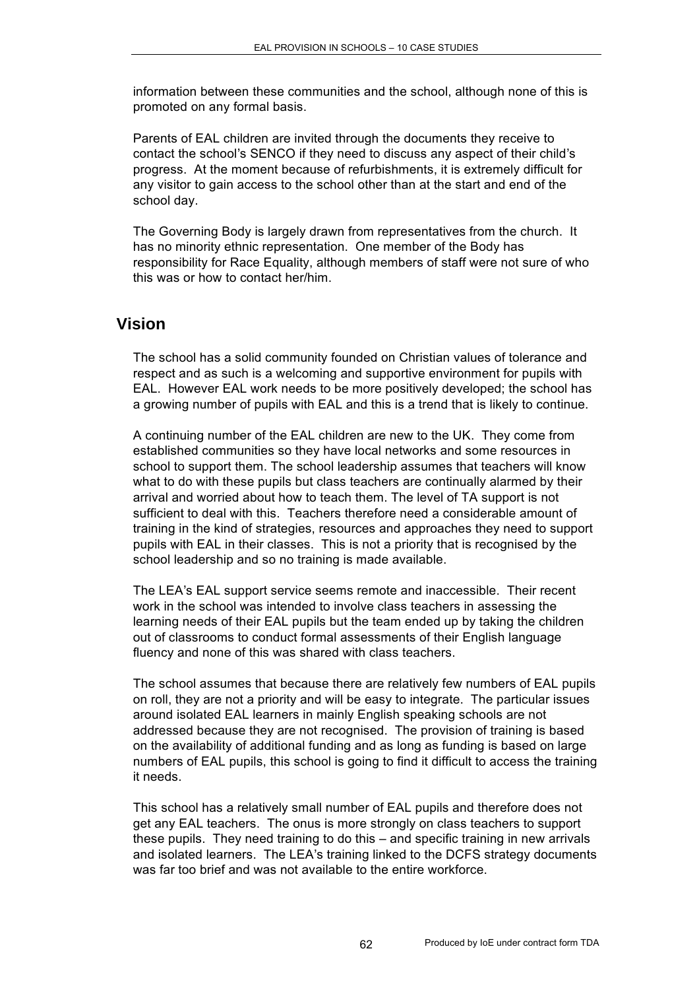information between these communities and the school, although none of this is promoted on any formal basis.

Parents of EAL children are invited through the documents they receive to contact the school's SENCO if they need to discuss any aspect of their child's progress. At the moment because of refurbishments, it is extremely difficult for any visitor to gain access to the school other than at the start and end of the school day.

The Governing Body is largely drawn from representatives from the church. It has no minority ethnic representation. One member of the Body has responsibility for Race Equality, although members of staff were not sure of who this was or how to contact her/him.

### **Vision**

The school has a solid community founded on Christian values of tolerance and respect and as such is a welcoming and supportive environment for pupils with EAL. However EAL work needs to be more positively developed; the school has a growing number of pupils with EAL and this is a trend that is likely to continue.

A continuing number of the EAL children are new to the UK. They come from established communities so they have local networks and some resources in school to support them. The school leadership assumes that teachers will know what to do with these pupils but class teachers are continually alarmed by their arrival and worried about how to teach them. The level of TA support is not sufficient to deal with this. Teachers therefore need a considerable amount of training in the kind of strategies, resources and approaches they need to support pupils with EAL in their classes. This is not a priority that is recognised by the school leadership and so no training is made available.

The LEA's EAL support service seems remote and inaccessible. Their recent work in the school was intended to involve class teachers in assessing the learning needs of their EAL pupils but the team ended up by taking the children out of classrooms to conduct formal assessments of their English language fluency and none of this was shared with class teachers.

The school assumes that because there are relatively few numbers of EAL pupils on roll, they are not a priority and will be easy to integrate. The particular issues around isolated EAL learners in mainly English speaking schools are not addressed because they are not recognised. The provision of training is based on the availability of additional funding and as long as funding is based on large numbers of EAL pupils, this school is going to find it difficult to access the training it needs.

This school has a relatively small number of EAL pupils and therefore does not get any EAL teachers. The onus is more strongly on class teachers to support these pupils. They need training to do this – and specific training in new arrivals and isolated learners. The LEA's training linked to the DCFS strategy documents was far too brief and was not available to the entire workforce.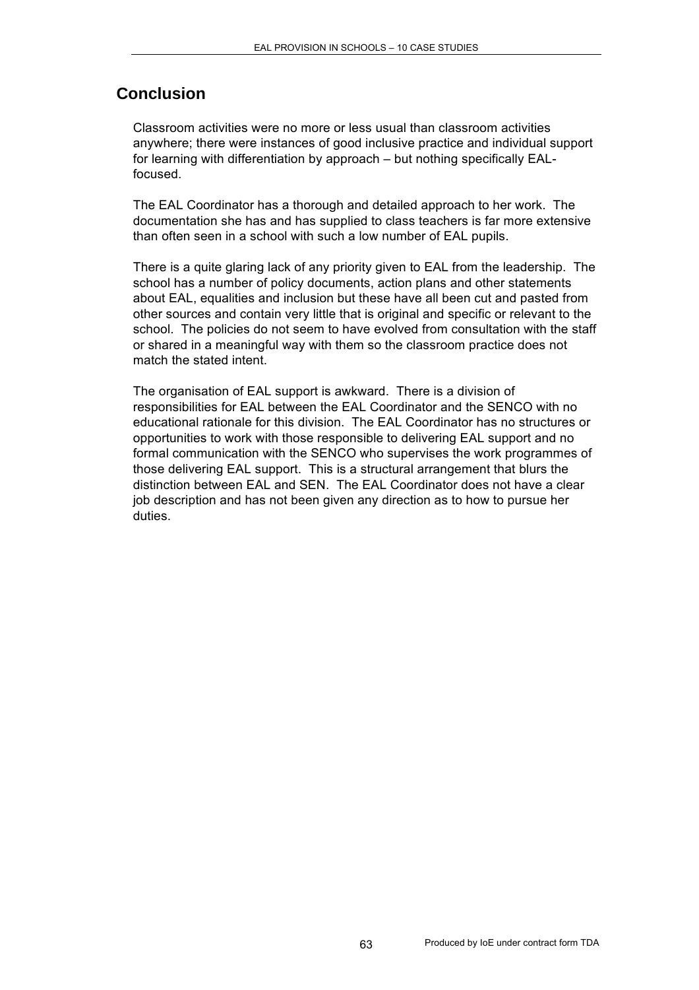## **Conclusion**

Classroom activities were no more or less usual than classroom activities anywhere; there were instances of good inclusive practice and individual support for learning with differentiation by approach – but nothing specifically EALfocused.

The EAL Coordinator has a thorough and detailed approach to her work. The documentation she has and has supplied to class teachers is far more extensive than often seen in a school with such a low number of EAL pupils.

There is a quite glaring lack of any priority given to EAL from the leadership. The school has a number of policy documents, action plans and other statements about EAL, equalities and inclusion but these have all been cut and pasted from other sources and contain very little that is original and specific or relevant to the school. The policies do not seem to have evolved from consultation with the staff or shared in a meaningful way with them so the classroom practice does not match the stated intent.

The organisation of EAL support is awkward. There is a division of responsibilities for EAL between the EAL Coordinator and the SENCO with no educational rationale for this division. The EAL Coordinator has no structures or opportunities to work with those responsible to delivering EAL support and no formal communication with the SENCO who supervises the work programmes of those delivering EAL support. This is a structural arrangement that blurs the distinction between EAL and SEN. The EAL Coordinator does not have a clear job description and has not been given any direction as to how to pursue her duties.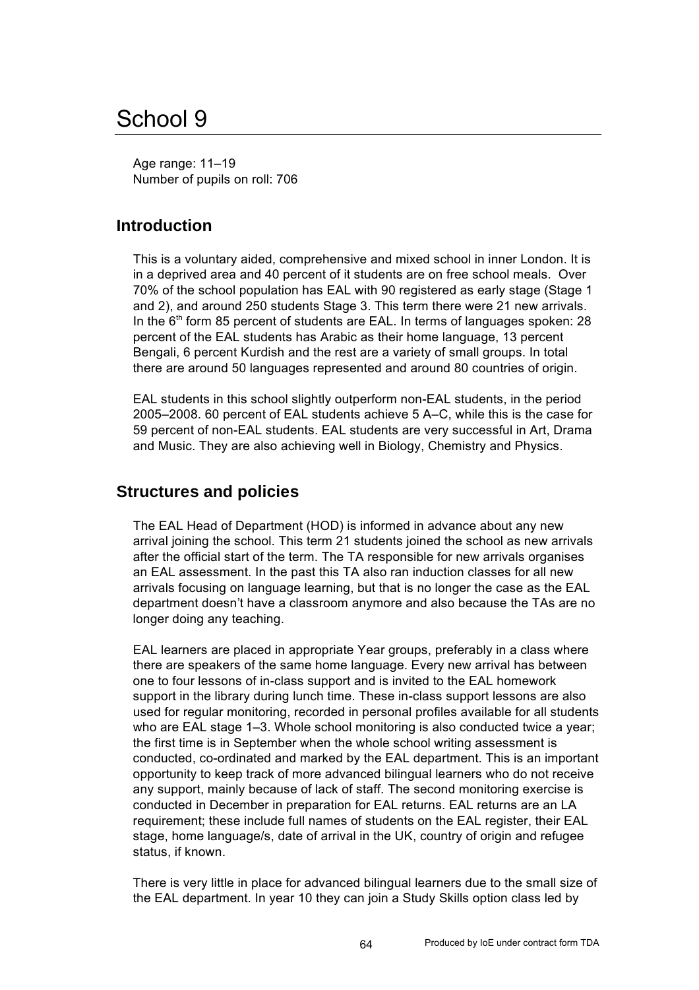# School 9

Age range: 11–19 Number of pupils on roll: 706

#### **Introduction**

This is a voluntary aided, comprehensive and mixed school in inner London. It is in a deprived area and 40 percent of it students are on free school meals. Over 70% of the school population has EAL with 90 registered as early stage (Stage 1 and 2), and around 250 students Stage 3. This term there were 21 new arrivals. In the  $6<sup>th</sup>$  form 85 percent of students are EAL. In terms of languages spoken: 28 percent of the EAL students has Arabic as their home language, 13 percent Bengali, 6 percent Kurdish and the rest are a variety of small groups. In total there are around 50 languages represented and around 80 countries of origin.

EAL students in this school slightly outperform non-EAL students, in the period 2005–2008. 60 percent of EAL students achieve 5 A–C, while this is the case for 59 percent of non-EAL students. EAL students are very successful in Art, Drama and Music. They are also achieving well in Biology, Chemistry and Physics.

#### **Structures and policies**

The EAL Head of Department (HOD) is informed in advance about any new arrival joining the school. This term 21 students joined the school as new arrivals after the official start of the term. The TA responsible for new arrivals organises an EAL assessment. In the past this TA also ran induction classes for all new arrivals focusing on language learning, but that is no longer the case as the EAL department doesn't have a classroom anymore and also because the TAs are no longer doing any teaching.

EAL learners are placed in appropriate Year groups, preferably in a class where there are speakers of the same home language. Every new arrival has between one to four lessons of in-class support and is invited to the EAL homework support in the library during lunch time. These in-class support lessons are also used for regular monitoring, recorded in personal profiles available for all students who are EAL stage 1–3. Whole school monitoring is also conducted twice a year; the first time is in September when the whole school writing assessment is conducted, co-ordinated and marked by the EAL department. This is an important opportunity to keep track of more advanced bilingual learners who do not receive any support, mainly because of lack of staff. The second monitoring exercise is conducted in December in preparation for EAL returns. EAL returns are an LA requirement; these include full names of students on the EAL register, their EAL stage, home language/s, date of arrival in the UK, country of origin and refugee status, if known.

There is very little in place for advanced bilingual learners due to the small size of the EAL department. In year 10 they can join a Study Skills option class led by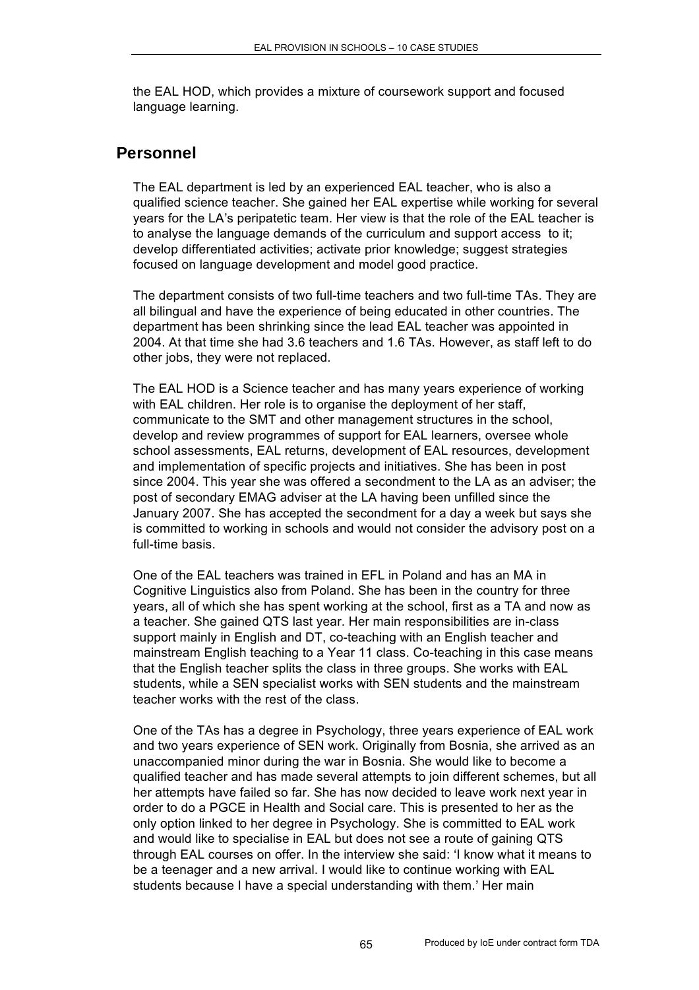the EAL HOD, which provides a mixture of coursework support and focused language learning.

#### **Personnel**

The EAL department is led by an experienced EAL teacher, who is also a qualified science teacher. She gained her EAL expertise while working for several years for the LA's peripatetic team. Her view is that the role of the EAL teacher is to analyse the language demands of the curriculum and support access to it; develop differentiated activities; activate prior knowledge; suggest strategies focused on language development and model good practice.

The department consists of two full-time teachers and two full-time TAs. They are all bilingual and have the experience of being educated in other countries. The department has been shrinking since the lead EAL teacher was appointed in 2004. At that time she had 3.6 teachers and 1.6 TAs. However, as staff left to do other jobs, they were not replaced.

The EAL HOD is a Science teacher and has many years experience of working with EAL children. Her role is to organise the deployment of her staff, communicate to the SMT and other management structures in the school, develop and review programmes of support for EAL learners, oversee whole school assessments, EAL returns, development of EAL resources, development and implementation of specific projects and initiatives. She has been in post since 2004. This year she was offered a secondment to the LA as an adviser; the post of secondary EMAG adviser at the LA having been unfilled since the January 2007. She has accepted the secondment for a day a week but says she is committed to working in schools and would not consider the advisory post on a full-time basis.

One of the EAL teachers was trained in EFL in Poland and has an MA in Cognitive Linguistics also from Poland. She has been in the country for three years, all of which she has spent working at the school, first as a TA and now as a teacher. She gained QTS last year. Her main responsibilities are in-class support mainly in English and DT, co-teaching with an English teacher and mainstream English teaching to a Year 11 class. Co-teaching in this case means that the English teacher splits the class in three groups. She works with EAL students, while a SEN specialist works with SEN students and the mainstream teacher works with the rest of the class.

One of the TAs has a degree in Psychology, three years experience of EAL work and two years experience of SEN work. Originally from Bosnia, she arrived as an unaccompanied minor during the war in Bosnia. She would like to become a qualified teacher and has made several attempts to join different schemes, but all her attempts have failed so far. She has now decided to leave work next year in order to do a PGCE in Health and Social care. This is presented to her as the only option linked to her degree in Psychology. She is committed to EAL work and would like to specialise in EAL but does not see a route of gaining QTS through EAL courses on offer. In the interview she said: 'I know what it means to be a teenager and a new arrival. I would like to continue working with EAL students because I have a special understanding with them.' Her main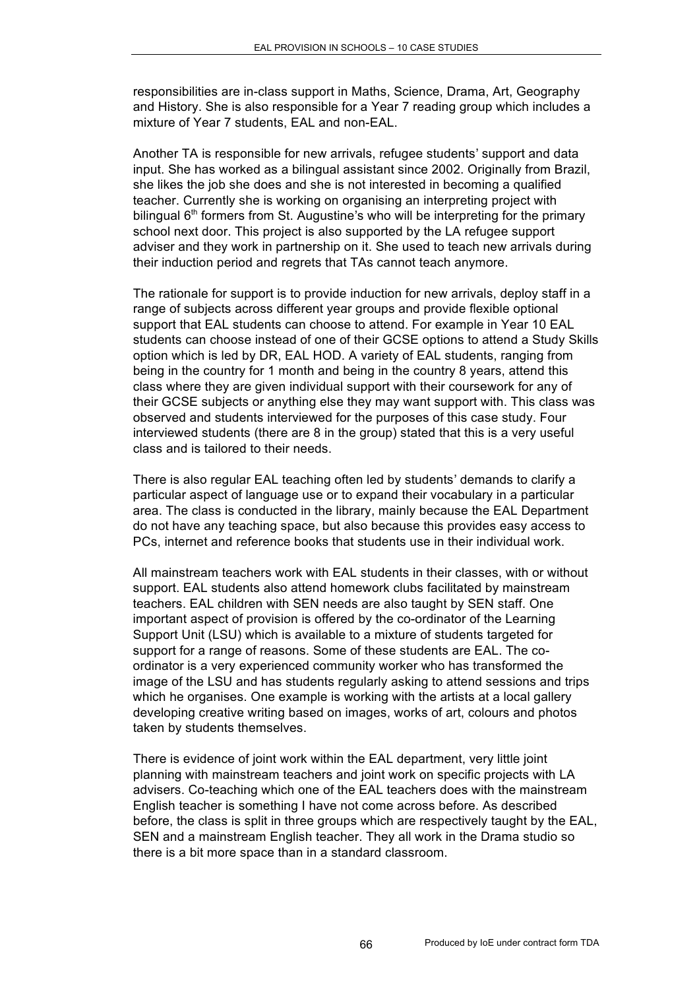responsibilities are in-class support in Maths, Science, Drama, Art, Geography and History. She is also responsible for a Year 7 reading group which includes a mixture of Year 7 students, EAL and non-EAL.

Another TA is responsible for new arrivals, refugee students' support and data input. She has worked as a bilingual assistant since 2002. Originally from Brazil, she likes the job she does and she is not interested in becoming a qualified teacher. Currently she is working on organising an interpreting project with bilingual  $6<sup>th</sup>$  formers from St. Augustine's who will be interpreting for the primary school next door. This project is also supported by the LA refugee support adviser and they work in partnership on it. She used to teach new arrivals during their induction period and regrets that TAs cannot teach anymore.

The rationale for support is to provide induction for new arrivals, deploy staff in a range of subjects across different year groups and provide flexible optional support that EAL students can choose to attend. For example in Year 10 EAL students can choose instead of one of their GCSE options to attend a Study Skills option which is led by DR, EAL HOD. A variety of EAL students, ranging from being in the country for 1 month and being in the country 8 years, attend this class where they are given individual support with their coursework for any of their GCSE subjects or anything else they may want support with. This class was observed and students interviewed for the purposes of this case study. Four interviewed students (there are 8 in the group) stated that this is a very useful class and is tailored to their needs.

There is also regular EAL teaching often led by students' demands to clarify a particular aspect of language use or to expand their vocabulary in a particular area. The class is conducted in the library, mainly because the EAL Department do not have any teaching space, but also because this provides easy access to PCs, internet and reference books that students use in their individual work.

All mainstream teachers work with EAL students in their classes, with or without support. EAL students also attend homework clubs facilitated by mainstream teachers. EAL children with SEN needs are also taught by SEN staff. One important aspect of provision is offered by the co-ordinator of the Learning Support Unit (LSU) which is available to a mixture of students targeted for support for a range of reasons. Some of these students are EAL. The coordinator is a very experienced community worker who has transformed the image of the LSU and has students regularly asking to attend sessions and trips which he organises. One example is working with the artists at a local gallery developing creative writing based on images, works of art, colours and photos taken by students themselves.

There is evidence of joint work within the EAL department, very little joint planning with mainstream teachers and joint work on specific projects with LA advisers. Co-teaching which one of the EAL teachers does with the mainstream English teacher is something I have not come across before. As described before, the class is split in three groups which are respectively taught by the EAL, SEN and a mainstream English teacher. They all work in the Drama studio so there is a bit more space than in a standard classroom.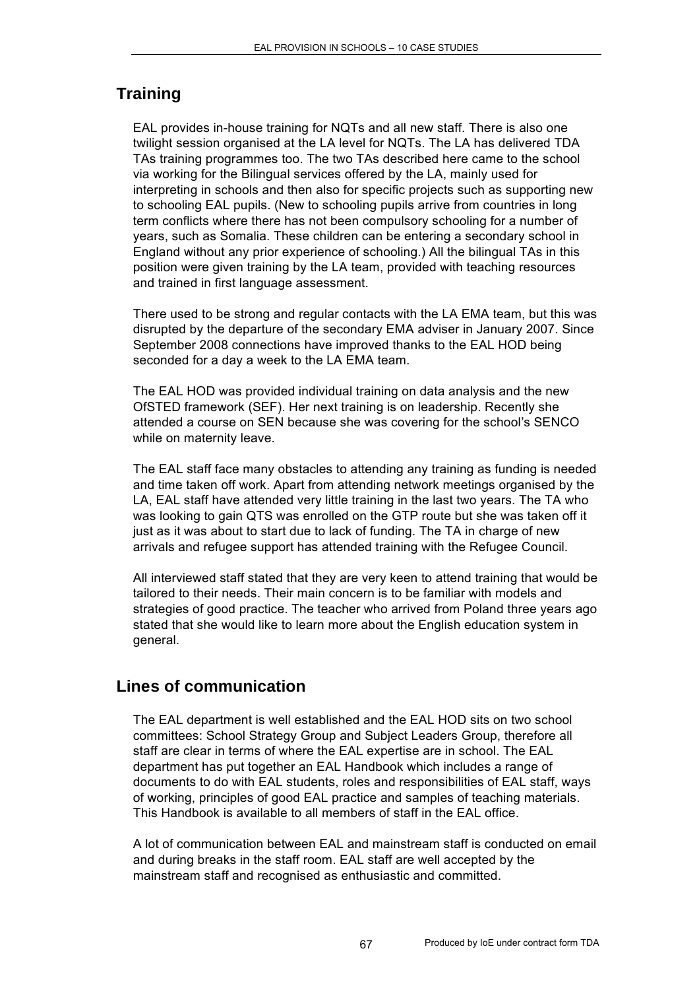# **Training**

EAL provides in-house training for NQTs and all new staff. There is also one twilight session organised at the LA level for NQTs. The LA has delivered TDA TAs training programmes too. The two TAs described here came to the school via working for the Bilingual services offered by the LA, mainly used for interpreting in schools and then also for specific projects such as supporting new to schooling EAL pupils. (New to schooling pupils arrive from countries in long term conflicts where there has not been compulsory schooling for a number of years, such as Somalia. These children can be entering a secondary school in England without any prior experience of schooling.) All the bilingual TAs in this position were given training by the LA team, provided with teaching resources and trained in first language assessment.

There used to be strong and regular contacts with the LA EMA team, but this was disrupted by the departure of the secondary EMA adviser in January 2007. Since September 2008 connections have improved thanks to the EAL HOD being seconded for a day a week to the LA EMA team.

The EAL HOD was provided individual training on data analysis and the new OfSTED framework (SEF). Her next training is on leadership. Recently she attended a course on SEN because she was covering for the school's SENCO while on maternity leave.

The EAL staff face many obstacles to attending any training as funding is needed and time taken off work. Apart from attending network meetings organised by the LA, EAL staff have attended very little training in the last two years. The TA who was looking to gain QTS was enrolled on the GTP route but she was taken off it just as it was about to start due to lack of funding. The TA in charge of new arrivals and refugee support has attended training with the Refugee Council.

All interviewed staff stated that they are very keen to attend training that would be tailored to their needs. Their main concern is to be familiar with models and strategies of good practice. The teacher who arrived from Poland three years ago stated that she would like to learn more about the English education system in general.

# **Lines of communication**

The EAL department is well established and the EAL HOD sits on two school committees: School Strategy Group and Subject Leaders Group, therefore all staff are clear in terms of where the EAL expertise are in school. The EAL department has put together an EAL Handbook which includes a range of documents to do with EAL students, roles and responsibilities of EAL staff, ways of working, principles of good EAL practice and samples of teaching materials. This Handbook is available to all members of staff in the EAL office.

A lot of communication between EAL and mainstream staff is conducted on email and during breaks in the staff room. EAL staff are well accepted by the mainstream staff and recognised as enthusiastic and committed.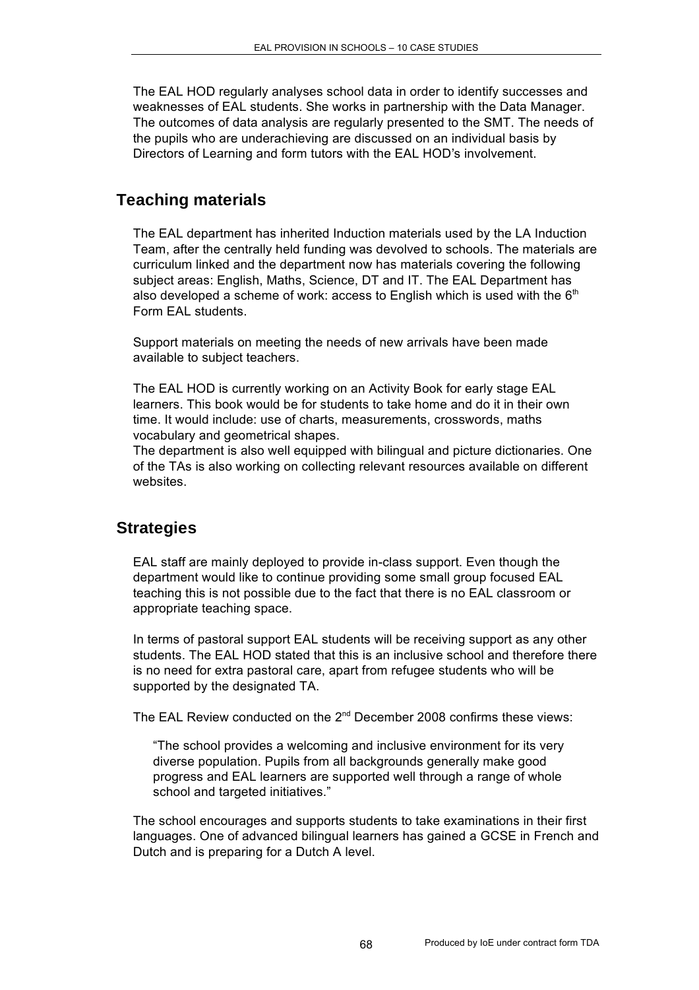The EAL HOD regularly analyses school data in order to identify successes and weaknesses of EAL students. She works in partnership with the Data Manager. The outcomes of data analysis are regularly presented to the SMT. The needs of the pupils who are underachieving are discussed on an individual basis by Directors of Learning and form tutors with the EAL HOD's involvement.

### **Teaching materials**

The EAL department has inherited Induction materials used by the LA Induction Team, after the centrally held funding was devolved to schools. The materials are curriculum linked and the department now has materials covering the following subject areas: English, Maths, Science, DT and IT. The EAL Department has also developed a scheme of work: access to English which is used with the  $6<sup>th</sup>$ Form EAL students.

Support materials on meeting the needs of new arrivals have been made available to subject teachers.

The EAL HOD is currently working on an Activity Book for early stage EAL learners. This book would be for students to take home and do it in their own time. It would include: use of charts, measurements, crosswords, maths vocabulary and geometrical shapes.

The department is also well equipped with bilingual and picture dictionaries. One of the TAs is also working on collecting relevant resources available on different websites.

### **Strategies**

EAL staff are mainly deployed to provide in-class support. Even though the department would like to continue providing some small group focused EAL teaching this is not possible due to the fact that there is no EAL classroom or appropriate teaching space.

In terms of pastoral support EAL students will be receiving support as any other students. The EAL HOD stated that this is an inclusive school and therefore there is no need for extra pastoral care, apart from refugee students who will be supported by the designated TA.

The EAL Review conducted on the 2<sup>nd</sup> December 2008 confirms these views:

"The school provides a welcoming and inclusive environment for its very diverse population. Pupils from all backgrounds generally make good progress and EAL learners are supported well through a range of whole school and targeted initiatives."

The school encourages and supports students to take examinations in their first languages. One of advanced bilingual learners has gained a GCSE in French and Dutch and is preparing for a Dutch A level.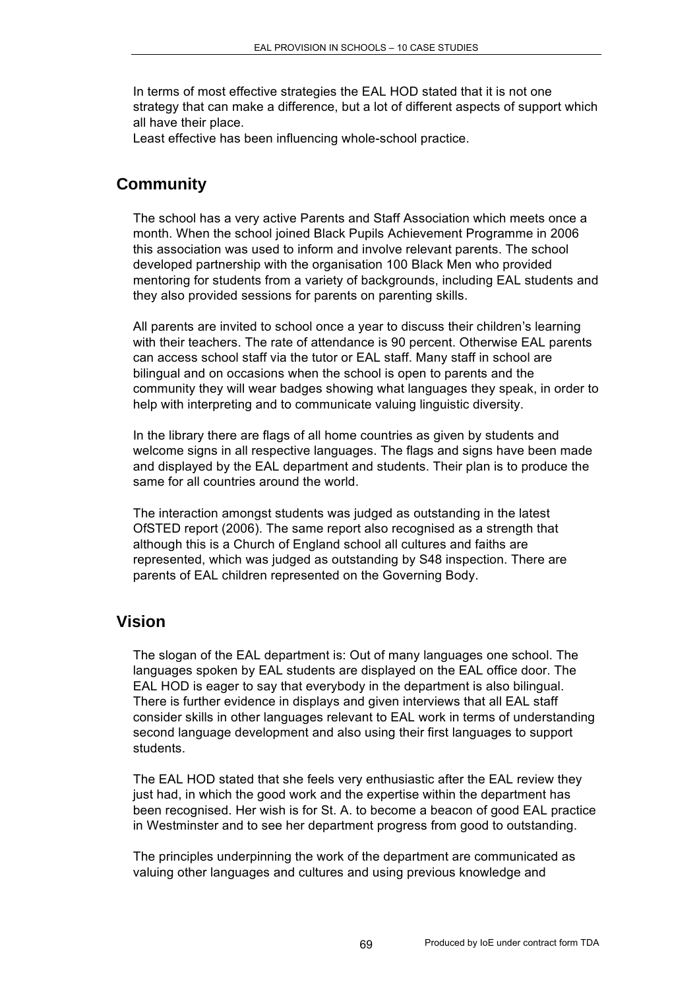In terms of most effective strategies the EAL HOD stated that it is not one strategy that can make a difference, but a lot of different aspects of support which all have their place.

Least effective has been influencing whole-school practice.

# **Community**

The school has a very active Parents and Staff Association which meets once a month. When the school joined Black Pupils Achievement Programme in 2006 this association was used to inform and involve relevant parents. The school developed partnership with the organisation 100 Black Men who provided mentoring for students from a variety of backgrounds, including EAL students and they also provided sessions for parents on parenting skills.

All parents are invited to school once a year to discuss their children's learning with their teachers. The rate of attendance is 90 percent. Otherwise EAL parents can access school staff via the tutor or EAL staff. Many staff in school are bilingual and on occasions when the school is open to parents and the community they will wear badges showing what languages they speak, in order to help with interpreting and to communicate valuing linguistic diversity.

In the library there are flags of all home countries as given by students and welcome signs in all respective languages. The flags and signs have been made and displayed by the EAL department and students. Their plan is to produce the same for all countries around the world.

The interaction amongst students was judged as outstanding in the latest OfSTED report (2006). The same report also recognised as a strength that although this is a Church of England school all cultures and faiths are represented, which was judged as outstanding by S48 inspection. There are parents of EAL children represented on the Governing Body.

#### **Vision**

The slogan of the EAL department is: Out of many languages one school. The languages spoken by EAL students are displayed on the EAL office door. The EAL HOD is eager to say that everybody in the department is also bilingual. There is further evidence in displays and given interviews that all EAL staff consider skills in other languages relevant to EAL work in terms of understanding second language development and also using their first languages to support students.

The EAL HOD stated that she feels very enthusiastic after the EAL review they just had, in which the good work and the expertise within the department has been recognised. Her wish is for St. A. to become a beacon of good EAL practice in Westminster and to see her department progress from good to outstanding.

The principles underpinning the work of the department are communicated as valuing other languages and cultures and using previous knowledge and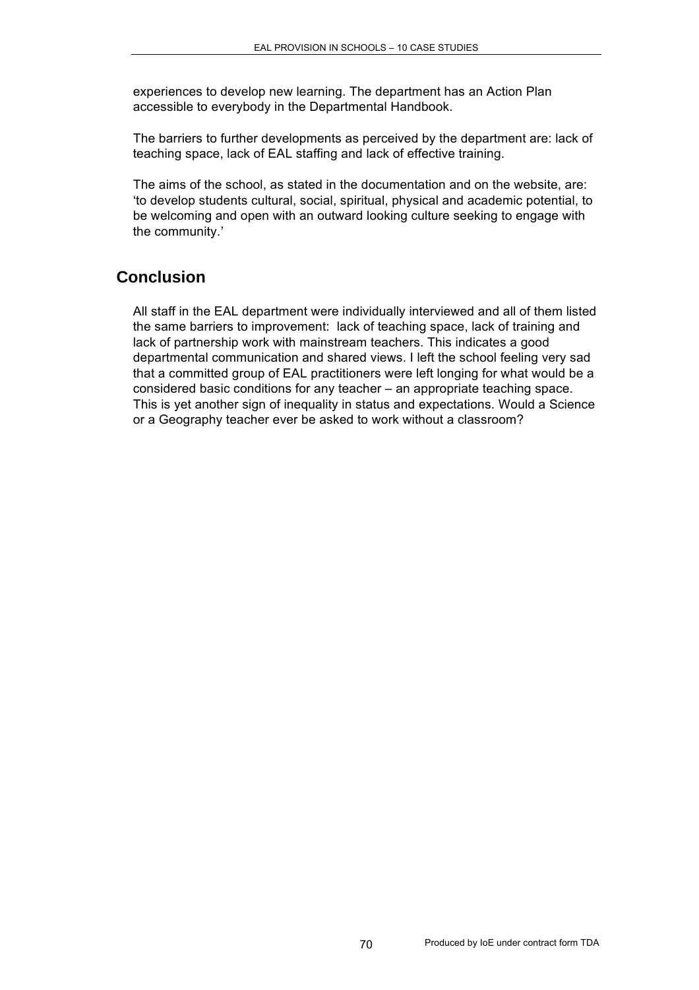experiences to develop new learning. The department has an Action Plan accessible to everybody in the Departmental Handbook.

The barriers to further developments as perceived by the department are: lack of teaching space, lack of EAL staffing and lack of effective training.

The aims of the school, as stated in the documentation and on the website, are: 'to develop students cultural, social, spiritual, physical and academic potential, to be welcoming and open with an outward looking culture seeking to engage with the community.'

## **Conclusion**

All staff in the EAL department were individually interviewed and all of them listed the same barriers to improvement: lack of teaching space, lack of training and lack of partnership work with mainstream teachers. This indicates a good departmental communication and shared views. I left the school feeling very sad that a committed group of EAL practitioners were left longing for what would be a considered basic conditions for any teacher – an appropriate teaching space. This is yet another sign of inequality in status and expectations. Would a Science or a Geography teacher ever be asked to work without a classroom?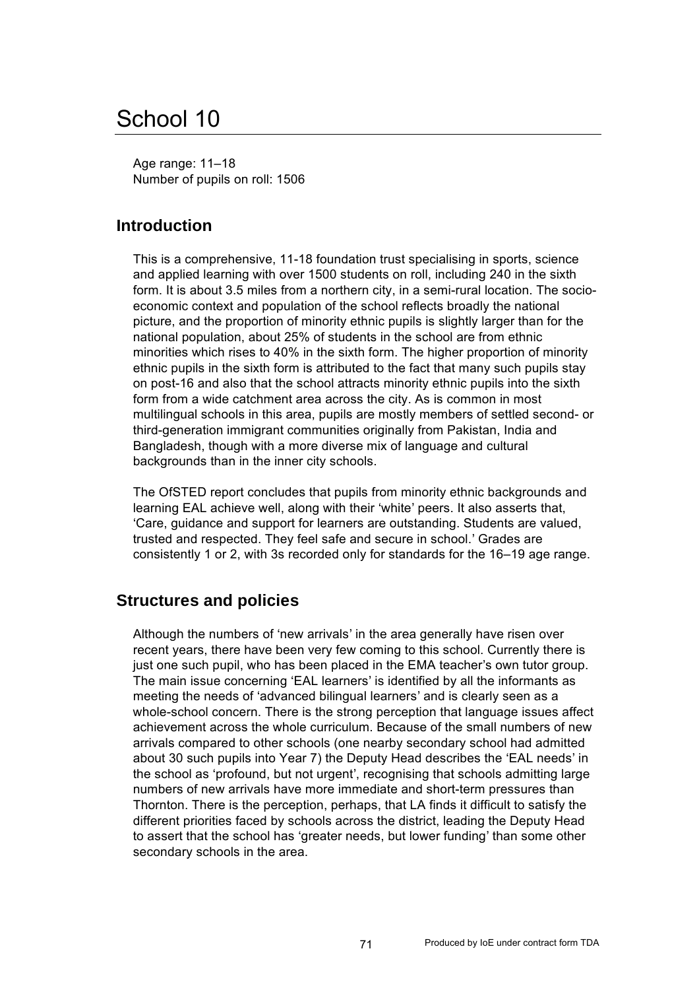# School 10

Age range: 11–18 Number of pupils on roll: 1506

## **Introduction**

This is a comprehensive, 11-18 foundation trust specialising in sports, science and applied learning with over 1500 students on roll, including 240 in the sixth form. It is about 3.5 miles from a northern city, in a semi-rural location. The socioeconomic context and population of the school reflects broadly the national picture, and the proportion of minority ethnic pupils is slightly larger than for the national population, about 25% of students in the school are from ethnic minorities which rises to 40% in the sixth form. The higher proportion of minority ethnic pupils in the sixth form is attributed to the fact that many such pupils stay on post-16 and also that the school attracts minority ethnic pupils into the sixth form from a wide catchment area across the city. As is common in most multilingual schools in this area, pupils are mostly members of settled second- or third-generation immigrant communities originally from Pakistan, India and Bangladesh, though with a more diverse mix of language and cultural backgrounds than in the inner city schools.

The OfSTED report concludes that pupils from minority ethnic backgrounds and learning EAL achieve well, along with their 'white' peers. It also asserts that, 'Care, guidance and support for learners are outstanding. Students are valued, trusted and respected. They feel safe and secure in school.' Grades are consistently 1 or 2, with 3s recorded only for standards for the 16–19 age range.

### **Structures and policies**

Although the numbers of 'new arrivals' in the area generally have risen over recent years, there have been very few coming to this school. Currently there is just one such pupil, who has been placed in the EMA teacher's own tutor group. The main issue concerning 'EAL learners' is identified by all the informants as meeting the needs of 'advanced bilingual learners' and is clearly seen as a whole-school concern. There is the strong perception that language issues affect achievement across the whole curriculum. Because of the small numbers of new arrivals compared to other schools (one nearby secondary school had admitted about 30 such pupils into Year 7) the Deputy Head describes the 'EAL needs' in the school as 'profound, but not urgent', recognising that schools admitting large numbers of new arrivals have more immediate and short-term pressures than Thornton. There is the perception, perhaps, that LA finds it difficult to satisfy the different priorities faced by schools across the district, leading the Deputy Head to assert that the school has 'greater needs, but lower funding' than some other secondary schools in the area.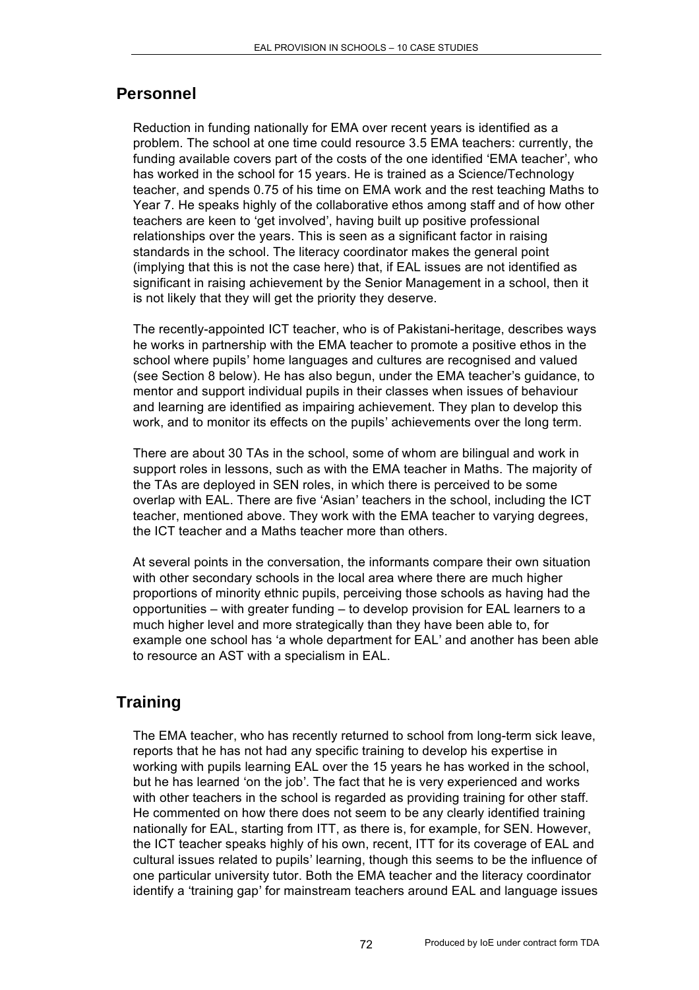## **Personnel**

Reduction in funding nationally for EMA over recent years is identified as a problem. The school at one time could resource 3.5 EMA teachers: currently, the funding available covers part of the costs of the one identified 'EMA teacher', who has worked in the school for 15 years. He is trained as a Science/Technology teacher, and spends 0.75 of his time on EMA work and the rest teaching Maths to Year 7. He speaks highly of the collaborative ethos among staff and of how other teachers are keen to 'get involved', having built up positive professional relationships over the years. This is seen as a significant factor in raising standards in the school. The literacy coordinator makes the general point (implying that this is not the case here) that, if EAL issues are not identified as significant in raising achievement by the Senior Management in a school, then it is not likely that they will get the priority they deserve.

The recently-appointed ICT teacher, who is of Pakistani-heritage, describes ways he works in partnership with the EMA teacher to promote a positive ethos in the school where pupils' home languages and cultures are recognised and valued (see Section 8 below). He has also begun, under the EMA teacher's guidance, to mentor and support individual pupils in their classes when issues of behaviour and learning are identified as impairing achievement. They plan to develop this work, and to monitor its effects on the pupils' achievements over the long term.

There are about 30 TAs in the school, some of whom are bilingual and work in support roles in lessons, such as with the EMA teacher in Maths. The majority of the TAs are deployed in SEN roles, in which there is perceived to be some overlap with EAL. There are five 'Asian' teachers in the school, including the ICT teacher, mentioned above. They work with the EMA teacher to varying degrees, the ICT teacher and a Maths teacher more than others.

At several points in the conversation, the informants compare their own situation with other secondary schools in the local area where there are much higher proportions of minority ethnic pupils, perceiving those schools as having had the opportunities – with greater funding – to develop provision for EAL learners to a much higher level and more strategically than they have been able to, for example one school has 'a whole department for EAL' and another has been able to resource an AST with a specialism in EAL.

# **Training**

The EMA teacher, who has recently returned to school from long-term sick leave, reports that he has not had any specific training to develop his expertise in working with pupils learning EAL over the 15 years he has worked in the school, but he has learned 'on the job'. The fact that he is very experienced and works with other teachers in the school is regarded as providing training for other staff. He commented on how there does not seem to be any clearly identified training nationally for EAL, starting from ITT, as there is, for example, for SEN. However, the ICT teacher speaks highly of his own, recent, ITT for its coverage of EAL and cultural issues related to pupils' learning, though this seems to be the influence of one particular university tutor. Both the EMA teacher and the literacy coordinator identify a 'training gap' for mainstream teachers around EAL and language issues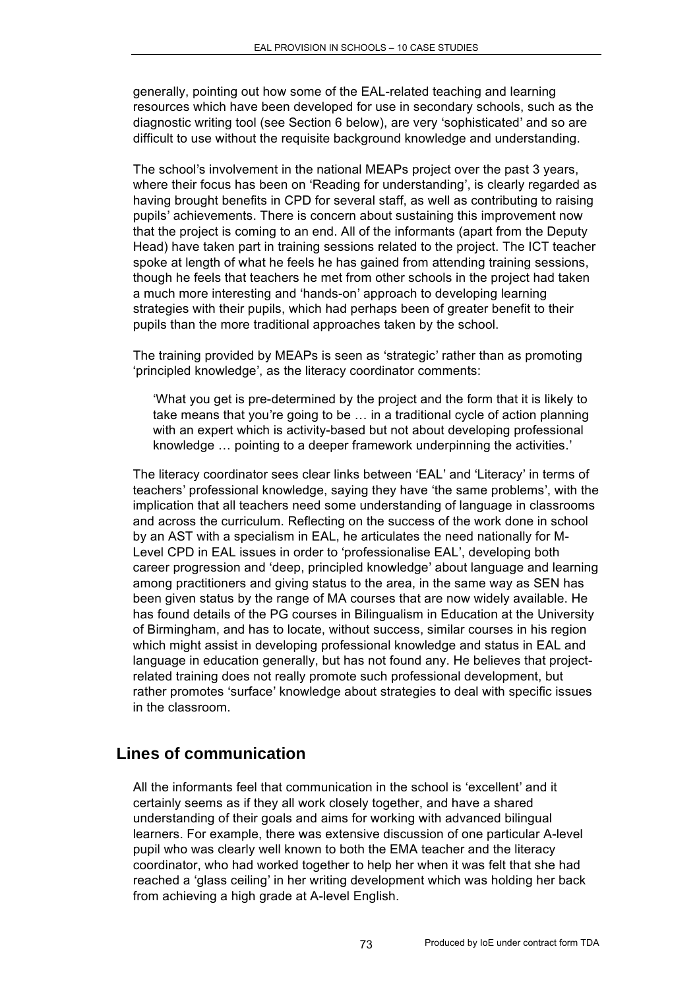generally, pointing out how some of the EAL-related teaching and learning resources which have been developed for use in secondary schools, such as the diagnostic writing tool (see Section 6 below), are very 'sophisticated' and so are difficult to use without the requisite background knowledge and understanding.

The school's involvement in the national MEAPs project over the past 3 years, where their focus has been on 'Reading for understanding', is clearly regarded as having brought benefits in CPD for several staff, as well as contributing to raising pupils' achievements. There is concern about sustaining this improvement now that the project is coming to an end. All of the informants (apart from the Deputy Head) have taken part in training sessions related to the project. The ICT teacher spoke at length of what he feels he has gained from attending training sessions, though he feels that teachers he met from other schools in the project had taken a much more interesting and 'hands-on' approach to developing learning strategies with their pupils, which had perhaps been of greater benefit to their pupils than the more traditional approaches taken by the school.

The training provided by MEAPs is seen as 'strategic' rather than as promoting 'principled knowledge', as the literacy coordinator comments:

'What you get is pre-determined by the project and the form that it is likely to take means that you're going to be … in a traditional cycle of action planning with an expert which is activity-based but not about developing professional knowledge … pointing to a deeper framework underpinning the activities.'

The literacy coordinator sees clear links between 'EAL' and 'Literacy' in terms of teachers' professional knowledge, saying they have 'the same problems', with the implication that all teachers need some understanding of language in classrooms and across the curriculum. Reflecting on the success of the work done in school by an AST with a specialism in EAL, he articulates the need nationally for M-Level CPD in EAL issues in order to 'professionalise EAL', developing both career progression and 'deep, principled knowledge' about language and learning among practitioners and giving status to the area, in the same way as SEN has been given status by the range of MA courses that are now widely available. He has found details of the PG courses in Bilingualism in Education at the University of Birmingham, and has to locate, without success, similar courses in his region which might assist in developing professional knowledge and status in EAL and language in education generally, but has not found any. He believes that projectrelated training does not really promote such professional development, but rather promotes 'surface' knowledge about strategies to deal with specific issues in the classroom.

# **Lines of communication**

All the informants feel that communication in the school is 'excellent' and it certainly seems as if they all work closely together, and have a shared understanding of their goals and aims for working with advanced bilingual learners. For example, there was extensive discussion of one particular A-level pupil who was clearly well known to both the EMA teacher and the literacy coordinator, who had worked together to help her when it was felt that she had reached a 'glass ceiling' in her writing development which was holding her back from achieving a high grade at A-level English.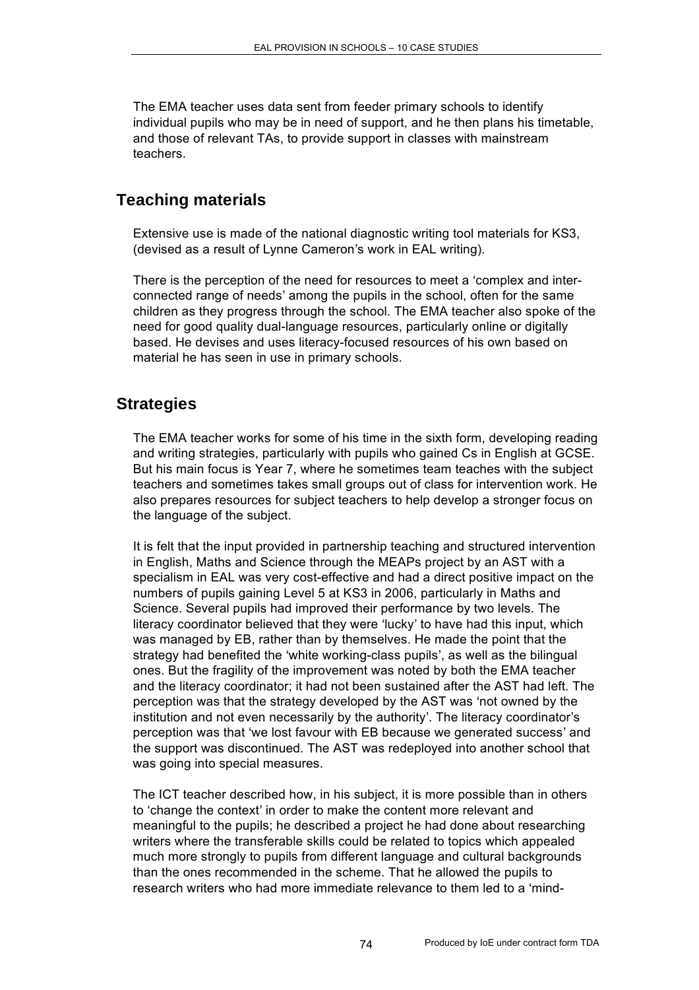The EMA teacher uses data sent from feeder primary schools to identify individual pupils who may be in need of support, and he then plans his timetable, and those of relevant TAs, to provide support in classes with mainstream teachers.

# **Teaching materials**

Extensive use is made of the national diagnostic writing tool materials for KS3, (devised as a result of Lynne Cameron's work in EAL writing).

There is the perception of the need for resources to meet a 'complex and interconnected range of needs' among the pupils in the school, often for the same children as they progress through the school. The EMA teacher also spoke of the need for good quality dual-language resources, particularly online or digitally based. He devises and uses literacy-focused resources of his own based on material he has seen in use in primary schools.

### **Strategies**

The EMA teacher works for some of his time in the sixth form, developing reading and writing strategies, particularly with pupils who gained Cs in English at GCSE. But his main focus is Year 7, where he sometimes team teaches with the subject teachers and sometimes takes small groups out of class for intervention work. He also prepares resources for subject teachers to help develop a stronger focus on the language of the subject.

It is felt that the input provided in partnership teaching and structured intervention in English, Maths and Science through the MEAPs project by an AST with a specialism in EAL was very cost-effective and had a direct positive impact on the numbers of pupils gaining Level 5 at KS3 in 2006, particularly in Maths and Science. Several pupils had improved their performance by two levels. The literacy coordinator believed that they were 'lucky' to have had this input, which was managed by EB, rather than by themselves. He made the point that the strategy had benefited the 'white working-class pupils', as well as the bilingual ones. But the fragility of the improvement was noted by both the EMA teacher and the literacy coordinator; it had not been sustained after the AST had left. The perception was that the strategy developed by the AST was 'not owned by the institution and not even necessarily by the authority'. The literacy coordinator's perception was that 'we lost favour with EB because we generated success' and the support was discontinued. The AST was redeployed into another school that was going into special measures.

The ICT teacher described how, in his subject, it is more possible than in others to 'change the context' in order to make the content more relevant and meaningful to the pupils; he described a project he had done about researching writers where the transferable skills could be related to topics which appealed much more strongly to pupils from different language and cultural backgrounds than the ones recommended in the scheme. That he allowed the pupils to research writers who had more immediate relevance to them led to a 'mind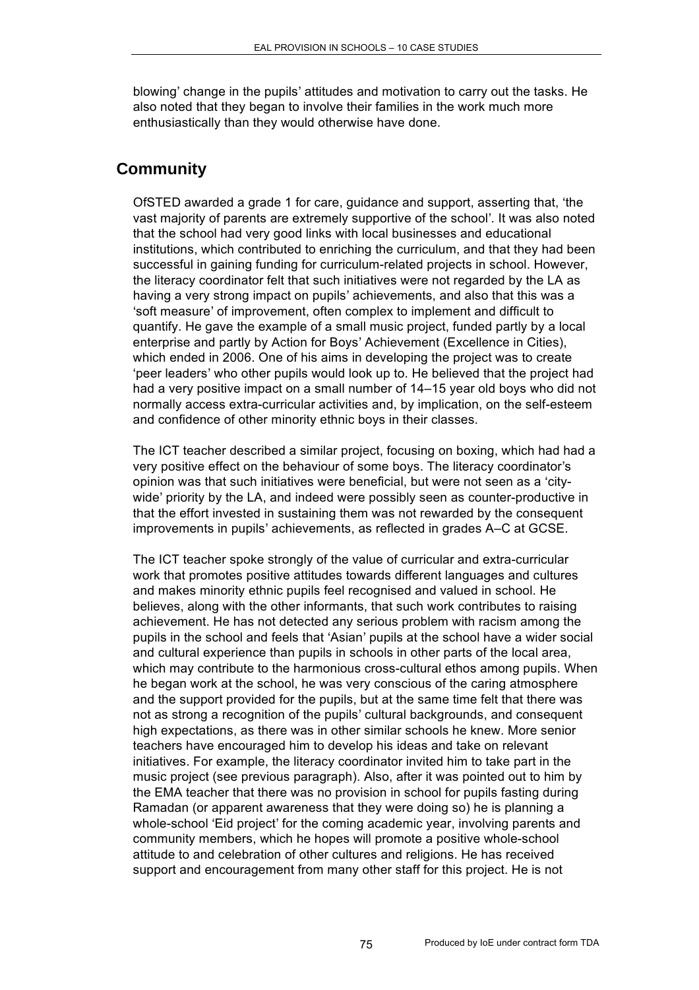blowing' change in the pupils' attitudes and motivation to carry out the tasks. He also noted that they began to involve their families in the work much more enthusiastically than they would otherwise have done.

# **Community**

OfSTED awarded a grade 1 for care, guidance and support, asserting that, 'the vast majority of parents are extremely supportive of the school'. It was also noted that the school had very good links with local businesses and educational institutions, which contributed to enriching the curriculum, and that they had been successful in gaining funding for curriculum-related projects in school. However, the literacy coordinator felt that such initiatives were not regarded by the LA as having a very strong impact on pupils' achievements, and also that this was a 'soft measure' of improvement, often complex to implement and difficult to quantify. He gave the example of a small music project, funded partly by a local enterprise and partly by Action for Boys' Achievement (Excellence in Cities), which ended in 2006. One of his aims in developing the project was to create 'peer leaders' who other pupils would look up to. He believed that the project had had a very positive impact on a small number of 14–15 year old boys who did not normally access extra-curricular activities and, by implication, on the self-esteem and confidence of other minority ethnic boys in their classes.

The ICT teacher described a similar project, focusing on boxing, which had had a very positive effect on the behaviour of some boys. The literacy coordinator's opinion was that such initiatives were beneficial, but were not seen as a 'citywide' priority by the LA, and indeed were possibly seen as counter-productive in that the effort invested in sustaining them was not rewarded by the consequent improvements in pupils' achievements, as reflected in grades A–C at GCSE.

The ICT teacher spoke strongly of the value of curricular and extra-curricular work that promotes positive attitudes towards different languages and cultures and makes minority ethnic pupils feel recognised and valued in school. He believes, along with the other informants, that such work contributes to raising achievement. He has not detected any serious problem with racism among the pupils in the school and feels that 'Asian' pupils at the school have a wider social and cultural experience than pupils in schools in other parts of the local area, which may contribute to the harmonious cross-cultural ethos among pupils. When he began work at the school, he was very conscious of the caring atmosphere and the support provided for the pupils, but at the same time felt that there was not as strong a recognition of the pupils' cultural backgrounds, and consequent high expectations, as there was in other similar schools he knew. More senior teachers have encouraged him to develop his ideas and take on relevant initiatives. For example, the literacy coordinator invited him to take part in the music project (see previous paragraph). Also, after it was pointed out to him by the EMA teacher that there was no provision in school for pupils fasting during Ramadan (or apparent awareness that they were doing so) he is planning a whole-school 'Eid project' for the coming academic year, involving parents and community members, which he hopes will promote a positive whole-school attitude to and celebration of other cultures and religions. He has received support and encouragement from many other staff for this project. He is not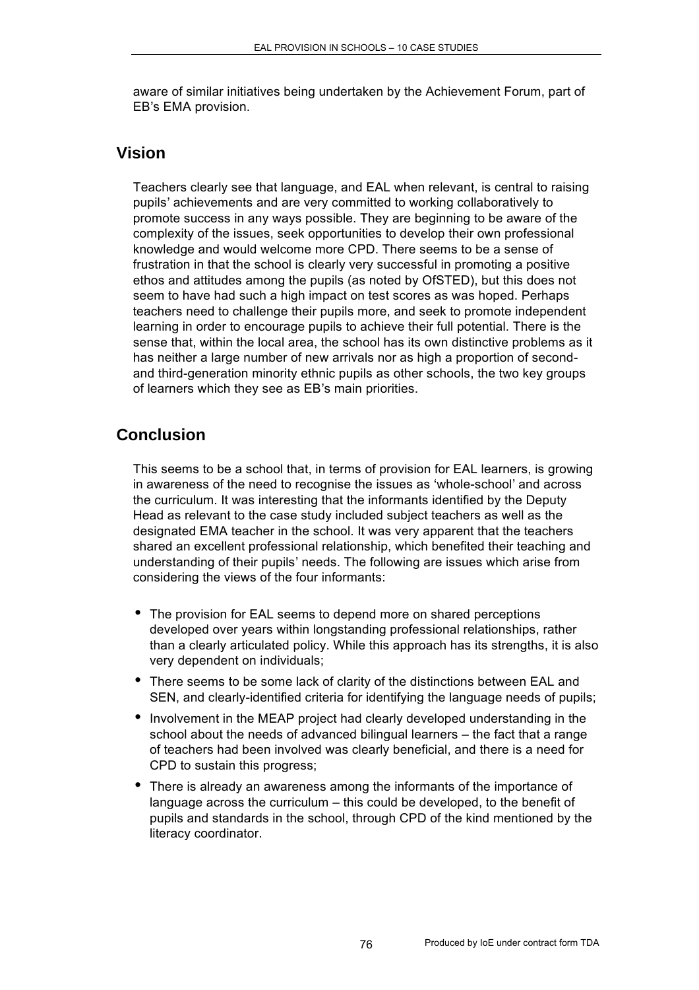aware of similar initiatives being undertaken by the Achievement Forum, part of EB's EMA provision.

#### **Vision**

Teachers clearly see that language, and EAL when relevant, is central to raising pupils' achievements and are very committed to working collaboratively to promote success in any ways possible. They are beginning to be aware of the complexity of the issues, seek opportunities to develop their own professional knowledge and would welcome more CPD. There seems to be a sense of frustration in that the school is clearly very successful in promoting a positive ethos and attitudes among the pupils (as noted by OfSTED), but this does not seem to have had such a high impact on test scores as was hoped. Perhaps teachers need to challenge their pupils more, and seek to promote independent learning in order to encourage pupils to achieve their full potential. There is the sense that, within the local area, the school has its own distinctive problems as it has neither a large number of new arrivals nor as high a proportion of secondand third-generation minority ethnic pupils as other schools, the two key groups of learners which they see as EB's main priorities.

# **Conclusion**

This seems to be a school that, in terms of provision for EAL learners, is growing in awareness of the need to recognise the issues as 'whole-school' and across the curriculum. It was interesting that the informants identified by the Deputy Head as relevant to the case study included subject teachers as well as the designated EMA teacher in the school. It was very apparent that the teachers shared an excellent professional relationship, which benefited their teaching and understanding of their pupils' needs. The following are issues which arise from considering the views of the four informants:

- The provision for EAL seems to depend more on shared perceptions developed over years within longstanding professional relationships, rather than a clearly articulated policy. While this approach has its strengths, it is also very dependent on individuals;
- There seems to be some lack of clarity of the distinctions between EAL and SEN, and clearly-identified criteria for identifying the language needs of pupils;
- Involvement in the MEAP project had clearly developed understanding in the school about the needs of advanced bilingual learners – the fact that a range of teachers had been involved was clearly beneficial, and there is a need for CPD to sustain this progress;
- There is already an awareness among the informants of the importance of language across the curriculum – this could be developed, to the benefit of pupils and standards in the school, through CPD of the kind mentioned by the literacy coordinator.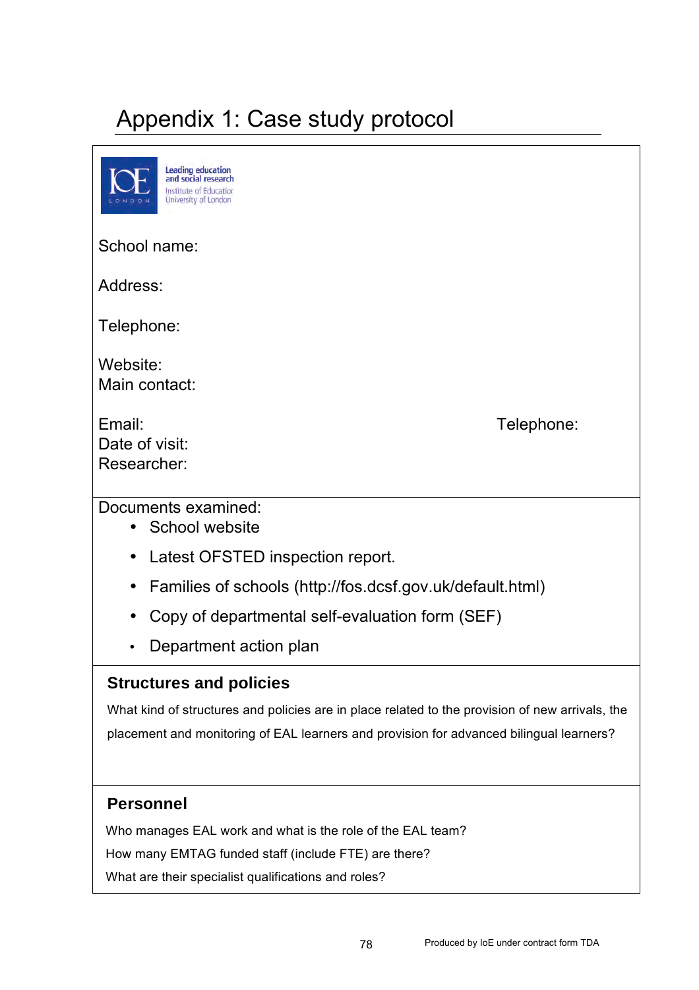# Appendix 1: Case study protocol

| <b>Leading education</b><br>and social research<br>Institute of Education<br>University of London |
|---------------------------------------------------------------------------------------------------|
| School name:                                                                                      |
| Address:                                                                                          |
| Telephone:                                                                                        |
| Website:<br>Main contact:                                                                         |
| Email:<br>Telephone:<br>Date of visit:<br>Researcher:                                             |
| Documents examined:<br>School website<br>$\bullet$                                                |
| Latest OFSTED inspection report.<br>$\bullet$                                                     |
| Families of schools (http://fos.dcsf.gov.uk/default.html)<br>$\bullet$                            |
| Copy of departmental self-evaluation form (SEF)<br>$\bullet$                                      |
| Department action plan                                                                            |
|                                                                                                   |

### **Structures and policies**

What kind of structures and policies are in place related to the provision of new arrivals, the placement and monitoring of EAL learners and provision for advanced bilingual learners?

### **Personnel**

Who manages EAL work and what is the role of the EAL team?

How many EMTAG funded staff (include FTE) are there?

What are their specialist qualifications and roles?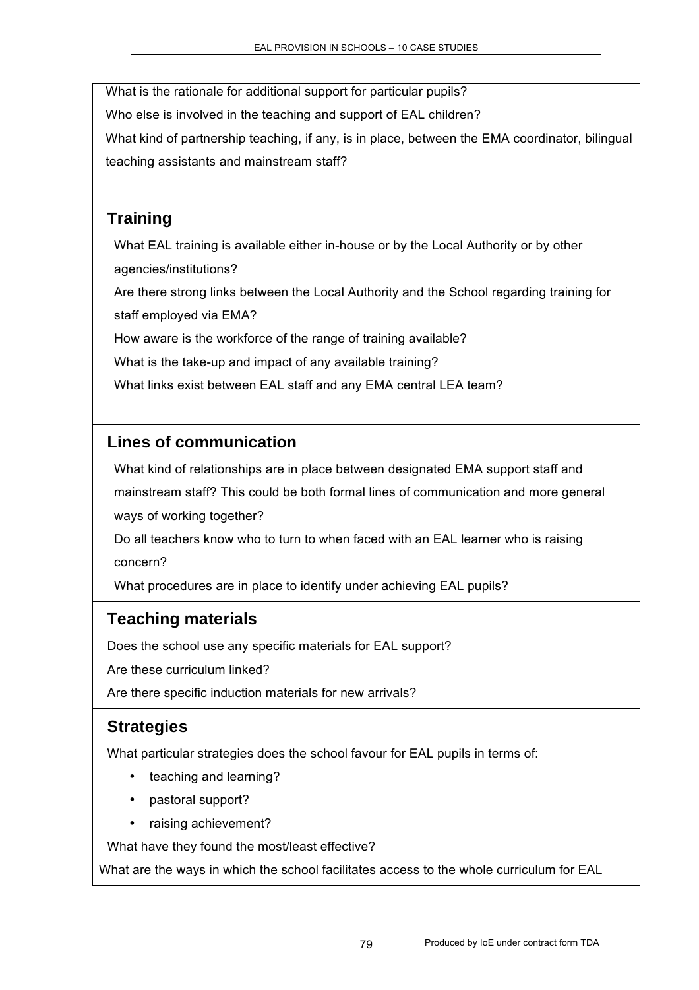What is the rationale for additional support for particular pupils? Who else is involved in the teaching and support of EAL children? What kind of partnership teaching, if any, is in place, between the EMA coordinator, bilingual teaching assistants and mainstream staff?

### **Training**

What EAL training is available either in-house or by the Local Authority or by other agencies/institutions?

Are there strong links between the Local Authority and the School regarding training for staff employed via EMA?

How aware is the workforce of the range of training available?

What is the take-up and impact of any available training?

What links exist between EAL staff and any EMA central LEA team?

### **Lines of communication**

What kind of relationships are in place between designated EMA support staff and mainstream staff? This could be both formal lines of communication and more general ways of working together?

Do all teachers know who to turn to when faced with an EAL learner who is raising concern?

What procedures are in place to identify under achieving EAL pupils?

### **Teaching materials**

Does the school use any specific materials for EAL support?

Are these curriculum linked?

Are there specific induction materials for new arrivals?

# **Strategies**

What particular strategies does the school favour for EAL pupils in terms of:

- teaching and learning?
- pastoral support?
- raising achievement?

What have they found the most/least effective?

What are the ways in which the school facilitates access to the whole curriculum for EAL